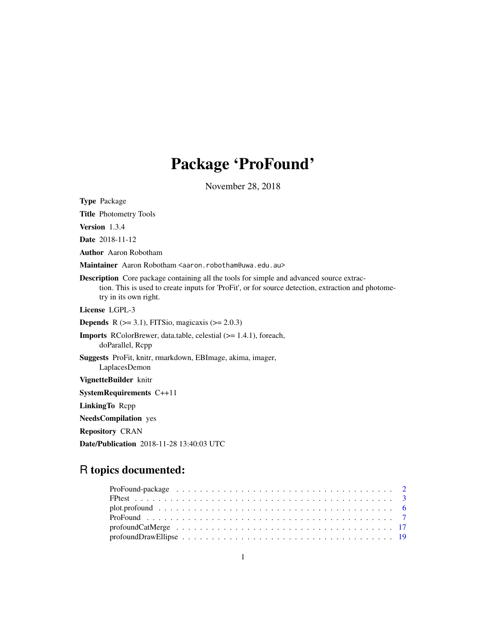# Package 'ProFound'

November 28, 2018

<span id="page-0-0"></span>Type Package

Title Photometry Tools

Version 1.3.4

Date 2018-11-12

Author Aaron Robotham

Maintainer Aaron Robotham <aaron.robotham@uwa.edu.au>

Description Core package containing all the tools for simple and advanced source extraction. This is used to create inputs for 'ProFit', or for source detection, extraction and photometry in its own right.

License LGPL-3

**Depends** R  $(>= 3.1)$ , FITSio, magicaxis  $(>= 2.0.3)$ 

Imports RColorBrewer, data.table, celestial (>= 1.4.1), foreach, doParallel, Rcpp

Suggests ProFit, knitr, rmarkdown, EBImage, akima, imager, LaplacesDemon

VignetteBuilder knitr

SystemRequirements C++11

LinkingTo Rcpp

NeedsCompilation yes

Repository CRAN

Date/Publication 2018-11-28 13:40:03 UTC

# R topics documented: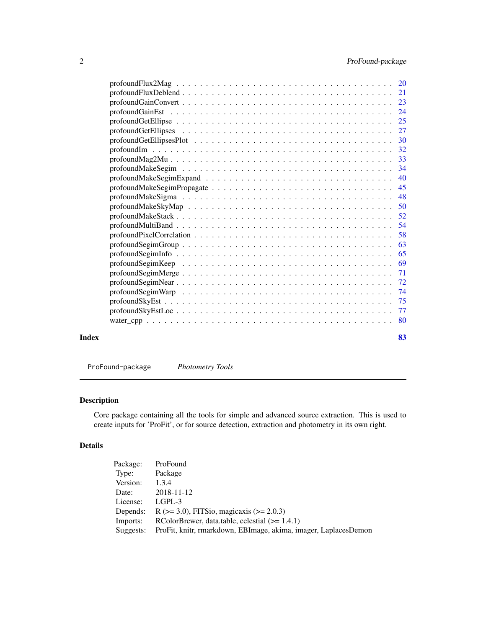<span id="page-1-0"></span>

|       | $\mathsf{profoundMultBand}\dots\dots\dots\dots\dots\dots\dots\dots\dots\dots\dots\dots\dots\dots\dots\dots\dots\dots\$ |     |
|-------|------------------------------------------------------------------------------------------------------------------------|-----|
|       |                                                                                                                        |     |
|       |                                                                                                                        | -63 |
|       |                                                                                                                        | 65  |
|       |                                                                                                                        |     |
|       |                                                                                                                        |     |
|       |                                                                                                                        |     |
|       |                                                                                                                        |     |
|       |                                                                                                                        |     |
|       |                                                                                                                        |     |
|       |                                                                                                                        |     |
| Index |                                                                                                                        | 83  |
|       |                                                                                                                        |     |

ProFound-package *Photometry Tools*

# Description

Core package containing all the tools for simple and advanced source extraction. This is used to create inputs for 'ProFit', or for source detection, extraction and photometry in its own right.

# Details

| Package:  | ProFound                                                        |
|-----------|-----------------------------------------------------------------|
| Type:     | Package                                                         |
| Version:  | 1.3.4                                                           |
| Date:     | 2018-11-12                                                      |
| License:  | LGPL-3                                                          |
| Depends:  | R ( $>= 3.0$ ), FITSio, magicaxis ( $>= 2.0.3$ )                |
| Imports:  | RColorBrewer, data.table, celestial $(>= 1.4.1)$                |
| Suggests: | ProFit, knitr, rmarkdown, EBImage, akima, imager, LaplacesDemon |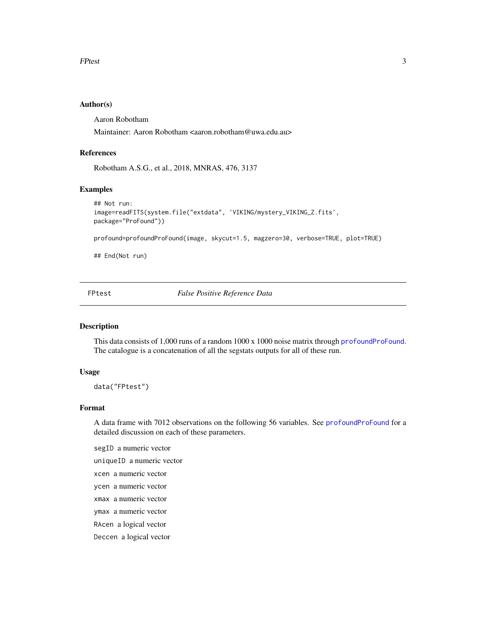#### <span id="page-2-0"></span>Author(s)

Aaron Robotham

Maintainer: Aaron Robotham <aaron.robotham@uwa.edu.au>

# References

Robotham A.S.G., et al., 2018, MNRAS, 476, 3137

# Examples

```
## Not run:
image=readFITS(system.file("extdata", 'VIKING/mystery_VIKING_Z.fits',
package="ProFound"))
profound=profoundProFound(image, skycut=1.5, magzero=30, verbose=TRUE, plot=TRUE)
```
## End(Not run)

FPtest *False Positive Reference Data*

#### Description

This data consists of 1,000 runs of a random 1000 x 1000 noise matrix through [profoundProFound](#page-6-1). The catalogue is a concatenation of all the segstats outputs for all of these run.

#### Usage

data("FPtest")

#### Format

A data frame with 7012 observations on the following 56 variables. See [profoundProFound](#page-6-1) for a detailed discussion on each of these parameters.

segID a numeric vector

uniqueID a numeric vector

xcen a numeric vector

- ycen a numeric vector
- xmax a numeric vector
- ymax a numeric vector

RAcen a logical vector

Deccen a logical vector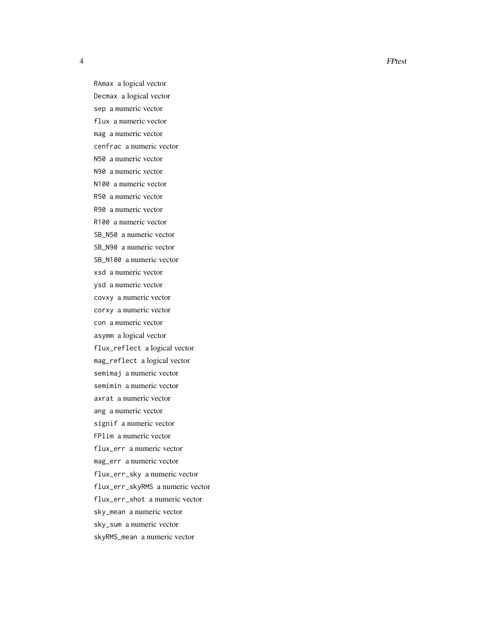RAmax a logical vector Decmax a logical vector sep a numeric vector flux a numeric vector mag a numeric vector cenfrac a numeric vector N50 a numeric vector N90 a numeric vector N100 a numeric vector R50 a numeric vector R90 a numeric vector R100 a numeric vector SB\_N50 a numeric vector SB\_N90 a numeric vector SB\_N100 a numeric vector xsd a numeric vector ysd a numeric vector covxy a numeric vector corxy a numeric vector con a numeric vector asymm a logical vector flux\_reflect a logical vector mag\_reflect a logical vector semimaj a numeric vector semimin a numeric vector axrat a numeric vector ang a numeric vector signif a numeric vector FPlim a numeric vector flux\_err a numeric vector mag\_err a numeric vector flux\_err\_sky a numeric vector flux\_err\_skyRMS a numeric vector flux\_err\_shot a numeric vector sky\_mean a numeric vector sky\_sum a numeric vector skyRMS\_mean a numeric vector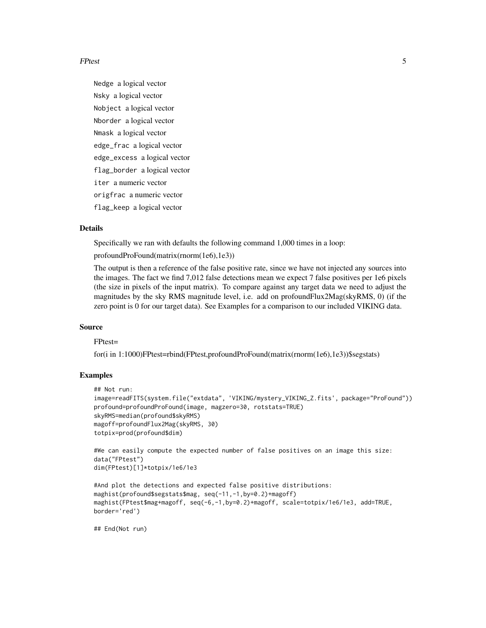#### FPtest 5

Nedge a logical vector Nsky a logical vector Nobject a logical vector Nborder a logical vector Nmask a logical vector edge\_frac a logical vector edge\_excess a logical vector flag\_border a logical vector iter a numeric vector origfrac a numeric vector flag\_keep a logical vector

#### Details

Specifically we ran with defaults the following command 1,000 times in a loop:

profoundProFound(matrix(rnorm(1e6),1e3))

The output is then a reference of the false positive rate, since we have not injected any sources into the images. The fact we find 7,012 false detections mean we expect 7 false positives per 1e6 pixels (the size in pixels of the input matrix). To compare against any target data we need to adjust the magnitudes by the sky RMS magnitude level, i.e. add on profoundFlux2Mag(skyRMS, 0) (if the zero point is 0 for our target data). See Examples for a comparison to our included VIKING data.

#### Source

FPtest=

for(i in 1:1000)FPtest=rbind(FPtest,profoundProFound(matrix(rnorm(1e6),1e3))\$segstats)

# Examples

```
## Not run:
image=readFITS(system.file("extdata", 'VIKING/mystery_VIKING_Z.fits', package="ProFound"))
profound=profoundProFound(image, magzero=30, rotstats=TRUE)
skyRMS=median(profound$skyRMS)
magoff=profoundFlux2Mag(skyRMS, 30)
totpix=prod(profound$dim)
```

```
#We can easily compute the expected number of false positives on an image this size:
data("FPtest")
dim(FPtest)[1]*totpix/1e6/1e3
```

```
#And plot the detections and expected false positive distributions:
maghist(profound$segstats$mag, seq(-11,-1,by=0.2)+magoff)
maghist(FPtest$mag+magoff, seq(-6,-1,by=0.2)+magoff, scale=totpix/1e6/1e3, add=TRUE,
border='red')
```
## End(Not run)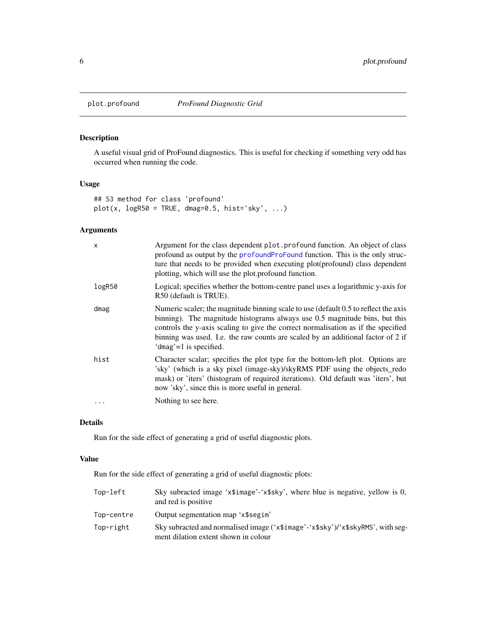<span id="page-5-0"></span>

# Description

A useful visual grid of ProFound diagnostics. This is useful for checking if something very odd has occurred when running the code.

# Usage

```
## S3 method for class 'profound'
plot(x, logR50 = TRUE, dmag=0.5, hist='sky', ...)
```
# Arguments

| $\mathsf{x}$ | Argument for the class dependent plot. profound function. An object of class<br>profound as output by the profoundProFound function. This is the only struc-<br>ture that needs to be provided when executing plot(profound) class dependent<br>plotting, which will use the plot.profound function.                                                                 |
|--------------|----------------------------------------------------------------------------------------------------------------------------------------------------------------------------------------------------------------------------------------------------------------------------------------------------------------------------------------------------------------------|
| logR50       | Logical; specifies whether the bottom-centre panel uses a logarithmic y-axis for<br>R50 (default is TRUE).                                                                                                                                                                                                                                                           |
| dmag         | Numeric scaler; the magnitude binning scale to use (default 0.5 to reflect the axis<br>binning). The magnitude histograms always use 0.5 magnitude bins, but this<br>controls the y-axis scaling to give the correct normalisation as if the specified<br>binning was used. I.e. the raw counts are scaled by an additional factor of 2 if<br>'dmag'=1 is specified. |
| hist         | Character scalar; specifies the plot type for the bottom-left plot. Options are<br>'sky' (which is a sky pixel (image-sky)/skyRMS PDF using the objects_redo<br>mask) or 'iters' (histogram of required iterations). Old default was 'iters', but<br>now 'sky', since this is more useful in general.                                                                |
|              | Nothing to see here.                                                                                                                                                                                                                                                                                                                                                 |

# Details

Run for the side effect of generating a grid of useful diagnostic plots.

# Value

Run for the side effect of generating a grid of useful diagnostic plots:

| Top-left   | Sky subracted image 'x\\$image'-'x\\$sky', where blue is negative, yellow is 0,<br>and red is positive.                 |
|------------|-------------------------------------------------------------------------------------------------------------------------|
| Top-centre | Output segmentation map 'x\segim'                                                                                       |
| Top-right  | Sky subracted and normalised image ('x\$image'-'x\$sky')/'x\$skyRMS', with seg-<br>ment dilation extent shown in colour |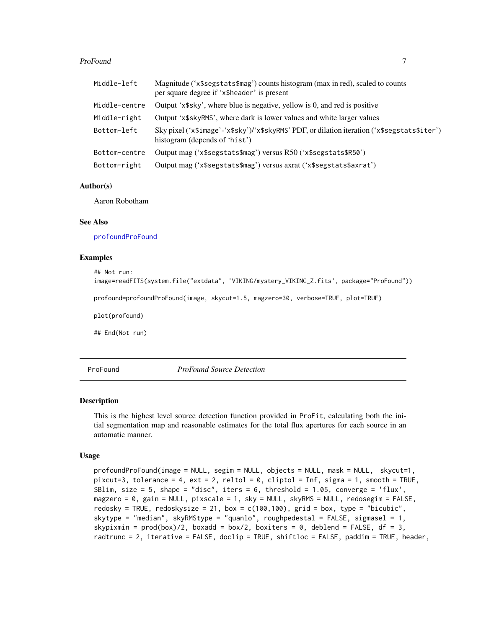#### <span id="page-6-0"></span>ProFound 2008 and 2008 and 2008 and 2008 and 2008 and 2008 and 2008 and 2008 and 2008 and 2008 and 2008 and 20

| Middle-left   | Magnitude ('x\$segstats\$mag') counts histogram (max in red), scaled to counts<br>per square degree if 'x\$header' is present |
|---------------|-------------------------------------------------------------------------------------------------------------------------------|
| Middle-centre | Output 'x\$sky', where blue is negative, yellow is 0, and red is positive                                                     |
| Middle-right  | Output 'x\$skyRMS', where dark is lower values and white larger values                                                        |
| Bottom-left   | Sky pixel ('x\$image'-'x\$sky')/'x\$skyRMS' PDF, or dilation iteration ('x\$segstats\$iter')<br>histogram (depends of 'hist') |
| Bottom-centre | Output mag ('x\$segstats\$mag') versus R50 ('x\$segstats\$R50')                                                               |
| Bottom-right  | Output mag ('x\$segstats\$mag') versus axrat ('x\$segstats\$axrat')                                                           |

#### Author(s)

Aaron Robotham

# See Also

[profoundProFound](#page-6-1)

# Examples

```
## Not run:
image=readFITS(system.file("extdata", 'VIKING/mystery_VIKING_Z.fits', package="ProFound"))
profound=profoundProFound(image, skycut=1.5, magzero=30, verbose=TRUE, plot=TRUE)
plot(profound)
## End(Not run)
```
ProFound *ProFound Source Detection*

#### <span id="page-6-1"></span>Description

This is the highest level source detection function provided in ProFit, calculating both the initial segmentation map and reasonable estimates for the total flux apertures for each source in an automatic manner.

#### Usage

```
profoundProFound(image = NULL, segim = NULL, objects = NULL, mask = NULL, skycut=1,
pixcut=3, tolerance = 4, ext{ext} = 2, reltol = 0, cliptol = Inf, signa = 1, smooth = TRUE,
SBlim, size = 5, shape = "disc", iters = 6, threshold = 1.05, converge = 'flux',
magzero = 0, gain = NULL, pixscale = 1, sky = NULL, skyRMS = NULL, redosegim = FALSE,
redosky = TRUE, redoskysize = 21, box = c(100, 100), grid = box, type = "bicubic",
skytype = "median", skyRMStype = "quanlo", roughpedestal = FALSE, sigmasel = 1,
skypixmin = prod(box)/2, boxadd = box/2, boxiters = 0, deblend = FALSE, df = 3,
radtrunc = 2, iterative = FALSE, doclip = TRUE, shiftloc = FALSE, paddim = TRUE, header,
```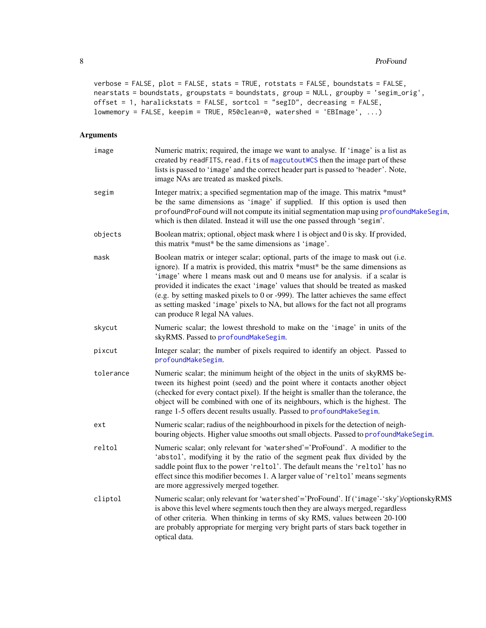```
verbose = FALSE, plot = FALSE, stats = TRUE, rotstats = FALSE, boundstats = FALSE,
nearstats = boundstats, groupstats = boundstats, group = NULL, groupby = 'segim_orig',
offset = 1, haralickstats = FALSE, sortcol = "segID", decreasing = FALSE,
lowmemory = FALSE, keepim = TRUE, R50clean=0, watershed = 'EBImage', ...)
```
# Arguments

| image     | Numeric matrix; required, the image we want to analyse. If 'image' is a list as<br>created by readFITS, read. fits of magcutout WCS then the image part of these<br>lists is passed to 'image' and the correct header part is passed to 'header'. Note,<br>image NAs are treated as masked pixels.                                                                                                                                                                                                                                              |
|-----------|-------------------------------------------------------------------------------------------------------------------------------------------------------------------------------------------------------------------------------------------------------------------------------------------------------------------------------------------------------------------------------------------------------------------------------------------------------------------------------------------------------------------------------------------------|
| segim     | Integer matrix; a specified segmentation map of the image. This matrix *must*<br>be the same dimensions as 'image' if supplied. If this option is used then<br>profoundProFound will not compute its initial segmentation map using profoundMakeSegim,<br>which is then dilated. Instead it will use the one passed through 'segim'.                                                                                                                                                                                                            |
| objects   | Boolean matrix; optional, object mask where 1 is object and 0 is sky. If provided,<br>this matrix *must* be the same dimensions as 'image'.                                                                                                                                                                                                                                                                                                                                                                                                     |
| mask      | Boolean matrix or integer scalar; optional, parts of the image to mask out (i.e.<br>ignore). If a matrix is provided, this matrix *must* be the same dimensions as<br>'image' where 1 means mask out and 0 means use for analysis. if a scalar is<br>provided it indicates the exact 'image' values that should be treated as masked<br>(e.g. by setting masked pixels to 0 or -999). The latter achieves the same effect<br>as setting masked 'image' pixels to NA, but allows for the fact not all programs<br>can produce R legal NA values. |
| skycut    | Numeric scalar; the lowest threshold to make on the 'image' in units of the<br>skyRMS. Passed to profoundMakeSegim.                                                                                                                                                                                                                                                                                                                                                                                                                             |
| pixcut    | Integer scalar; the number of pixels required to identify an object. Passed to<br>profoundMakeSegim.                                                                                                                                                                                                                                                                                                                                                                                                                                            |
| tolerance | Numeric scalar; the minimum height of the object in the units of skyRMS be-<br>tween its highest point (seed) and the point where it contacts another object<br>(checked for every contact pixel). If the height is smaller than the tolerance, the<br>object will be combined with one of its neighbours, which is the highest. The<br>range 1-5 offers decent results usually. Passed to profoundMakeSegim.                                                                                                                                   |
| ext       | Numeric scalar; radius of the neighbourhood in pixels for the detection of neigh-<br>bouring objects. Higher value smooths out small objects. Passed to profoundMakeSegim.                                                                                                                                                                                                                                                                                                                                                                      |
| reltol    | Numeric scalar; only relevant for 'watershed'='ProFound'. A modifier to the<br>'abstol', modifying it by the ratio of the segment peak flux divided by the<br>saddle point flux to the power 'reltol'. The default means the 'reltol' has no<br>effect since this modifier becomes 1. A larger value of 'reltol' means segments<br>are more aggressively merged together.                                                                                                                                                                       |
| cliptol   | Numeric scalar; only relevant for 'watershed'='ProFound'. If ('image'-'sky')/optionskyRMS<br>is above this level where segments touch then they are always merged, regardless<br>of other criteria. When thinking in terms of sky RMS, values between 20-100<br>are probably appropriate for merging very bright parts of stars back together in<br>optical data.                                                                                                                                                                               |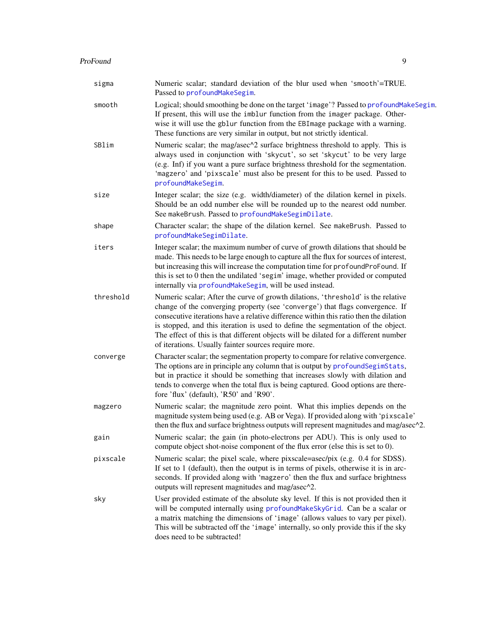| sigma     | Numeric scalar; standard deviation of the blur used when 'smooth'=TRUE.<br>Passed to profoundMakeSegim.                                                                                                                                                                                                                                                                                                                                                                                       |
|-----------|-----------------------------------------------------------------------------------------------------------------------------------------------------------------------------------------------------------------------------------------------------------------------------------------------------------------------------------------------------------------------------------------------------------------------------------------------------------------------------------------------|
| smooth    | Logical; should smoothing be done on the target 'image'? Passed to profound Make Segim.<br>If present, this will use the imblur function from the imager package. Other-<br>wise it will use the gblur function from the EBI mage package with a warning.<br>These functions are very similar in output, but not strictly identical.                                                                                                                                                          |
| SBlim     | Numeric scalar; the mag/asec^2 surface brightness threshold to apply. This is<br>always used in conjunction with 'skycut', so set 'skycut' to be very large<br>(e.g. Inf) if you want a pure surface brightness threshold for the segmentation.<br>'magzero' and 'pixscale' must also be present for this to be used. Passed to<br>profoundMakeSegim.                                                                                                                                         |
| size      | Integer scalar; the size (e.g. width/diameter) of the dilation kernel in pixels.<br>Should be an odd number else will be rounded up to the nearest odd number.<br>See makeBrush. Passed to profoundMakeSegimDilate.                                                                                                                                                                                                                                                                           |
| shape     | Character scalar; the shape of the dilation kernel. See makeBrush. Passed to<br>profoundMakeSegimDilate.                                                                                                                                                                                                                                                                                                                                                                                      |
| iters     | Integer scalar; the maximum number of curve of growth dilations that should be<br>made. This needs to be large enough to capture all the flux for sources of interest,<br>but increasing this will increase the computation time for profoundProFound. If<br>this is set to 0 then the undilated 'segim' image, whether provided or computed<br>internally via profoundMakeSegim, will be used instead.                                                                                       |
| threshold | Numeric scalar; After the curve of growth dilations, 'threshold' is the relative<br>change of the converging property (see 'converge') that flags convergence. If<br>consecutive iterations have a relative difference within this ratio then the dilation<br>is stopped, and this iteration is used to define the segmentation of the object.<br>The effect of this is that different objects will be dilated for a different number<br>of iterations. Usually fainter sources require more. |
| converge  | Character scalar; the segmentation property to compare for relative convergence.<br>The options are in principle any column that is output by profound SegimStats,<br>but in practice it should be something that increases slowly with dilation and<br>tends to converge when the total flux is being captured. Good options are there-<br>fore 'flux' (default), 'R50' and 'R90'.                                                                                                           |
| magzero   | Numeric scalar; the magnitude zero point. What this implies depends on the<br>magnitude system being used (e.g. AB or Vega). If provided along with 'pixscale'<br>then the flux and surface brightness outputs will represent magnitudes and mag/asec^2.                                                                                                                                                                                                                                      |
| gain      | Numeric scalar; the gain (in photo-electrons per ADU). This is only used to<br>compute object shot-noise component of the flux error (else this is set to 0).                                                                                                                                                                                                                                                                                                                                 |
| pixscale  | Numeric scalar; the pixel scale, where pixscale=asec/pix (e.g. 0.4 for SDSS).<br>If set to 1 (default), then the output is in terms of pixels, otherwise it is in arc-<br>seconds. If provided along with 'magzero' then the flux and surface brightness<br>outputs will represent magnitudes and mag/asec^2.                                                                                                                                                                                 |
| sky       | User provided estimate of the absolute sky level. If this is not provided then it<br>will be computed internally using profound Make Sky Grid. Can be a scalar or<br>a matrix matching the dimensions of 'image' (allows values to vary per pixel).<br>This will be subtracted off the 'image' internally, so only provide this if the sky<br>does need to be subtracted!                                                                                                                     |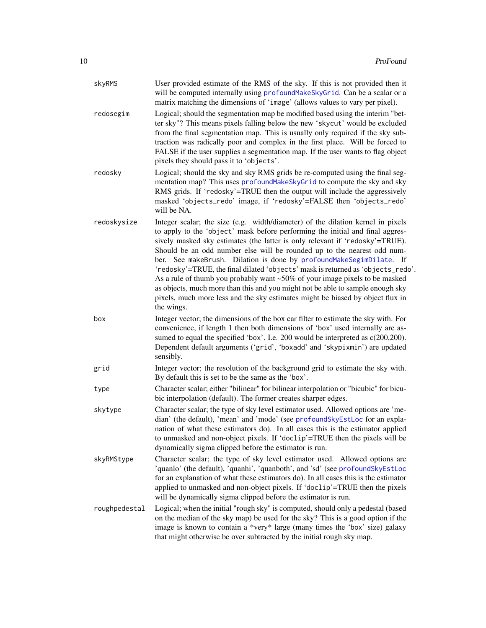| skyRMS        | User provided estimate of the RMS of the sky. If this is not provided then it<br>will be computed internally using profoundMakeSkyGrid. Can be a scalar or a<br>matrix matching the dimensions of 'image' (allows values to vary per pixel).                                                                                                                                                                                                                                                                                                                                                                                                                                                                                                           |
|---------------|--------------------------------------------------------------------------------------------------------------------------------------------------------------------------------------------------------------------------------------------------------------------------------------------------------------------------------------------------------------------------------------------------------------------------------------------------------------------------------------------------------------------------------------------------------------------------------------------------------------------------------------------------------------------------------------------------------------------------------------------------------|
| redosegim     | Logical; should the segmentation map be modified based using the interim "bet-<br>ter sky"? This means pixels falling below the new 'skycut' would be excluded<br>from the final segmentation map. This is usually only required if the sky sub-<br>traction was radically poor and complex in the first place. Will be forced to<br>FALSE if the user supplies a segmentation map. If the user wants to flag object<br>pixels they should pass it to 'objects'.                                                                                                                                                                                                                                                                                       |
| redosky       | Logical; should the sky and sky RMS grids be re-computed using the final seg-<br>mentation map? This uses profoundMakeSkyGrid to compute the sky and sky<br>RMS grids. If 'redosky'=TRUE then the output will include the aggressively<br>masked 'objects_redo' image, if 'redosky'=FALSE then 'objects_redo'<br>will be NA.                                                                                                                                                                                                                                                                                                                                                                                                                           |
| redoskysize   | Integer scalar; the size (e.g. width/diameter) of the dilation kernel in pixels<br>to apply to the 'object' mask before performing the initial and final aggres-<br>sively masked sky estimates (the latter is only relevant if 'redosky'=TRUE).<br>Should be an odd number else will be rounded up to the nearest odd num-<br>ber. See makeBrush. Dilation is done by profoundMakeSegimDilate. If<br>'redosky'=TRUE, the final dilated 'objects' mask is returned as 'objects_redo'.<br>As a rule of thumb you probably want ~50% of your image pixels to be masked<br>as objects, much more than this and you might not be able to sample enough sky<br>pixels, much more less and the sky estimates might be biased by object flux in<br>the wings. |
| box           | Integer vector; the dimensions of the box car filter to estimate the sky with. For<br>convenience, if length 1 then both dimensions of 'box' used internally are as-<br>sumed to equal the specified 'box'. I.e. 200 would be interpreted as c(200,200).<br>Dependent default arguments ('grid', 'boxadd' and 'skypixmin') are updated<br>sensibly.                                                                                                                                                                                                                                                                                                                                                                                                    |
| grid          | Integer vector; the resolution of the background grid to estimate the sky with.<br>By default this is set to be the same as the 'box'.                                                                                                                                                                                                                                                                                                                                                                                                                                                                                                                                                                                                                 |
| type          | Character scalar; either "bilinear" for bilinear interpolation or "bicubic" for bicu-<br>bic interpolation (default). The former creates sharper edges.                                                                                                                                                                                                                                                                                                                                                                                                                                                                                                                                                                                                |
| skytype       | Character scalar; the type of sky level estimator used. Allowed options are 'me-<br>dian' (the default), 'mean' and 'mode' (see profoundSkyEstLoc for an expla-<br>nation of what these estimators do). In all cases this is the estimator applied<br>to unmasked and non-object pixels. If 'doclip'=TRUE then the pixels will be<br>dynamically sigma clipped before the estimator is run.                                                                                                                                                                                                                                                                                                                                                            |
| skyRMStype    | Character scalar; the type of sky level estimator used. Allowed options are<br>'quanlo' (the default), 'quanhi', 'quanboth', and 'sd' (see profoundSkyEstLoc<br>for an explanation of what these estimators do). In all cases this is the estimator<br>applied to unmasked and non-object pixels. If 'doclip'=TRUE then the pixels<br>will be dynamically sigma clipped before the estimator is run.                                                                                                                                                                                                                                                                                                                                                   |
| roughpedestal | Logical; when the initial "rough sky" is computed, should only a pedestal (based<br>on the median of the sky map) be used for the sky? This is a good option if the<br>image is known to contain a *very* large (many times the 'box' size) galaxy<br>that might otherwise be over subtracted by the initial rough sky map.                                                                                                                                                                                                                                                                                                                                                                                                                            |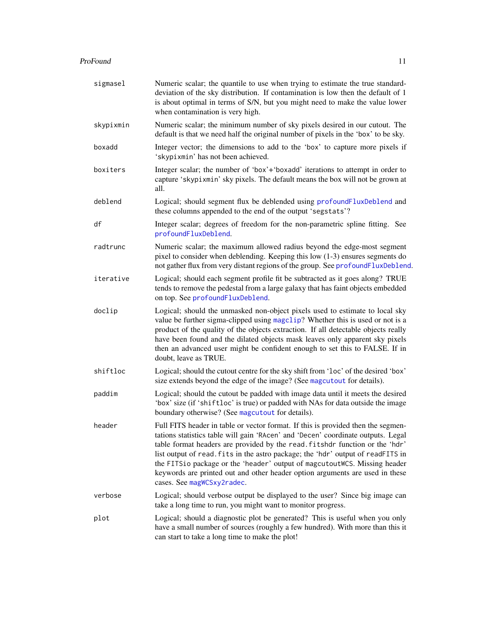#### ProFound 11

| sigmasel  | Numeric scalar; the quantile to use when trying to estimate the true standard-<br>deviation of the sky distribution. If contamination is low then the default of 1<br>is about optimal in terms of S/N, but you might need to make the value lower<br>when contamination is very high.                                                                                                                                                                                                                                              |
|-----------|-------------------------------------------------------------------------------------------------------------------------------------------------------------------------------------------------------------------------------------------------------------------------------------------------------------------------------------------------------------------------------------------------------------------------------------------------------------------------------------------------------------------------------------|
| skypixmin | Numeric scalar; the minimum number of sky pixels desired in our cutout. The<br>default is that we need half the original number of pixels in the 'box' to be sky.                                                                                                                                                                                                                                                                                                                                                                   |
| boxadd    | Integer vector; the dimensions to add to the 'box' to capture more pixels if<br>'skypixmin' has not been achieved.                                                                                                                                                                                                                                                                                                                                                                                                                  |
| boxiters  | Integer scalar; the number of 'box'+'boxadd' iterations to attempt in order to<br>capture 'skypixmin' sky pixels. The default means the box will not be grown at<br>all.                                                                                                                                                                                                                                                                                                                                                            |
| deblend   | Logical; should segment flux be deblended using profoundFluxDeblend and<br>these columns appended to the end of the output 'segstats'?                                                                                                                                                                                                                                                                                                                                                                                              |
| df        | Integer scalar; degrees of freedom for the non-parametric spline fitting. See<br>profoundFluxDeblend.                                                                                                                                                                                                                                                                                                                                                                                                                               |
| radtrunc  | Numeric scalar; the maximum allowed radius beyond the edge-most segment<br>pixel to consider when deblending. Keeping this low $(1-3)$ ensures segments do<br>not gather flux from very distant regions of the group. See profoundFluxDeblend.                                                                                                                                                                                                                                                                                      |
| iterative | Logical; should each segment profile fit be subtracted as it goes along? TRUE<br>tends to remove the pedestal from a large galaxy that has faint objects embedded<br>on top. See profoundFluxDeblend.                                                                                                                                                                                                                                                                                                                               |
| doclip    | Logical; should the unmasked non-object pixels used to estimate to local sky<br>value be further sigma-clipped using magclip? Whether this is used or not is a<br>product of the quality of the objects extraction. If all detectable objects really<br>have been found and the dilated objects mask leaves only apparent sky pixels<br>then an advanced user might be confident enough to set this to FALSE. If in<br>doubt, leave as TRUE.                                                                                        |
| shiftloc  | Logical; should the cutout centre for the sky shift from 'loc' of the desired 'box'<br>size extends beyond the edge of the image? (See magcutout for details).                                                                                                                                                                                                                                                                                                                                                                      |
| paddim    | Logical; should the cutout be padded with image data until it meets the desired<br>'box' size (if 'shiftloc' is true) or padded with NAs for data outside the image<br>boundary otherwise? (See magcutout for details).                                                                                                                                                                                                                                                                                                             |
| header    | Full FITS header in table or vector format. If this is provided then the segmen-<br>tations statistics table will gain 'RAcen' and 'Decen' coordinate outputs. Legal<br>table format headers are provided by the read. fitshdr function or the 'hdr'<br>list output of read. fits in the astro package; the 'hdr' output of readFITS in<br>the FITSio package or the 'header' output of magcutout WCS. Missing header<br>keywords are printed out and other header option arguments are used in these<br>cases. See magWCSxy2radec. |
| verbose   | Logical; should verbose output be displayed to the user? Since big image can<br>take a long time to run, you might want to monitor progress.                                                                                                                                                                                                                                                                                                                                                                                        |
| plot      | Logical; should a diagnostic plot be generated? This is useful when you only<br>have a small number of sources (roughly a few hundred). With more than this it<br>can start to take a long time to make the plot!                                                                                                                                                                                                                                                                                                                   |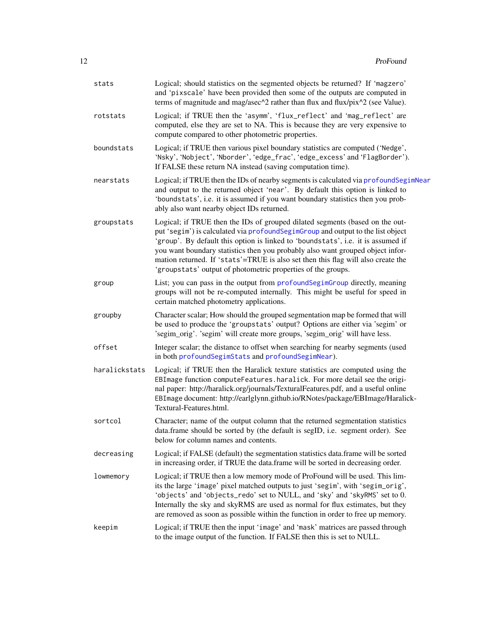| stats         | Logical; should statistics on the segmented objects be returned? If 'magzero'<br>and 'pixscale' have been provided then some of the outputs are computed in<br>terms of magnitude and mag/asec^2 rather than flux and flux/pix^2 (see Value).                                                                                                                                                                                                                                               |
|---------------|---------------------------------------------------------------------------------------------------------------------------------------------------------------------------------------------------------------------------------------------------------------------------------------------------------------------------------------------------------------------------------------------------------------------------------------------------------------------------------------------|
| rotstats      | Logical; if TRUE then the 'asymm', 'flux_reflect' and 'mag_reflect' are<br>computed, else they are set to NA. This is because they are very expensive to<br>compute compared to other photometric properties.                                                                                                                                                                                                                                                                               |
| boundstats    | Logical; if TRUE then various pixel boundary statistics are computed ('Nedge',<br>'Nsky', 'Nobject', 'Nborder', 'edge_frac', 'edge_excess' and 'FlagBorder').<br>If FALSE these return NA instead (saving computation time).                                                                                                                                                                                                                                                                |
| nearstats     | Logical; if TRUE then the IDs of nearby segments is calculated via profoundSegimNear<br>and output to the returned object 'near'. By default this option is linked to<br>'boundstats', i.e. it is assumed if you want boundary statistics then you prob-<br>ably also want nearby object IDs returned.                                                                                                                                                                                      |
| groupstats    | Logical; if TRUE then the IDs of grouped dilated segments (based on the out-<br>put 'segim') is calculated via profound Segim Group and output to the list object<br>'group'. By default this option is linked to 'boundstats', i.e. it is assumed if<br>you want boundary statistics then you probably also want grouped object infor-<br>mation returned. If 'stats'=TRUE is also set then this flag will also create the<br>'groupstats' output of photometric properties of the groups. |
| group         | List; you can pass in the output from profoundSegimGroup directly, meaning<br>groups will not be re-computed internally. This might be useful for speed in<br>certain matched photometry applications.                                                                                                                                                                                                                                                                                      |
| groupby       | Character scalar; How should the grouped segmentation map be formed that will<br>be used to produce the 'groupstats' output? Options are either via 'segim' or<br>'segim_orig'. 'segim' will create more groups, 'segim_orig' will have less.                                                                                                                                                                                                                                               |
| offset        | Integer scalar; the distance to offset when searching for nearby segments (used<br>in both profoundSegimStats and profoundSegimNear).                                                                                                                                                                                                                                                                                                                                                       |
| haralickstats | Logical; if TRUE then the Haralick texture statistics are computed using the<br>EBImage function computeFeatures.haralick. For more detail see the origi-<br>nal paper: http://haralick.org/journals/TexturalFeatures.pdf, and a useful online<br>EBImage document: http://earlglynn.github.io/RNotes/package/EBImage/Haralick-<br>Textural-Features.html.                                                                                                                                  |
| sortcol       | Character; name of the output column that the returned segmentation statistics<br>data.frame should be sorted by (the default is segID, i.e. segment order). See<br>below for column names and contents.                                                                                                                                                                                                                                                                                    |
| decreasing    | Logical; if FALSE (default) the segmentation statistics data.frame will be sorted<br>in increasing order, if TRUE the data.frame will be sorted in decreasing order.                                                                                                                                                                                                                                                                                                                        |
| lowmemory     | Logical; if TRUE then a low memory mode of ProFound will be used. This lim-<br>its the large 'image' pixel matched outputs to just 'segim', with 'segim_orig',<br>'objects' and 'objects_redo' set to NULL, and 'sky' and 'skyRMS' set to 0.<br>Internally the sky and skyRMS are used as normal for flux estimates, but they<br>are removed as soon as possible within the function in order to free up memory.                                                                            |
| keepim        | Logical; if TRUE then the input 'image' and 'mask' matrices are passed through<br>to the image output of the function. If FALSE then this is set to NULL.                                                                                                                                                                                                                                                                                                                                   |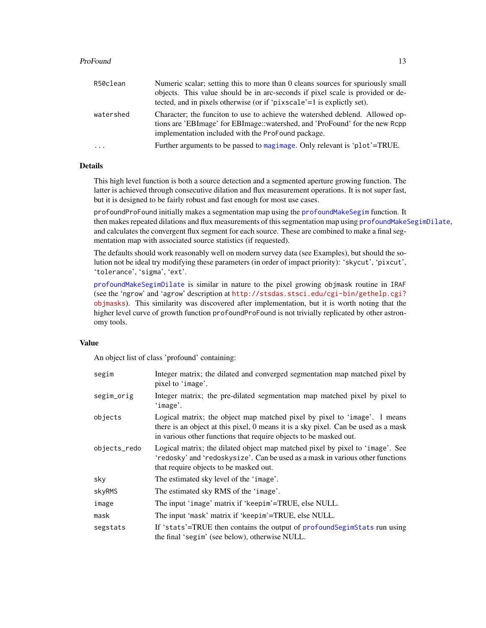#### ProFound 23

| R50clean  | Numeric scalar; setting this to more than 0 cleans sources for spuriously small<br>objects. This value should be in arc-seconds if pixel scale is provided or de-<br>tected, and in pixels otherwise (or if 'pixscale'=1 is explictly set). |
|-----------|---------------------------------------------------------------------------------------------------------------------------------------------------------------------------------------------------------------------------------------------|
| watershed | Character; the funciton to use to achieve the watershed deblend. Allowed op-<br>tions are 'EBImage' for EBImage::watershed, and 'ProFound' for the new Rcpp<br>implementation included with the ProFound package.                           |
| .         | Further arguments to be passed to magimage. Only relevant is 'plot'=TRUE.                                                                                                                                                                   |

# Details

This high level function is both a source detection and a segmented aperture growing function. The latter is achieved through consecutive dilation and flux measurement operations. It is not super fast, but it is designed to be fairly robust and fast enough for most use cases.

profoundProFound initially makes a segmentation map using the [profoundMakeSegim](#page-33-1) function. It then makes repeated dilations and flux measurements of this segmentation map using [profoundMakeSegimDilate](#page-39-1), and calculates the convergent flux segment for each source. These are combined to make a final segmentation map with associated source statistics (if requested).

The defaults should work reasonably well on modern survey data (see Examples), but should the solution not be ideal try modifying these parameters (in order of impact priority): 'skycut', 'pixcut', 'tolerance', 'sigma', 'ext'.

[profoundMakeSegimDilate](#page-39-1) is similar in nature to the pixel growing objmask routine in IRAF (see the 'ngrow' and 'agrow' description at [http://stsdas.stsci.edu/cgi-bin/gethelp.cgi?](http://stsdas.stsci.edu/cgi-bin/gethelp.cgi?objmasks) [objmasks](http://stsdas.stsci.edu/cgi-bin/gethelp.cgi?objmasks)). This similarity was discovered after implementation, but it is worth noting that the higher level curve of growth function profoundProFound is not trivially replicated by other astronomy tools.

#### Value

An object list of class 'profound' containing:

| segim        | Integer matrix; the dilated and converged segmentation map matched pixel by<br>pixel to 'image'.                                                                                                                                     |
|--------------|--------------------------------------------------------------------------------------------------------------------------------------------------------------------------------------------------------------------------------------|
| segim_orig   | Integer matrix; the pre-dilated segmentation map matched pixel by pixel to<br>'image'.                                                                                                                                               |
| objects      | Logical matrix; the object map matched pixel by pixel to 'image'. 1 means<br>there is an object at this pixel, 0 means it is a sky pixel. Can be used as a mask<br>in various other functions that require objects to be masked out. |
| objects_redo | Logical matrix; the dilated object map matched pixel by pixel to 'image'. See<br>'redosky' and 'redoskysize'. Can be used as a mask in various other functions<br>that require objects to be masked out.                             |
| sky          | The estimated sky level of the 'image'.                                                                                                                                                                                              |
| skyRMS       | The estimated sky RMS of the 'image'.                                                                                                                                                                                                |
| image        | The input 'image' matrix if 'keepim'=TRUE, else NULL.                                                                                                                                                                                |
| mask         | The input 'mask' matrix if 'keepim'=TRUE, else NULL.                                                                                                                                                                                 |
| segstats     | If 'stats'=TRUE then contains the output of profound SegimStats run using<br>the final 'segim' (see below), otherwise NULL.                                                                                                          |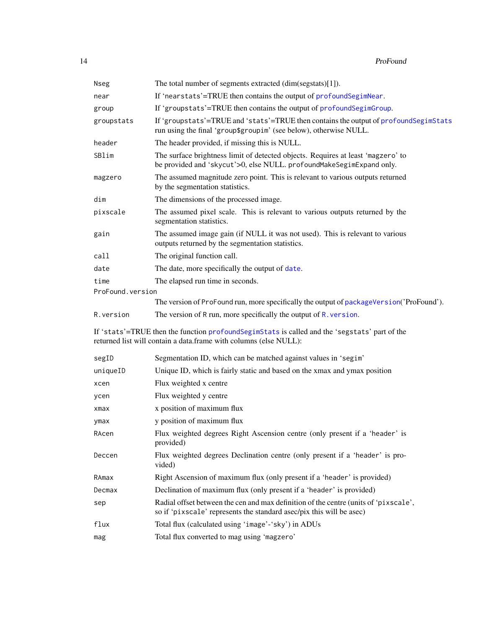| Nseg             | The total number of segments extracted (dim(segstats)[1]).                                                                                                          |
|------------------|---------------------------------------------------------------------------------------------------------------------------------------------------------------------|
| near             | If 'nearstats'=TRUE then contains the output of profoundSegimNear.                                                                                                  |
| group            | If 'groupstats'=TRUE then contains the output of profoundSegimGroup.                                                                                                |
| groupstats       | If 'groupstats'=TRUE and 'stats'=TRUE then contains the output of profound SegimStats<br>run using the final 'group\$groupim' (see below), otherwise NULL.          |
| header           | The header provided, if missing this is NULL.                                                                                                                       |
| SBlim            | The surface brightness limit of detected objects. Requires at least 'magzero' to<br>be provided and 'skycut'>0, else NULL. profoundMakeSegimExpand only.            |
| magzero          | The assumed magnitude zero point. This is relevant to various outputs returned<br>by the segmentation statistics.                                                   |
| dim              | The dimensions of the processed image.                                                                                                                              |
| pixscale         | The assumed pixel scale. This is relevant to various outputs returned by the<br>segmentation statistics.                                                            |
| gain             | The assumed image gain (if NULL it was not used). This is relevant to various<br>outputs returned by the segmentation statistics.                                   |
| call             | The original function call.                                                                                                                                         |
| date             | The date, more specifically the output of date.                                                                                                                     |
| time             | The elapsed run time in seconds.                                                                                                                                    |
| ProFound.version |                                                                                                                                                                     |
|                  | The version of ProFound run, more specifically the output of packageVersion('ProFound').                                                                            |
| R.version        | The version of R run, more specifically the output of R. version.                                                                                                   |
|                  | If 'stats'=TRUE then the function profound SegimStats is called and the 'segstats' part of the<br>returned list will contain a data.frame with columns (else NULL): |
| segID            | Segmentation ID, which can be matched against values in 'segim'                                                                                                     |
| uniqueID         | Unique ID, which is fairly static and based on the xmax and ymax position                                                                                           |
| xcen             | Flux weighted x centre                                                                                                                                              |
| ycen             | Flux weighted y centre                                                                                                                                              |
| xmax             | x position of maximum flux                                                                                                                                          |
| ymax             | y position of maximum flux                                                                                                                                          |
| RAcen            | Flux weighted degrees Right Ascension centre (only present if a 'header' is<br>provided)                                                                            |
| Deccen           | Flux weighted degrees Declination centre (only present if a 'header' is pro-<br>vided)                                                                              |
| RAmax            | Right Ascension of maximum flux (only present if a 'header' is provided)                                                                                            |
| Decmax           | Declination of maximum flux (only present if a 'header' is provided)                                                                                                |
| sep              | Radial offset between the cen and max definition of the centre (units of 'pixscale',<br>so if 'pixscale' represents the standard asec/pix this will be asec)        |
| flux             | Total flux (calculated using 'image'-'sky') in ADUs                                                                                                                 |
| mag              | Total flux converted to mag using 'magzero'                                                                                                                         |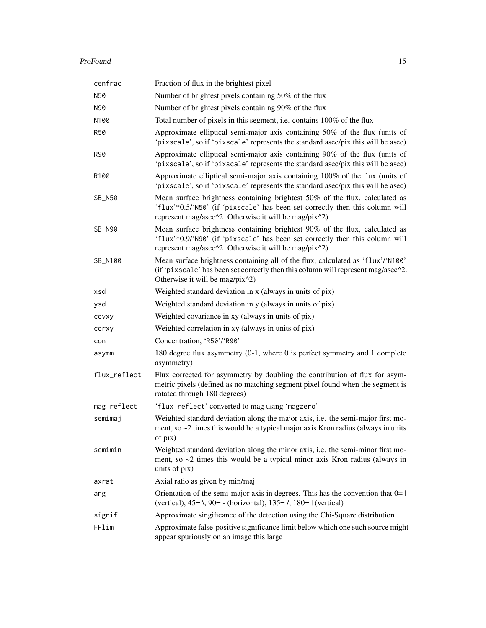#### ProFound 25 and 25 and 26 and 26 and 26 and 26 and 26 and 26 and 26 and 26 and 26 and 26 and 26 and 26 and 26

| cenfrac      | Fraction of flux in the brightest pixel                                                                                                                                                                              |
|--------------|----------------------------------------------------------------------------------------------------------------------------------------------------------------------------------------------------------------------|
| N50          | Number of brightest pixels containing 50% of the flux                                                                                                                                                                |
| N90          | Number of brightest pixels containing 90% of the flux                                                                                                                                                                |
| N100         | Total number of pixels in this segment, i.e. contains 100% of the flux                                                                                                                                               |
| <b>R50</b>   | Approximate elliptical semi-major axis containing 50% of the flux (units of<br>'pixscale', so if 'pixscale' represents the standard asec/pix this will be asec)                                                      |
| R90          | Approximate elliptical semi-major axis containing 90% of the flux (units of<br>'pixscale', so if 'pixscale' represents the standard asec/pix this will be asec)                                                      |
| R100         | Approximate elliptical semi-major axis containing 100% of the flux (units of<br>'pixscale', so if 'pixscale' represents the standard asec/pix this will be asec)                                                     |
| SB_N50       | Mean surface brightness containing brightest 50% of the flux, calculated as<br>'flux'*0.5/'N50' (if 'pixscale' has been set correctly then this column will<br>represent mag/asec^2. Otherwise it will be mag/pix^2) |
| SB_N90       | Mean surface brightness containing brightest 90% of the flux, calculated as<br>'flux'*0.9/'N90' (if 'pixscale' has been set correctly then this column will<br>represent mag/asec^2. Otherwise it will be mag/pix^2) |
| SB_N100      | Mean surface brightness containing all of the flux, calculated as 'flux'/'N100'<br>(if 'pixscale' has been set correctly then this column will represent mag/asec^2.<br>Otherwise it will be mag/pix^2)              |
| xsd          | Weighted standard deviation in x (always in units of pix)                                                                                                                                                            |
| ysd          | Weighted standard deviation in y (always in units of pix)                                                                                                                                                            |
| covxy        | Weighted covariance in xy (always in units of pix)                                                                                                                                                                   |
| corxy        | Weighted correlation in xy (always in units of pix)                                                                                                                                                                  |
| con          | Concentration, 'R50'/'R90'                                                                                                                                                                                           |
| asymm        | 180 degree flux asymmetry (0-1, where 0 is perfect symmetry and 1 complete<br>asymmetry)                                                                                                                             |
| flux_reflect | Flux corrected for asymmetry by doubling the contribution of flux for asym-<br>metric pixels (defined as no matching segment pixel found when the segment is<br>rotated through 180 degrees)                         |
| mag_reflect  | 'flux_reflect' converted to mag using 'magzero'                                                                                                                                                                      |
| semimaj      | Weighted standard deviation along the major axis, i.e. the semi-major first mo-<br>ment, so $\sim$ 2 times this would be a typical major axis Kron radius (always in units<br>of pix)                                |
| semimin      | Weighted standard deviation along the minor axis, i.e. the semi-minor first mo-<br>ment, so $\sim$ 2 times this would be a typical minor axis Kron radius (always in<br>units of pix)                                |
| axrat        | Axial ratio as given by min/maj                                                                                                                                                                                      |
| ang          | Orientation of the semi-major axis in degrees. This has the convention that $0=1$<br>(vertical), $45 = \lambda$ , $90 = -$ (horizontal), $135 = \lambda$ , $180 = 1$ (vertical)                                      |
| signif       | Approximate singificance of the detection using the Chi-Square distribution                                                                                                                                          |
| FPlim        | Approximate false-positive significance limit below which one such source might<br>appear spuriously on an image this large                                                                                          |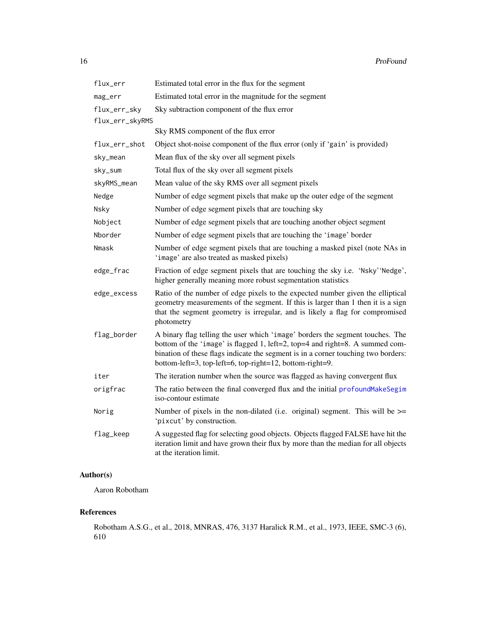| flux_err        | Estimated total error in the flux for the segment                                                                                                                                                                                                                                                              |
|-----------------|----------------------------------------------------------------------------------------------------------------------------------------------------------------------------------------------------------------------------------------------------------------------------------------------------------------|
| mag_err         | Estimated total error in the magnitude for the segment                                                                                                                                                                                                                                                         |
| flux_err_sky    | Sky subtraction component of the flux error                                                                                                                                                                                                                                                                    |
| flux_err_skyRMS |                                                                                                                                                                                                                                                                                                                |
|                 | Sky RMS component of the flux error                                                                                                                                                                                                                                                                            |
| flux_err_shot   | Object shot-noise component of the flux error (only if 'gain' is provided)                                                                                                                                                                                                                                     |
| sky_mean        | Mean flux of the sky over all segment pixels                                                                                                                                                                                                                                                                   |
| sky_sum         | Total flux of the sky over all segment pixels                                                                                                                                                                                                                                                                  |
| skyRMS_mean     | Mean value of the sky RMS over all segment pixels                                                                                                                                                                                                                                                              |
| Nedge           | Number of edge segment pixels that make up the outer edge of the segment                                                                                                                                                                                                                                       |
| Nsky            | Number of edge segment pixels that are touching sky                                                                                                                                                                                                                                                            |
| Nobject         | Number of edge segment pixels that are touching another object segment                                                                                                                                                                                                                                         |
| Nborder         | Number of edge segment pixels that are touching the 'image' border                                                                                                                                                                                                                                             |
| Nmask           | Number of edge segment pixels that are touching a masked pixel (note NAs in<br>'image' are also treated as masked pixels)                                                                                                                                                                                      |
| edge_frac       | Fraction of edge segment pixels that are touching the sky i.e. 'Nsky' 'Nedge',<br>higher generally meaning more robust segmentation statistics                                                                                                                                                                 |
| edge_excess     | Ratio of the number of edge pixels to the expected number given the elliptical<br>geometry measurements of the segment. If this is larger than 1 then it is a sign<br>that the segment geometry is irregular, and is likely a flag for compromised<br>photometry                                               |
| flag_border     | A binary flag telling the user which 'image' borders the segment touches. The<br>bottom of the 'image' is flagged 1, left=2, top=4 and right=8. A summed com-<br>bination of these flags indicate the segment is in a corner touching two borders:<br>bottom-left=3, top-left=6, top-right=12, bottom-right=9. |
| iter            | The iteration number when the source was flagged as having convergent flux                                                                                                                                                                                                                                     |
| origfrac        | The ratio between the final converged flux and the initial profoundMakeSegim<br>iso-contour estimate                                                                                                                                                                                                           |
| Norig           | Number of pixels in the non-dilated (i.e. original) segment. This will be $\ge$ =<br>'pixcut' by construction.                                                                                                                                                                                                 |
| flag_keep       | A suggested flag for selecting good objects. Objects flagged FALSE have hit the<br>iteration limit and have grown their flux by more than the median for all objects<br>at the iteration limit.                                                                                                                |

# Author(s)

Aaron Robotham

# References

Robotham A.S.G., et al., 2018, MNRAS, 476, 3137 Haralick R.M., et al., 1973, IEEE, SMC-3 (6), 610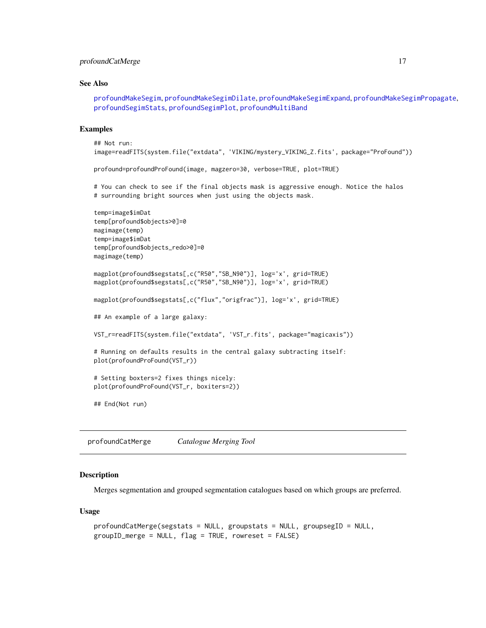# <span id="page-16-0"></span>profoundCatMerge 17

#### See Also

[profoundMakeSegim](#page-33-1), [profoundMakeSegimDilate](#page-39-1), [profoundMakeSegimExpand](#page-39-2), [profoundMakeSegimPropagate](#page-44-1), [profoundSegimStats](#page-64-1), [profoundSegimPlot](#page-64-1), [profoundMultiBand](#page-53-1)

#### Examples

```
## Not run:
image=readFITS(system.file("extdata", 'VIKING/mystery_VIKING_Z.fits', package="ProFound"))
profound=profoundProFound(image, magzero=30, verbose=TRUE, plot=TRUE)
# You can check to see if the final objects mask is aggressive enough. Notice the halos
# surrounding bright sources when just using the objects mask.
temp=image$imDat
temp[profound$objects>0]=0
magimage(temp)
temp=image$imDat
temp[profound$objects_redo>0]=0
magimage(temp)
magplot(profound$segstats[,c("R50","SB_N90")], log='x', grid=TRUE)
magplot(profound$segstats[,c("R50","SB_N90")], log='x', grid=TRUE)
magplot(profound$segstats[,c("flux","origfrac")], log='x', grid=TRUE)
## An example of a large galaxy:
VST_r=readFITS(system.file("extdata", 'VST_r.fits', package="magicaxis"))
# Running on defaults results in the central galaxy subtracting itself:
plot(profoundProFound(VST_r))
# Setting boxters=2 fixes things nicely:
plot(profoundProFound(VST_r, boxiters=2))
## End(Not run)
```
profoundCatMerge *Catalogue Merging Tool*

#### **Description**

Merges segmentation and grouped segmentation catalogues based on which groups are preferred.

#### Usage

```
profoundCatMerge(segstats = NULL, groupstats = NULL, groupsegID = NULL,
groupID_merge = NULL, flag = TRUE, rowreset = FALSE)
```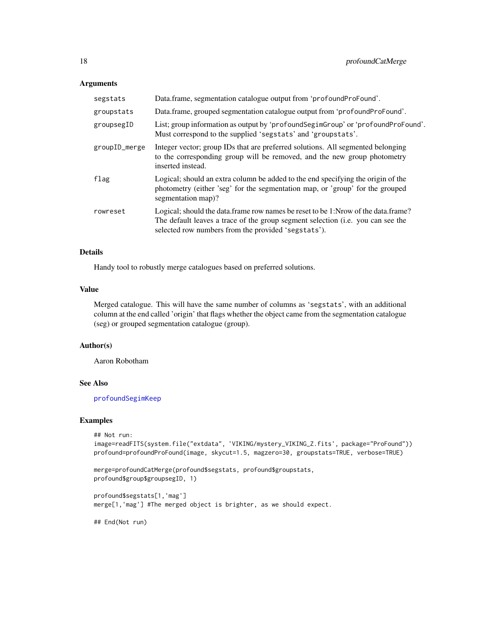#### Arguments

| segstats      | Data.frame, segmentation catalogue output from 'profoundProFound'.                                                                                                                                                          |
|---------------|-----------------------------------------------------------------------------------------------------------------------------------------------------------------------------------------------------------------------------|
| groupstats    | Data.frame, grouped segmentation catalogue output from 'profoundProFound'.                                                                                                                                                  |
| groupsegID    | List; group information as output by 'profoundSegimGroup' or 'profoundProFound'.<br>Must correspond to the supplied 'segstats' and 'groupstats'.                                                                            |
| groupID_merge | Integer vector; group IDs that are preferred solutions. All segmented belonging<br>to the corresponding group will be removed, and the new group photometry<br>inserted instead.                                            |
| flag          | Logical; should an extra column be added to the end specifying the origin of the<br>photometry (either 'seg' for the segmentation map, or 'group' for the grouped<br>segmentation map)?                                     |
| rowreset      | Logical; should the data.frame row names be reset to be 1:Nrow of the data.frame?<br>The default leaves a trace of the group segment selection (i.e. you can see the<br>selected row numbers from the provided 'segstats'). |

#### Details

Handy tool to robustly merge catalogues based on preferred solutions.

#### Value

Merged catalogue. This will have the same number of columns as 'segstats', with an additional column at the end called 'origin' that flags whether the object came from the segmentation catalogue (seg) or grouped segmentation catalogue (group).

# Author(s)

Aaron Robotham

#### See Also

[profoundSegimKeep](#page-68-1)

#### Examples

```
## Not run:
image=readFITS(system.file("extdata", 'VIKING/mystery_VIKING_Z.fits', package="ProFound"))
profound=profoundProFound(image, skycut=1.5, magzero=30, groupstats=TRUE, verbose=TRUE)
```

```
merge=profoundCatMerge(profound$segstats, profound$groupstats,
profound$group$groupsegID, 1)
```

```
profound$segstats[1,'mag']
merge[1,'mag'] #The merged object is brighter, as we should expect.
```
## End(Not run)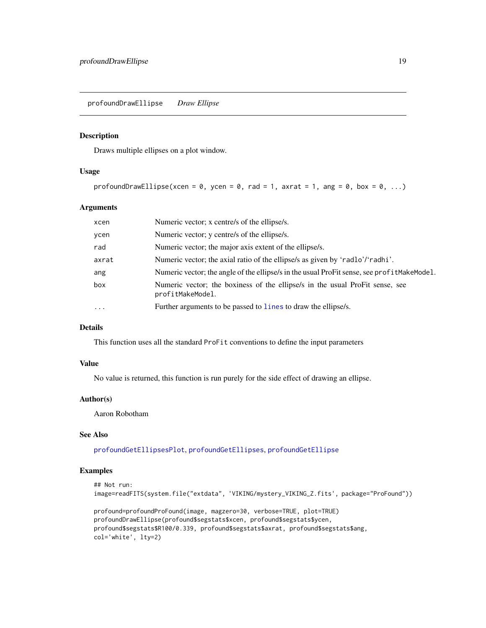<span id="page-18-1"></span><span id="page-18-0"></span>profoundDrawEllipse *Draw Ellipse*

#### Description

Draws multiple ellipses on a plot window.

#### Usage

```
profoundDrawEllipse(xcen = 0, ycen = 0, rad = 1, axrat = 1, ang = 0, box = 0, ...)
```
#### Arguments

| xcen     | Numeric vector; x centre/s of the ellipse/s.                                                     |
|----------|--------------------------------------------------------------------------------------------------|
| ycen     | Numeric vector; y centre/s of the ellipse/s.                                                     |
| rad      | Numeric vector; the major axis extent of the ellipse/s.                                          |
| axrat    | Numeric vector; the axial ratio of the ellipse/s as given by 'radlo'/'radhi'.                    |
| ang      | Numeric vector; the angle of the ellipse/s in the usual ProFit sense, see prof it MakeModel.     |
| box      | Numeric vector; the boxiness of the ellipse/s in the usual ProFit sense, see<br>profitMakeModel. |
| $\cdots$ | Further arguments to be passed to lines to draw the ellipse/s.                                   |
|          |                                                                                                  |

# Details

This function uses all the standard ProFit conventions to define the input parameters

# Value

No value is returned, this function is run purely for the side effect of drawing an ellipse.

#### Author(s)

Aaron Robotham

#### See Also

[profoundGetEllipsesPlot](#page-29-1), [profoundGetEllipses](#page-26-1), [profoundGetEllipse](#page-24-1)

# Examples

```
## Not run:
image=readFITS(system.file("extdata", 'VIKING/mystery_VIKING_Z.fits', package="ProFound"))
```
profound=profoundProFound(image, magzero=30, verbose=TRUE, plot=TRUE) profoundDrawEllipse(profound\$segstats\$xcen, profound\$segstats\$ycen, profound\$segstats\$R100/0.339, profound\$segstats\$axrat, profound\$segstats\$ang, col='white', lty=2)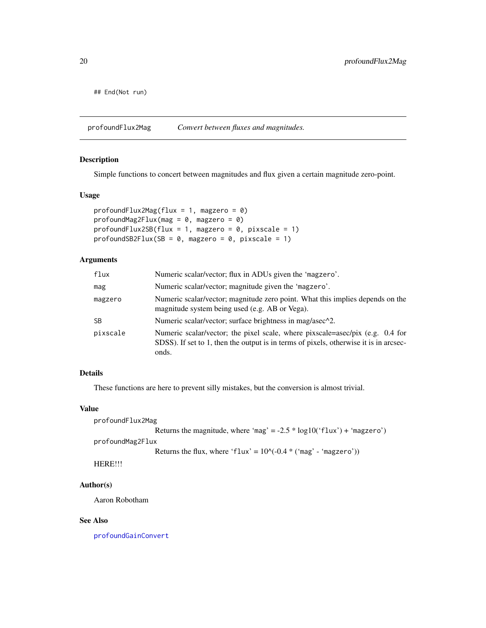<span id="page-19-0"></span>## End(Not run)

<span id="page-19-1"></span>profoundFlux2Mag *Convert between fluxes and magnitudes.*

# <span id="page-19-2"></span>Description

Simple functions to concert between magnitudes and flux given a certain magnitude zero-point.

# Usage

```
profoundFlux2Mag(flux = 1, magzero = 0)
profoundMag2Flux(mag = 0, magzero = 0)profoundFlux2SB-flux = 1, magzero = 0, pixscale = 1)
profoundSB2Flux(SB = 0, magzero = 0, pixels = 1)
```
# Arguments

| flux      | Numeric scalar/vector; flux in ADUs given the 'magzero'.                                                                                                                        |
|-----------|---------------------------------------------------------------------------------------------------------------------------------------------------------------------------------|
| mag       | Numeric scalar/vector; magnitude given the 'magzero'.                                                                                                                           |
| magzero   | Numeric scalar/vector; magnitude zero point. What this implies depends on the<br>magnitude system being used (e.g. AB or Vega).                                                 |
| <b>SB</b> | Numeric scalar/vector; surface brightness in mag/asec^2.                                                                                                                        |
| pixscale  | Numeric scalar/vector; the pixel scale, where pixscale=asec/pix (e.g. 0.4 for<br>SDSS). If set to 1, then the output is in terms of pixels, otherwise it is in arcsec-<br>onds. |

# Details

These functions are here to prevent silly mistakes, but the conversion is almost trivial.

# Value

```
profoundFlux2Mag
```

```
Returns the magnitude, where 'mag' = -2.5 * log10('flux') + 'magzero')
```
profoundMag2Flux

```
Returns the flux, where 'flux' = 10^{\circ}(-0.4 * ('mag' - 'magzero'))
```
HERE!!!

# Author(s)

Aaron Robotham

#### See Also

[profoundGainConvert](#page-22-1)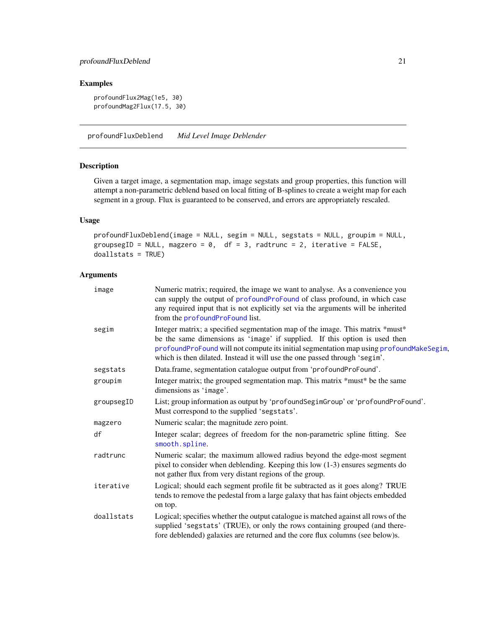# <span id="page-20-0"></span>Examples

profoundFlux2Mag(1e5, 30) profoundMag2Flux(17.5, 30)

<span id="page-20-1"></span>profoundFluxDeblend *Mid Level Image Deblender*

## Description

Given a target image, a segmentation map, image segstats and group properties, this function will attempt a non-parametric deblend based on local fitting of B-splines to create a weight map for each segment in a group. Flux is guaranteed to be conserved, and errors are appropriately rescaled.

# Usage

```
profoundFluxDeblend(image = NULL, segim = NULL, segstats = NULL, groupim = NULL,
groupsegID = NULL, magzero = 0, df = 3, radtrunc = 2, iterative = FALSE,
doallstats = TRUE)
```
# Arguments

| image      | Numeric matrix; required, the image we want to analyse. As a convenience you<br>can supply the output of profoundProFound of class profound, in which case<br>any required input that is not explicitly set via the arguments will be inherited<br>from the profoundProFound list.                                                   |
|------------|--------------------------------------------------------------------------------------------------------------------------------------------------------------------------------------------------------------------------------------------------------------------------------------------------------------------------------------|
| segim      | Integer matrix; a specified segmentation map of the image. This matrix *must*<br>be the same dimensions as 'image' if supplied. If this option is used then<br>profoundProFound will not compute its initial segmentation map using profoundMakeSegim,<br>which is then dilated. Instead it will use the one passed through 'segim'. |
| segstats   | Data.frame, segmentation catalogue output from 'profoundProFound'.                                                                                                                                                                                                                                                                   |
| groupim    | Integer matrix; the grouped segmentation map. This matrix *must* be the same<br>dimensions as 'image'.                                                                                                                                                                                                                               |
| groupsegID | List; group information as output by 'profoundSegimGroup' or 'profoundProFound'.<br>Must correspond to the supplied 'segstats'.                                                                                                                                                                                                      |
| magzero    | Numeric scalar; the magnitude zero point.                                                                                                                                                                                                                                                                                            |
| df         | Integer scalar; degrees of freedom for the non-parametric spline fitting. See<br>smooth.spline.                                                                                                                                                                                                                                      |
| radtrunc   | Numeric scalar; the maximum allowed radius beyond the edge-most segment<br>pixel to consider when deblending. Keeping this low (1-3) ensures segments do<br>not gather flux from very distant regions of the group.                                                                                                                  |
| iterative  | Logical; should each segment profile fit be subtracted as it goes along? TRUE<br>tends to remove the pedestal from a large galaxy that has faint objects embedded<br>on top.                                                                                                                                                         |
| doallstats | Logical; specifies whether the output catalogue is matched against all rows of the<br>supplied 'segstats' (TRUE), or only the rows containing grouped (and there-<br>fore deblended) galaxies are returned and the core flux columns (see below)s.                                                                                   |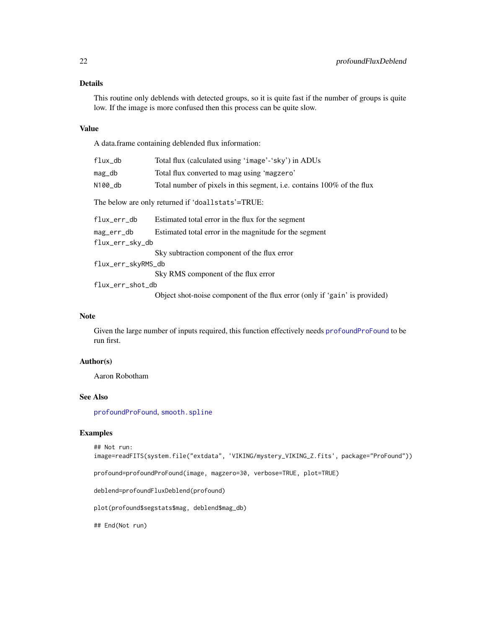# Details

This routine only deblends with detected groups, so it is quite fast if the number of groups is quite low. If the image is more confused then this process can be quite slow.

#### Value

A data.frame containing deblended flux information:

| $flux_d$           | Total flux (calculated using 'image'-'sky') in ADUs                        |
|--------------------|----------------------------------------------------------------------------|
| mag_db             | Total flux converted to mag using 'magzero'                                |
| N100_db            | Total number of pixels in this segment, i.e. contains 100% of the flux     |
|                    | The below are only returned if 'doallstats'=TRUE:                          |
| flux_err_db        | Estimated total error in the flux for the segment                          |
| mag_err_db         | Estimated total error in the magnitude for the segment                     |
| flux_err_sky_db    |                                                                            |
|                    | Sky subtraction component of the flux error                                |
| flux_err_skyRMS_db |                                                                            |
|                    | Sky RMS component of the flux error                                        |
| flux_err_shot_db   |                                                                            |
|                    | Object shot-noise component of the flux error (only if 'gain' is provided) |

#### Note

Given the large number of inputs required, this function effectively needs [profoundProFound](#page-6-1) to be run first.

# Author(s)

Aaron Robotham

# See Also

[profoundProFound](#page-6-1), [smooth.spline](#page-0-0)

#### Examples

```
## Not run:
image=readFITS(system.file("extdata", 'VIKING/mystery_VIKING_Z.fits', package="ProFound"))
```
profound=profoundProFound(image, magzero=30, verbose=TRUE, plot=TRUE)

deblend=profoundFluxDeblend(profound)

plot(profound\$segstats\$mag, deblend\$mag\_db)

## End(Not run)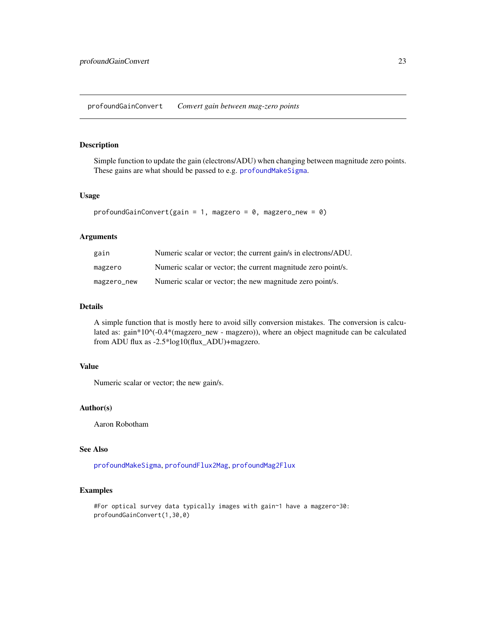<span id="page-22-1"></span><span id="page-22-0"></span>profoundGainConvert *Convert gain between mag-zero points*

# Description

Simple function to update the gain (electrons/ADU) when changing between magnitude zero points. These gains are what should be passed to e.g. [profoundMakeSigma](#page-47-1).

# Usage

```
profoundGainConvert(gain = 1, magzero = 0, magzero_new = 0)
```
# Arguments

| gain        | Numeric scalar or vector; the current gain/s in electrons/ADU. |
|-------------|----------------------------------------------------------------|
| magzero     | Numeric scalar or vector; the current magnitude zero point/s.  |
| magzero_new | Numeric scalar or vector; the new magnitude zero point/s.      |

# Details

A simple function that is mostly here to avoid silly conversion mistakes. The conversion is calculated as: gain\*10^(-0.4\*(magzero\_new - magzero)), where an object magnitude can be calculated from ADU flux as -2.5\*log10(flux\_ADU)+magzero.

### Value

Numeric scalar or vector; the new gain/s.

#### Author(s)

Aaron Robotham

# See Also

[profoundMakeSigma](#page-47-1), [profoundFlux2Mag](#page-19-1), [profoundMag2Flux](#page-19-2)

# Examples

#For optical survey data typically images with gain~1 have a magzero~30: profoundGainConvert(1,30,0)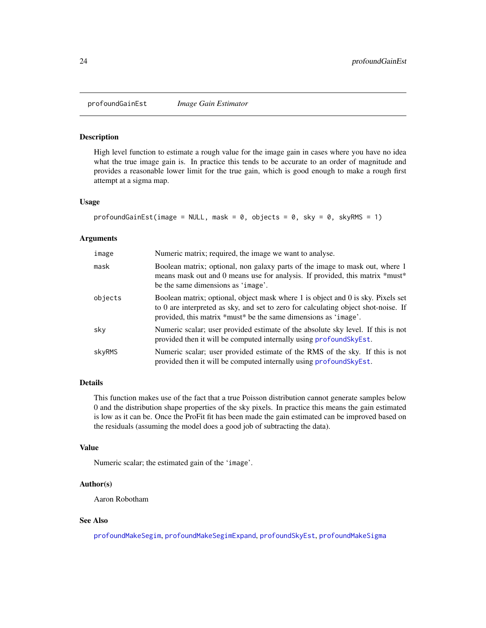<span id="page-23-0"></span>profoundGainEst *Image Gain Estimator*

#### Description

High level function to estimate a rough value for the image gain in cases where you have no idea what the true image gain is. In practice this tends to be accurate to an order of magnitude and provides a reasonable lower limit for the true gain, which is good enough to make a rough first attempt at a sigma map.

#### Usage

```
profoundGainEst(image = NULL, mask = 0, objects = 0, sky = 0, skyRMS = 1)
```
#### Arguments

| image   | Numeric matrix; required, the image we want to analyse.                                                                                                                                                                                   |
|---------|-------------------------------------------------------------------------------------------------------------------------------------------------------------------------------------------------------------------------------------------|
| mask    | Boolean matrix; optional, non galaxy parts of the image to mask out, where 1<br>means mask out and 0 means use for analysis. If provided, this matrix *must*<br>be the same dimensions as 'image'.                                        |
| objects | Boolean matrix; optional, object mask where 1 is object and 0 is sky. Pixels set<br>to 0 are interpreted as sky, and set to zero for calculating object shot-noise. If<br>provided, this matrix *must* be the same dimensions as 'image'. |
| sky     | Numeric scalar; user provided estimate of the absolute sky level. If this is not<br>provided then it will be computed internally using profound Sky Est.                                                                                  |
| skyRMS  | Numeric scalar; user provided estimate of the RMS of the sky. If this is not<br>provided then it will be computed internally using profound Sky Est.                                                                                      |

# Details

This function makes use of the fact that a true Poisson distribution cannot generate samples below 0 and the distribution shape properties of the sky pixels. In practice this means the gain estimated is low as it can be. Once the ProFit fit has been made the gain estimated can be improved based on the residuals (assuming the model does a good job of subtracting the data).

#### Value

Numeric scalar; the estimated gain of the 'image'.

# Author(s)

Aaron Robotham

#### See Also

[profoundMakeSegim](#page-33-1), [profoundMakeSegimExpand](#page-39-2), [profoundSkyEst](#page-74-1), [profoundMakeSigma](#page-47-1)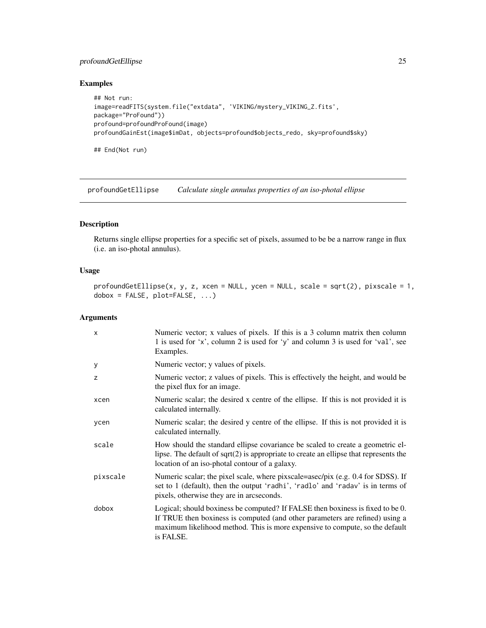# <span id="page-24-0"></span>profoundGetEllipse 25

# Examples

```
## Not run:
image=readFITS(system.file("extdata", 'VIKING/mystery_VIKING_Z.fits',
package="ProFound"))
profound=profoundProFound(image)
profoundGainEst(image$imDat, objects=profound$objects_redo, sky=profound$sky)
## End(Not run)
```
<span id="page-24-1"></span>profoundGetEllipse *Calculate single annulus properties of an iso-photal ellipse*

# Description

Returns single ellipse properties for a specific set of pixels, assumed to be be a narrow range in flux (i.e. an iso-photal annulus).

# Usage

```
profoundGetEllipse(x, y, z, xcen = NULL, ycen = NULL, scale = sqrt(2), pixscale = 1,
dobox = FALSE, plot=FALSE, ...)
```
#### Arguments

| $\mathsf{x}$ | Numeric vector; x values of pixels. If this is a 3 column matrix then column<br>1 is used for 'x', column 2 is used for 'y' and column 3 is used for 'val', see<br>Examples.                                                                                |
|--------------|-------------------------------------------------------------------------------------------------------------------------------------------------------------------------------------------------------------------------------------------------------------|
| У            | Numeric vector; y values of pixels.                                                                                                                                                                                                                         |
| z            | Numeric vector; z values of pixels. This is effectively the height, and would be<br>the pixel flux for an image.                                                                                                                                            |
| xcen         | Numeric scalar; the desired x centre of the ellipse. If this is not provided it is<br>calculated internally.                                                                                                                                                |
| ycen         | Numeric scalar; the desired y centre of the ellipse. If this is not provided it is<br>calculated internally.                                                                                                                                                |
| scale        | How should the standard ellipse covariance be scaled to create a geometric el-<br>lipse. The default of $sqrt(2)$ is appropriate to create an ellipse that represents the<br>location of an iso-photal contour of a galaxy.                                 |
| pixscale     | Numeric scalar; the pixel scale, where pixscale=asec/pix (e.g. 0.4 for SDSS). If<br>set to 1 (default), then the output 'radhi', 'radlo' and 'radav' is in terms of<br>pixels, otherwise they are in arcseconds.                                            |
| dobox        | Logical; should boxiness be computed? If FALSE then boxiness is fixed to be 0.<br>If TRUE then boxiness is computed (and other parameters are refined) using a<br>maximum likelihood method. This is more expensive to compute, so the default<br>is FALSE. |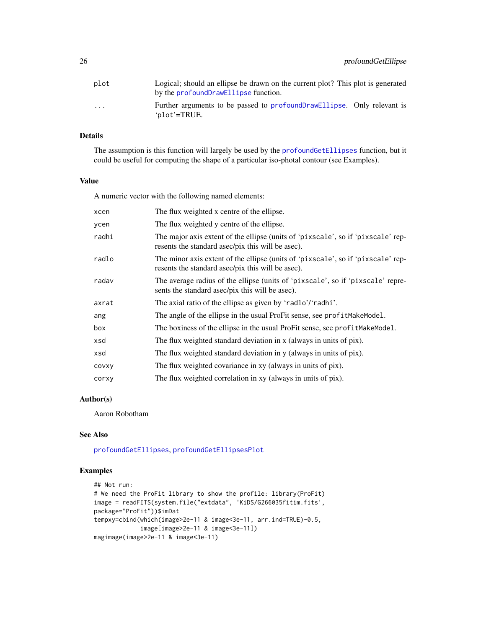| plot                    | Logical; should an ellipse be drawn on the current plot? This plot is generated<br>by the profound Draw Ellipse function. |
|-------------------------|---------------------------------------------------------------------------------------------------------------------------|
| $\cdot$ $\cdot$ $\cdot$ | Further arguments to be passed to profound Draw Ellipse. Only relevant is<br>'plot'=TRUE.                                 |

# Details

The assumption is this function will largely be used by the [profoundGetEllipses](#page-26-1) function, but it could be useful for computing the shape of a particular iso-photal contour (see Examples).

#### Value

A numeric vector with the following named elements:

| xcen  | The flux weighted x centre of the ellipse.                                                                                            |
|-------|---------------------------------------------------------------------------------------------------------------------------------------|
| ycen  | The flux weighted y centre of the ellipse.                                                                                            |
| radhi | The major axis extent of the ellipse (units of 'pixscale', so if 'pixscale' rep-<br>resents the standard asec/pix this will be asec). |
| radlo | The minor axis extent of the ellipse (units of 'pixscale', so if 'pixscale' rep-<br>resents the standard asec/pix this will be asec). |
| radav | The average radius of the ellipse (units of 'pixscale', so if 'pixscale' repre-<br>sents the standard asec/pix this will be asec).    |
| axrat | The axial ratio of the ellipse as given by 'radlo'/'radhi'.                                                                           |
| ang   | The angle of the ellipse in the usual ProFit sense, see profitMakeModel.                                                              |
| box   | The boxiness of the ellipse in the usual ProFit sense, see profit MakeModel.                                                          |
| xsd   | The flux weighted standard deviation in x (always in units of pix).                                                                   |
| xsd   | The flux weighted standard deviation in y (always in units of pix).                                                                   |
| COVXY | The flux weighted covariance in xy (always in units of pix).                                                                          |
| corxy | The flux weighted correlation in xy (always in units of pix).                                                                         |

# Author(s)

Aaron Robotham

#### See Also

[profoundGetEllipses](#page-26-1), [profoundGetEllipsesPlot](#page-29-1)

# Examples

```
## Not run:
# We need the ProFit library to show the profile: library(ProFit)
image = readFITS(system.file("extdata", 'KiDS/G266035fitim.fits',
package="ProFit"))$imDat
tempxy=cbind(which(image>2e-11 & image<3e-11, arr.ind=TRUE)-0.5,
            image[image>2e-11 & image<3e-11])
magimage(image>2e-11 & image<3e-11)
```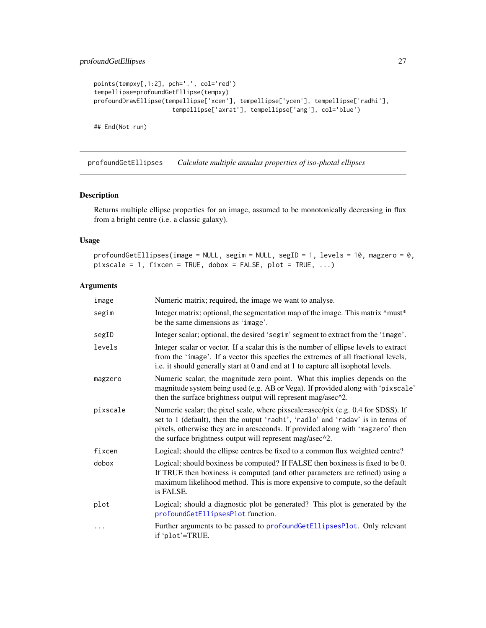```
points(tempxy[,1:2], pch='.', col='red')
tempellipse=profoundGetEllipse(tempxy)
profoundDrawEllipse(tempellipse['xcen'], tempellipse['ycen'], tempellipse['radhi'],
                      tempellipse['axrat'], tempellipse['ang'], col='blue')
```
## End(Not run)

<span id="page-26-1"></span>profoundGetEllipses *Calculate multiple annulus properties of iso-photal ellipses*

# Description

Returns multiple ellipse properties for an image, assumed to be monotonically decreasing in flux from a bright centre (i.e. a classic galaxy).

# Usage

```
profoundGetEllipses(image = NULL, segim = NULL, segID = 1, levels = 10, magzero = 0,
pixels = 1, fixcen = TRUE, dobox = FALSE, plot = TRUE, ...)
```
# Arguments

| image    | Numeric matrix; required, the image we want to analyse.                                                                                                                                                                                                                                                            |
|----------|--------------------------------------------------------------------------------------------------------------------------------------------------------------------------------------------------------------------------------------------------------------------------------------------------------------------|
| segim    | Integer matrix; optional, the segmentation map of the image. This matrix *must*<br>be the same dimensions as 'image'.                                                                                                                                                                                              |
| segID    | Integer scalar; optional, the desired 'segim' segment to extract from the 'image'.                                                                                                                                                                                                                                 |
| levels   | Integer scalar or vector. If a scalar this is the number of ellipse levels to extract<br>from the 'image'. If a vector this specfies the extremes of all fractional levels,<br>i.e. it should generally start at 0 and end at 1 to capture all isophotal levels.                                                   |
| magzero  | Numeric scalar; the magnitude zero point. What this implies depends on the<br>magnitude system being used (e.g. AB or Vega). If provided along with 'pixscale'<br>then the surface brightness output will represent mag/asec^2.                                                                                    |
| pixscale | Numeric scalar; the pixel scale, where pixscale=asec/pix (e.g. 0.4 for SDSS). If<br>set to 1 (default), then the output 'radhi', 'radlo' and 'radav' is in terms of<br>pixels, otherwise they are in arcseconds. If provided along with 'magzero' then<br>the surface brightness output will represent mag/asec^2. |
| fixcen   | Logical; should the ellipse centres be fixed to a common flux weighted centre?                                                                                                                                                                                                                                     |
| dobox    | Logical; should boxiness be computed? If FALSE then boxiness is fixed to be 0.<br>If TRUE then boxiness is computed (and other parameters are refined) using a<br>maximum likelihood method. This is more expensive to compute, so the default<br>is FALSE.                                                        |
| plot     | Logical; should a diagnostic plot be generated? This plot is generated by the<br>profoundGetEllipsesPlot function.                                                                                                                                                                                                 |
| .        | Further arguments to be passed to profoundGetEllipsesPlot. Only relevant<br>if 'plot'=TRUE.                                                                                                                                                                                                                        |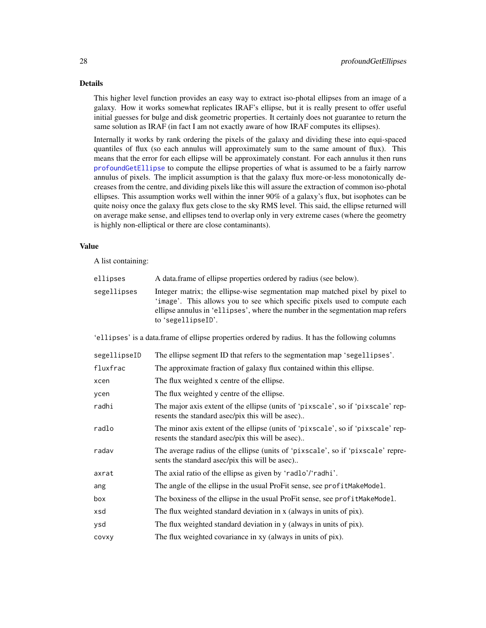# Details

This higher level function provides an easy way to extract iso-photal ellipses from an image of a galaxy. How it works somewhat replicates IRAF's ellipse, but it is really present to offer useful initial guesses for bulge and disk geometric properties. It certainly does not guarantee to return the same solution as IRAF (in fact I am not exactly aware of how IRAF computes its ellipses).

Internally it works by rank ordering the pixels of the galaxy and dividing these into equi-spaced quantiles of flux (so each annulus will approximately sum to the same amount of flux). This means that the error for each ellipse will be approximately constant. For each annulus it then runs [profoundGetEllipse](#page-24-1) to compute the ellipse properties of what is assumed to be a fairly narrow annulus of pixels. The implicit assumption is that the galaxy flux more-or-less monotonically decreases from the centre, and dividing pixels like this will assure the extraction of common iso-photal ellipses. This assumption works well within the inner 90% of a galaxy's flux, but isophotes can be quite noisy once the galaxy flux gets close to the sky RMS level. This said, the ellipse returned will on average make sense, and ellipses tend to overlap only in very extreme cases (where the geometry is highly non-elliptical or there are close contaminants).

#### Value

A list containing:

| ellipses    | A data frame of ellipse properties ordered by radius (see below).                                                                                                                                                                                                 |
|-------------|-------------------------------------------------------------------------------------------------------------------------------------------------------------------------------------------------------------------------------------------------------------------|
| segellipses | Integer matrix; the ellipse-wise segmentation map matched pixel by pixel to<br>'image'. This allows you to see which specific pixels used to compute each<br>ellipse annulus in 'ellipses', where the number in the segmentation map refers<br>to 'segellipseID'. |

'ellipses' is a data.frame of ellipse properties ordered by radius. It has the following columns

| segellipseID | The ellipse segment ID that refers to the segmentation map 'segellipses'.                                                            |
|--------------|--------------------------------------------------------------------------------------------------------------------------------------|
| fluxfrac     | The approximate fraction of galaxy flux contained within this ellipse.                                                               |
| xcen         | The flux weighted x centre of the ellipse.                                                                                           |
| ycen         | The flux weighted y centre of the ellipse.                                                                                           |
| radhi        | The major axis extent of the ellipse (units of 'pixscale', so if 'pixscale' rep-<br>resents the standard asec/pix this will be asec) |
| radlo        | The minor axis extent of the ellipse (units of 'pixscale', so if 'pixscale' rep-<br>resents the standard asec/pix this will be asec) |
| radav        | The average radius of the ellipse (units of 'pixscale', so if 'pixscale' repre-<br>sents the standard asec/pix this will be asec)    |
| axrat        | The axial ratio of the ellipse as given by 'radlo'/'radhi'.                                                                          |
| ang          | The angle of the ellipse in the usual ProFit sense, see profitMakeModel.                                                             |
| box          | The boxiness of the ellipse in the usual ProFit sense, see profit MakeModel.                                                         |
| xsd          | The flux weighted standard deviation in x (always in units of pix).                                                                  |
| ysd          | The flux weighted standard deviation in y (always in units of pix).                                                                  |
| COVXY        | The flux weighted covariance in xy (always in units of pix).                                                                         |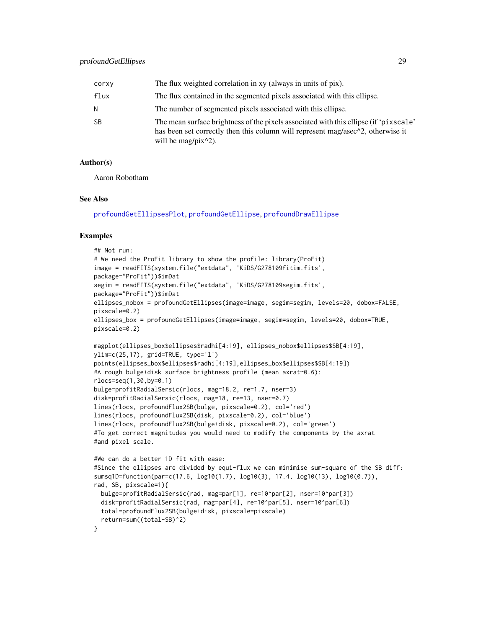| corxy     | The flux weighted correlation in xy (always in units of pix).                                                                                                                                                                               |
|-----------|---------------------------------------------------------------------------------------------------------------------------------------------------------------------------------------------------------------------------------------------|
| flux      | The flux contained in the segmented pixels associated with this ellipse.                                                                                                                                                                    |
| N         | The number of segmented pixels associated with this ellipse.                                                                                                                                                                                |
| <b>SB</b> | The mean surface brightness of the pixels associated with this ellipse (if 'pixscale'<br>has been set correctly then this column will represent mag/asec <sup><math>\wedge</math>2</sup> , otherwise it<br>will be mag/pix $\binom{2}{2}$ . |

#### Author(s)

Aaron Robotham

#### See Also

[profoundGetEllipsesPlot](#page-29-1), [profoundGetEllipse](#page-24-1), [profoundDrawEllipse](#page-18-1)

#### Examples

```
## Not run:
# We need the ProFit library to show the profile: library(ProFit)
image = readFITS(system.file("extdata", 'KiDS/G278109fitim.fits',
package="ProFit"))$imDat
segim = readFITS(system.file("extdata", 'KiDS/G278109segim.fits',
package="ProFit"))$imDat
ellipses_nobox = profoundGetEllipses(image=image, segim=segim, levels=20, dobox=FALSE,
pixscale=0.2)
ellipses_box = profoundGetEllipses(image=image, segim=segim, levels=20, dobox=TRUE,
pixscale=0.2)
magplot(ellipses_box$ellipses$radhi[4:19], ellipses_nobox$ellipses$SB[4:19],
ylim=c(25,17), grid=TRUE, type='l')
points(ellipses_box$ellipses$radhi[4:19],ellipses_box$ellipses$SB[4:19])
#A rough bulge+disk surface brightness profile (mean axrat~0.6):
rlocs=seq(1,30,by=0.1)
bulge=profitRadialSersic(rlocs, mag=18.2, re=1.7, nser=3)
disk=profitRadialSersic(rlocs, mag=18, re=13, nser=0.7)
lines(rlocs, profoundFlux2SB(bulge, pixscale=0.2), col='red')
lines(rlocs, profoundFlux2SB(disk, pixscale=0.2), col='blue')
lines(rlocs, profoundFlux2SB(bulge+disk, pixscale=0.2), col='green')
#To get correct magnitudes you would need to modify the components by the axrat
#and pixel scale.
#We can do a better 1D fit with ease:
#Since the ellipses are divided by equi-flux we can minimise sum-square of the SB diff:
sumsq1D=function(par=c(17.6, log10(1.7), log10(3), 17.4, log10(13), log10(0.7)),
rad, SB, pixscale=1){
 bulge=profitRadialSersic(rad, mag=par[1], re=10^par[2], nser=10^par[3])
 disk=profitRadialSersic(rad, mag=par[4], re=10^par[5], nser=10^par[6])
 total=profoundFlux2SB(bulge+disk, pixscale=pixscale)
 return=sum((total-SB)^2)
}
```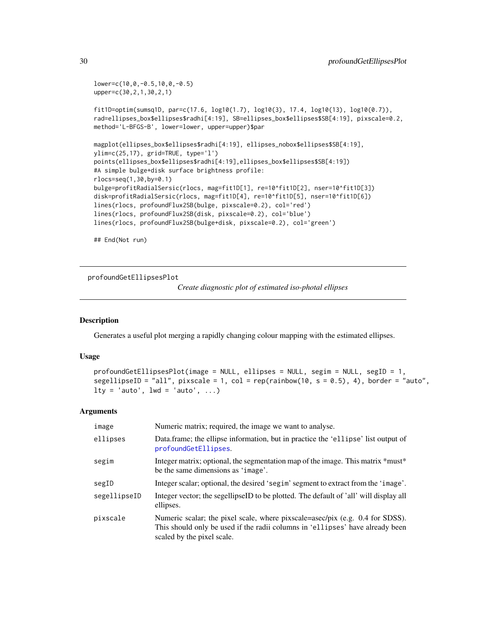```
lower=c(10,0,-0.5,10,0,-0.5)
upper=c(30,2,1,30,2,1)
fit1D=optim(sumsq1D, par=c(17.6, log10(1.7), log10(3), 17.4, log10(13), log10(0.7)),
rad=ellipses_box$ellipses$radhi[4:19], SB=ellipses_box$ellipses$SB[4:19], pixscale=0.2,
method='L-BFGS-B', lower=lower, upper=upper)$par
magplot(ellipses_box$ellipses$radhi[4:19], ellipses_nobox$ellipses$SB[4:19],
ylim=c(25,17), grid=TRUE, type='l')
points(ellipses_box$ellipses$radhi[4:19],ellipses_box$ellipses$SB[4:19])
#A simple bulge+disk surface brightness profile:
rlocs=seq(1,30,by=0.1)
bulge=profitRadialSersic(rlocs, mag=fit1D[1], re=10^fit1D[2], nser=10^fit1D[3])
disk=profitRadialSersic(rlocs, mag=fit1D[4], re=10^fit1D[5], nser=10^fit1D[6])
lines(rlocs, profoundFlux2SB(bulge, pixscale=0.2), col='red')
lines(rlocs, profoundFlux2SB(disk, pixscale=0.2), col='blue')
lines(rlocs, profoundFlux2SB(bulge+disk, pixscale=0.2), col='green')
```
## End(Not run)

<span id="page-29-1"></span>profoundGetEllipsesPlot

*Create diagnostic plot of estimated iso-photal ellipses*

#### Description

Generates a useful plot merging a rapidly changing colour mapping with the estimated ellipses.

#### Usage

```
profoundGetEllipsesPlot(image = NULL, ellipses = NULL, segim = NULL, segID = 1,
segellipseID = "all", pixscale = 1, col = rep(rainbow(10, s = 0.5), 4), border = "auto",
lty = 'auto', lwd = 'auto', ...)
```
#### Arguments

| image        | Numeric matrix; required, the image we want to analyse.                                                                                                                                      |
|--------------|----------------------------------------------------------------------------------------------------------------------------------------------------------------------------------------------|
| ellipses     | Data frame; the ellipse information, but in practice the 'ellipse' list output of<br>profoundGetEllipses.                                                                                    |
| segim        | Integer matrix; optional, the segmentation map of the image. This matrix *must*<br>be the same dimensions as 'image'.                                                                        |
| segID        | Integer scalar; optional, the desired 'segim' segment to extract from the 'image'.                                                                                                           |
| segellipseID | Integer vector; the segellipseID to be plotted. The default of 'all' will display all<br>ellipses.                                                                                           |
| pixscale     | Numeric scalar; the pixel scale, where pixscale=asec/pix (e.g. 0.4 for SDSS).<br>This should only be used if the radii columns in 'ellipses' have already been<br>scaled by the pixel scale. |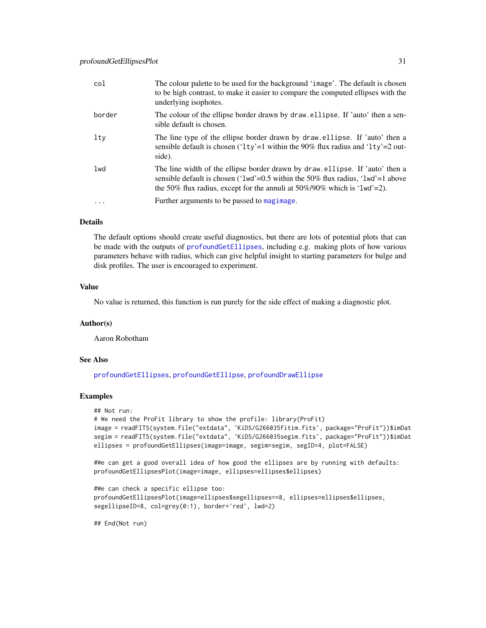| col      | The colour palette to be used for the background 'image'. The default is chosen<br>to be high contrast, to make it easier to compare the computed ellipses with the<br>underlying isophotes.                                                             |
|----------|----------------------------------------------------------------------------------------------------------------------------------------------------------------------------------------------------------------------------------------------------------|
| border   | The colour of the ellipse border drawn by draw. ellipse. If 'auto' then a sen-<br>sible default is chosen.                                                                                                                                               |
| lty      | The line type of the ellipse border drawn by draw.ellipse. If 'auto' then a<br>sensible default is chosen ('1ty'=1 within the 90% flux radius and '1ty'=2 out-<br>side).                                                                                 |
| 1wd      | The line width of the ellipse border drawn by draw ellipse. If 'auto' then a<br>sensible default is chosen (' $1wd = 0.5$ within the 50% flux radius, ' $1wd' = 1$ above<br>the 50% flux radius, except for the annuli at $50\%/90\%$ which is '1wd'=2). |
| $\cdots$ | Further arguments to be passed to magimage.                                                                                                                                                                                                              |
|          |                                                                                                                                                                                                                                                          |

# Details

The default options should create useful diagnostics, but there are lots of potential plots that can be made with the outputs of [profoundGetEllipses](#page-26-1), including e.g. making plots of how various parameters behave with radius, which can give helpful insight to starting parameters for bulge and disk profiles. The user is encouraged to experiment.

# Value

No value is returned, this function is run purely for the side effect of making a diagnostic plot.

# Author(s)

Aaron Robotham

#### See Also

[profoundGetEllipses](#page-26-1), [profoundGetEllipse](#page-24-1), [profoundDrawEllipse](#page-18-1)

# Examples

```
## Not run:
# We need the ProFit library to show the profile: library(ProFit)
image = readFITS(system.file("extdata", 'KiDS/G266035fitim.fits', package="ProFit"))$imDat
segim = readFITS(system.file("extdata", 'KiDS/G266035segim.fits', package="ProFit"))$imDat
ellipses = profoundGetEllipses(image=image, segim=segim, segID=4, plot=FALSE)
```

```
#We can get a good overall idea of how good the ellipses are by running with defaults:
profoundGetEllipsesPlot(image=image, ellipses=ellipses$ellipses)
```

```
#We can check a specific ellipse too:
profoundGetEllipsesPlot(image=ellipses$segellipses==8, ellipses=ellipses$ellipses,
segellipseID=8, col=grey(0:1), border='red', lwd=2)
```
## End(Not run)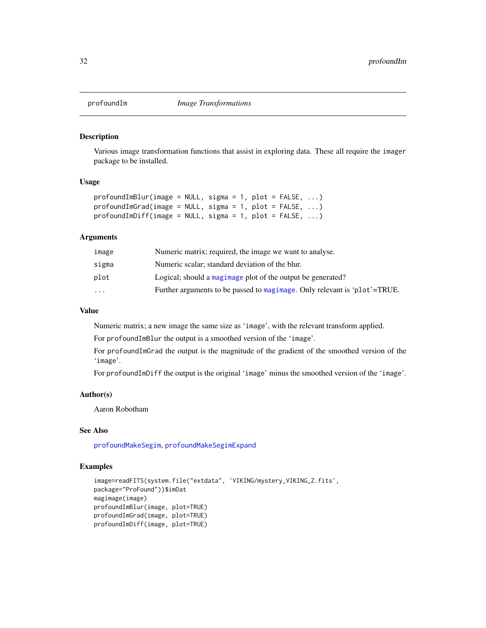<span id="page-31-0"></span>

#### Description

Various image transformation functions that assist in exploring data. These all require the imager package to be installed.

#### Usage

```
profoundImBlur(image = NULL, sigma = 1, plot = FALSE, ...)
profoundImGrad(image = NULL, sigma = 1, plot = FALSE, ...)
profoundImDiff(image = NULL, sigma = 1, plot = FALSE, ...)
```
#### Arguments

| image     | Numeric matrix; required, the image we want to analyse.                   |
|-----------|---------------------------------------------------------------------------|
| sigma     | Numeric scalar; standard deviation of the blur.                           |
| plot      | Logical; should a magimage plot of the output be generated?               |
| $\ddotsc$ | Further arguments to be passed to magimage. Only relevant is 'plot'=TRUE. |
|           |                                                                           |

# Value

Numeric matrix; a new image the same size as 'image', with the relevant transform applied.

For profoundImBlur the output is a smoothed version of the 'image'.

For profoundImGrad the output is the magnitude of the gradient of the smoothed version of the 'image'.

For profoundImDiff the output is the original 'image' minus the smoothed version of the 'image'.

#### Author(s)

Aaron Robotham

#### See Also

[profoundMakeSegim](#page-33-1), [profoundMakeSegimExpand](#page-39-2)

# Examples

```
image=readFITS(system.file("extdata", 'VIKING/mystery_VIKING_Z.fits',
package="ProFound"))$imDat
magimage(image)
profoundImBlur(image, plot=TRUE)
profoundImGrad(image, plot=TRUE)
profoundImDiff(image, plot=TRUE)
```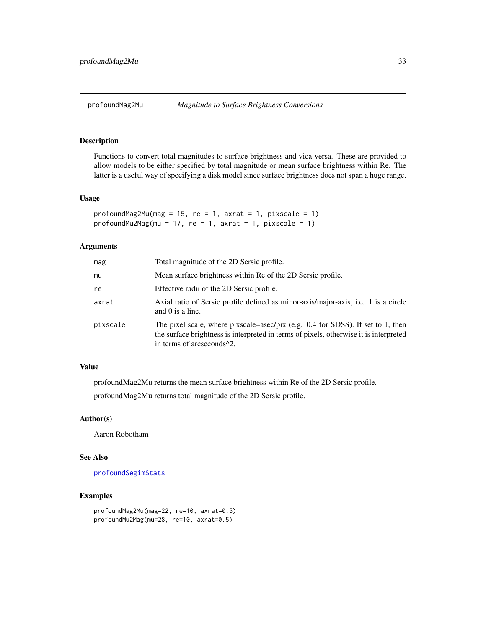<span id="page-32-0"></span>

# Description

Functions to convert total magnitudes to surface brightness and vica-versa. These are provided to allow models to be either specified by total magnitude or mean surface brightness within Re. The latter is a useful way of specifying a disk model since surface brightness does not span a huge range.

#### Usage

```
profoundMag2Mu(mag = 15, re = 1, axrat = 1, pixscale = 1)profoundMu2Mag(mu = 17, re = 1, axrat = 1, pixscale = 1)
```
#### Arguments

| mag      | Total magnitude of the 2D Sersic profile.                                                                                                                                                                          |
|----------|--------------------------------------------------------------------------------------------------------------------------------------------------------------------------------------------------------------------|
| mu       | Mean surface brightness within Re of the 2D Sersic profile.                                                                                                                                                        |
| re       | Effective radii of the 2D Sersic profile.                                                                                                                                                                          |
| axrat    | Axial ratio of Sersic profile defined as minor-axis/major-axis, i.e. 1 is a circle<br>and $0$ is a line.                                                                                                           |
| pixscale | The pixel scale, where pixscale=asec/pix (e.g. 0.4 for SDSS). If set to 1, then<br>the surface brightness is interpreted in terms of pixels, otherwise it is interpreted<br>in terms of arcseconds <sup>1</sup> 2. |

# Value

profoundMag2Mu returns the mean surface brightness within Re of the 2D Sersic profile.

profoundMag2Mu returns total magnitude of the 2D Sersic profile.

# Author(s)

Aaron Robotham

# See Also

[profoundSegimStats](#page-64-1)

# Examples

```
profoundMag2Mu(mag=22, re=10, axrat=0.5)
profoundMu2Mag(mu=28, re=10, axrat=0.5)
```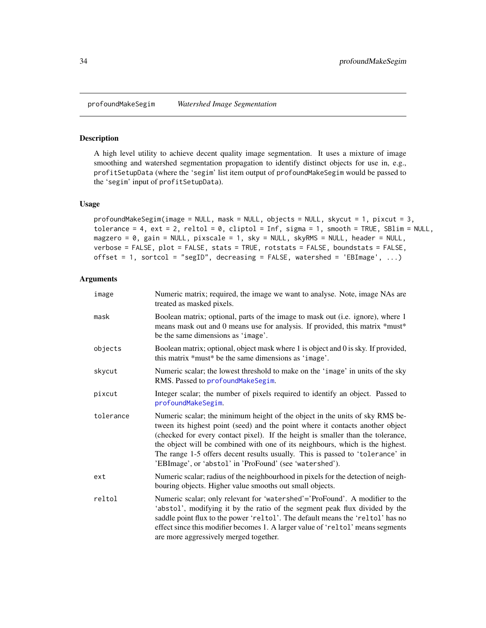<span id="page-33-1"></span><span id="page-33-0"></span>profoundMakeSegim *Watershed Image Segmentation*

#### Description

A high level utility to achieve decent quality image segmentation. It uses a mixture of image smoothing and watershed segmentation propagation to identify distinct objects for use in, e.g., profitSetupData (where the 'segim' list item output of profoundMakeSegim would be passed to the 'segim' input of profitSetupData).

#### Usage

```
profoundMakeSegim(image = NULL, mask = NULL, objects = NULL, skycut = 1, pixcut = 3,
tolerance = 4, ext = 2, reltol = 0, cliptol = Inf, sigma = 1, smooth = TRUE, SBlim = NULL,
magzero = 0, gain = NULL, pixscale = 1, sky = NULL, skyRMS = NULL, header = NULL,
verbose = FALSE, plot = FALSE, stats = TRUE, rotstats = FALSE, boundstats = FALSE,
offset = 1, sortcol = "segID", decreasing = FALSE, watershed = 'EBImage', ...)
```
# Arguments

| image     | Numeric matrix; required, the image we want to analyse. Note, image NAs are<br>treated as masked pixels.                                                                                                                                                                                                                                                                                                                                                                      |
|-----------|-------------------------------------------------------------------------------------------------------------------------------------------------------------------------------------------------------------------------------------------------------------------------------------------------------------------------------------------------------------------------------------------------------------------------------------------------------------------------------|
| mask      | Boolean matrix; optional, parts of the image to mask out (i.e. ignore), where 1<br>means mask out and 0 means use for analysis. If provided, this matrix *must*<br>be the same dimensions as 'image'.                                                                                                                                                                                                                                                                         |
| objects   | Boolean matrix; optional, object mask where 1 is object and 0 is sky. If provided,<br>this matrix *must* be the same dimensions as 'image'.                                                                                                                                                                                                                                                                                                                                   |
| skycut    | Numeric scalar; the lowest threshold to make on the 'image' in units of the sky<br>RMS. Passed to profoundMakeSegim.                                                                                                                                                                                                                                                                                                                                                          |
| pixcut    | Integer scalar; the number of pixels required to identify an object. Passed to<br>profoundMakeSegim.                                                                                                                                                                                                                                                                                                                                                                          |
| tolerance | Numeric scalar; the minimum height of the object in the units of sky RMS be-<br>tween its highest point (seed) and the point where it contacts another object<br>(checked for every contact pixel). If the height is smaller than the tolerance,<br>the object will be combined with one of its neighbours, which is the highest.<br>The range 1-5 offers decent results usually. This is passed to 'tolerance' in<br>'EBImage', or 'abstol' in 'ProFound' (see 'watershed'). |
| ext       | Numeric scalar; radius of the neighbourhood in pixels for the detection of neigh-<br>bouring objects. Higher value smooths out small objects.                                                                                                                                                                                                                                                                                                                                 |
| reltol    | Numeric scalar; only relevant for 'watershed'='ProFound'. A modifier to the<br>'abstol', modifying it by the ratio of the segment peak flux divided by the<br>saddle point flux to the power 'reltol'. The default means the 'reltol' has no<br>effect since this modifier becomes 1. A larger value of 'reltol' means segments<br>are more aggressively merged together.                                                                                                     |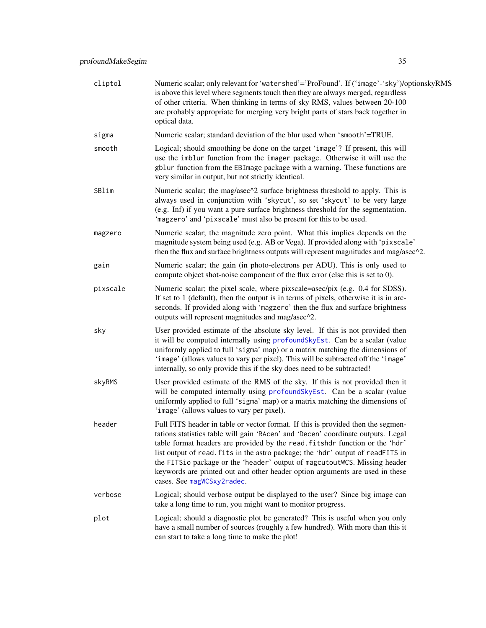| cliptol  | Numeric scalar; only relevant for 'watershed'='ProFound'. If ('image'-'sky')/optionskyRMS<br>is above this level where segments touch then they are always merged, regardless<br>of other criteria. When thinking in terms of sky RMS, values between 20-100<br>are probably appropriate for merging very bright parts of stars back together in<br>optical data.                                                                                                                                                                  |
|----------|------------------------------------------------------------------------------------------------------------------------------------------------------------------------------------------------------------------------------------------------------------------------------------------------------------------------------------------------------------------------------------------------------------------------------------------------------------------------------------------------------------------------------------|
| sigma    | Numeric scalar; standard deviation of the blur used when 'smooth'=TRUE.                                                                                                                                                                                                                                                                                                                                                                                                                                                            |
| smooth   | Logical; should smoothing be done on the target 'image'? If present, this will<br>use the imblur function from the imager package. Otherwise it will use the<br>gblur function from the EBImage package with a warning. These functions are<br>very similar in output, but not strictly identical.                                                                                                                                                                                                                                 |
| SBlim    | Numeric scalar; the mag/asec^2 surface brightness threshold to apply. This is<br>always used in conjunction with 'skycut', so set 'skycut' to be very large<br>(e.g. Inf) if you want a pure surface brightness threshold for the segmentation.<br>'magzero' and 'pixscale' must also be present for this to be used.                                                                                                                                                                                                              |
| magzero  | Numeric scalar; the magnitude zero point. What this implies depends on the<br>magnitude system being used (e.g. AB or Vega). If provided along with 'pixscale'<br>then the flux and surface brightness outputs will represent magnitudes and mag/asec <sup>12</sup> .                                                                                                                                                                                                                                                              |
| gain     | Numeric scalar; the gain (in photo-electrons per ADU). This is only used to<br>compute object shot-noise component of the flux error (else this is set to 0).                                                                                                                                                                                                                                                                                                                                                                      |
| pixscale | Numeric scalar; the pixel scale, where pixscale=asec/pix (e.g. 0.4 for SDSS).<br>If set to 1 (default), then the output is in terms of pixels, otherwise it is in arc-<br>seconds. If provided along with 'magzero' then the flux and surface brightness<br>outputs will represent magnitudes and mag/asec^2.                                                                                                                                                                                                                      |
| sky      | User provided estimate of the absolute sky level. If this is not provided then<br>it will be computed internally using profoundSkyEst. Can be a scalar (value<br>uniformly applied to full 'sigma' map) or a matrix matching the dimensions of<br>'image' (allows values to vary per pixel). This will be subtracted off the 'image'<br>internally, so only provide this if the sky does need to be subtracted!                                                                                                                    |
| skyRMS   | User provided estimate of the RMS of the sky. If this is not provided then it<br>will be computed internally using profoundSkyEst. Can be a scalar (value<br>uniformly applied to full 'sigma' map) or a matrix matching the dimensions of<br>'image' (allows values to vary per pixel).                                                                                                                                                                                                                                           |
| header   | Full FITS header in table or vector format. If this is provided then the segmen-<br>tations statistics table will gain 'RAcen' and 'Decen' coordinate outputs. Legal<br>table format headers are provided by the read. fitshdr function or the 'hdr'<br>list output of read. fits in the astro package; the 'hdr' output of readFITS in<br>the FITSio package or the 'header' output of magcutoutWCS. Missing header<br>keywords are printed out and other header option arguments are used in these<br>cases. See magWCSxy2radec. |
| verbose  | Logical; should verbose output be displayed to the user? Since big image can<br>take a long time to run, you might want to monitor progress.                                                                                                                                                                                                                                                                                                                                                                                       |
| plot     | Logical; should a diagnostic plot be generated? This is useful when you only<br>have a small number of sources (roughly a few hundred). With more than this it<br>can start to take a long time to make the plot!                                                                                                                                                                                                                                                                                                                  |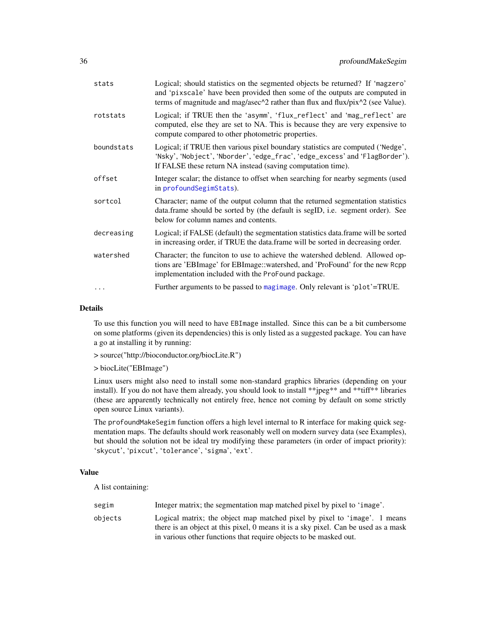| stats      | Logical; should statistics on the segmented objects be returned? If 'magzero'<br>and 'pixscale' have been provided then some of the outputs are computed in<br>terms of magnitude and mag/asec $\frac{\lambda}{2}$ rather than flux and flux/pix $\frac{\lambda}{2}$ (see Value). |
|------------|-----------------------------------------------------------------------------------------------------------------------------------------------------------------------------------------------------------------------------------------------------------------------------------|
| rotstats   | Logical; if TRUE then the 'asymm', 'flux_reflect' and 'mag_reflect' are<br>computed, else they are set to NA. This is because they are very expensive to<br>compute compared to other photometric properties.                                                                     |
| boundstats | Logical; if TRUE then various pixel boundary statistics are computed ('Nedge',<br>'Nsky', 'Nobject', 'Nborder', 'edge_frac', 'edge_excess' and 'FlagBorder').<br>If FALSE these return NA instead (saving computation time).                                                      |
| offset     | Integer scalar; the distance to offset when searching for nearby segments (used<br>in profoundSegimStats).                                                                                                                                                                        |
| sortcol    | Character; name of the output column that the returned segmentation statistics<br>data.frame should be sorted by (the default is segID, i.e. segment order). See<br>below for column names and contents.                                                                          |
| decreasing | Logical; if FALSE (default) the segmentation statistics data.frame will be sorted<br>in increasing order, if TRUE the data.frame will be sorted in decreasing order.                                                                                                              |
| watershed  | Character; the funciton to use to achieve the watershed deblend. Allowed op-<br>tions are 'EBImage' for EBImage::watershed, and 'ProFound' for the new Rcpp<br>implementation included with the ProFound package.                                                                 |
|            | Further arguments to be passed to magimage. Only relevant is 'plot'=TRUE.                                                                                                                                                                                                         |
|            |                                                                                                                                                                                                                                                                                   |

#### Details

To use this function you will need to have EBImage installed. Since this can be a bit cumbersome on some platforms (given its dependencies) this is only listed as a suggested package. You can have a go at installing it by running:

```
> source("http://bioconductor.org/biocLite.R")
```
> biocLite("EBImage")

Linux users might also need to install some non-standard graphics libraries (depending on your install). If you do not have them already, you should look to install \*\*jpeg\*\* and \*\*tiff\*\* libraries (these are apparently technically not entirely free, hence not coming by default on some strictly open source Linux variants).

The profoundMakeSegim function offers a high level internal to R interface for making quick segmentation maps. The defaults should work reasonably well on modern survey data (see Examples), but should the solution not be ideal try modifying these parameters (in order of impact priority): 'skycut', 'pixcut', 'tolerance', 'sigma', 'ext'.

# Value

A list containing:

| segim   | Integer matrix; the segmentation map matched pixel by pixel to 'image'.                                                                                         |
|---------|-----------------------------------------------------------------------------------------------------------------------------------------------------------------|
| objects | Logical matrix; the object map matched pixel by pixel to 'image'. 1 means<br>there is an object at this pixel, 0 means it is a sky pixel. Can be used as a mask |
|         | in various other functions that require objects to be masked out.                                                                                               |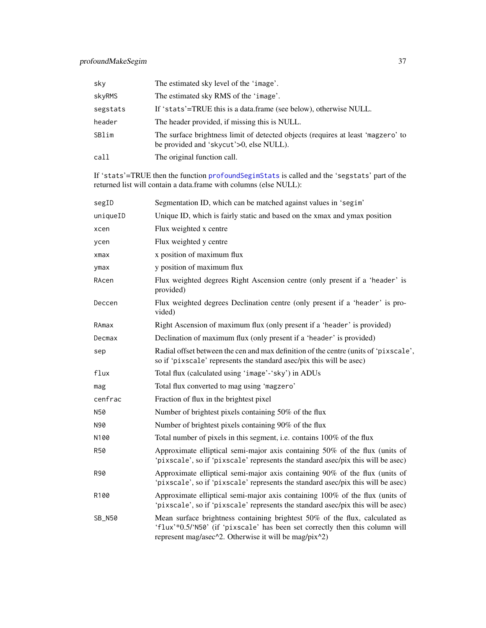| sky      | The estimated sky level of the 'image'.                                                                                     |
|----------|-----------------------------------------------------------------------------------------------------------------------------|
| skyRMS   | The estimated sky RMS of the 'image'.                                                                                       |
| segstats | If 'stats'=TRUE this is a data.frame (see below), otherwise NULL.                                                           |
| header   | The header provided, if missing this is NULL.                                                                               |
| SBlim    | The surface brightness limit of detected objects (requires at least 'magzero' to<br>be provided and 'skycut'>0, else NULL). |
| call     | The original function call.                                                                                                 |

If 'stats'=TRUE then the function [profoundSegimStats](#page-64-0) is called and the 'segstats' part of the returned list will contain a data.frame with columns (else NULL):

| segID         | Segmentation ID, which can be matched against values in 'segim'                                                                                                                                                      |  |
|---------------|----------------------------------------------------------------------------------------------------------------------------------------------------------------------------------------------------------------------|--|
| uniqueID      | Unique ID, which is fairly static and based on the xmax and ymax position                                                                                                                                            |  |
| xcen          | Flux weighted x centre                                                                                                                                                                                               |  |
| ycen          | Flux weighted y centre                                                                                                                                                                                               |  |
| xmax          | x position of maximum flux                                                                                                                                                                                           |  |
| ymax          | y position of maximum flux                                                                                                                                                                                           |  |
| RAcen         | Flux weighted degrees Right Ascension centre (only present if a 'header' is<br>provided)                                                                                                                             |  |
| Deccen        | Flux weighted degrees Declination centre (only present if a 'header' is pro-<br>vided)                                                                                                                               |  |
| RAmax         | Right Ascension of maximum flux (only present if a 'header' is provided)                                                                                                                                             |  |
| Decmax        | Declination of maximum flux (only present if a 'header' is provided)                                                                                                                                                 |  |
| sep           | Radial offset between the cen and max definition of the centre (units of 'pixscale',<br>so if 'pixscale' represents the standard asec/pix this will be asec)                                                         |  |
| flux          | Total flux (calculated using 'image'-'sky') in ADUs                                                                                                                                                                  |  |
| mag           | Total flux converted to mag using 'magzero'                                                                                                                                                                          |  |
| cenfrac       | Fraction of flux in the brightest pixel                                                                                                                                                                              |  |
| N50           | Number of brightest pixels containing 50% of the flux                                                                                                                                                                |  |
| N90           | Number of brightest pixels containing 90% of the flux                                                                                                                                                                |  |
| N100          | Total number of pixels in this segment, i.e. contains 100% of the flux                                                                                                                                               |  |
| <b>R50</b>    | Approximate elliptical semi-major axis containing 50% of the flux (units of<br>'pixscale', so if 'pixscale' represents the standard asec/pix this will be asec)                                                      |  |
| R90           | Approximate elliptical semi-major axis containing 90% of the flux (units of<br>'pixscale', so if 'pixscale' represents the standard asec/pix this will be asec)                                                      |  |
| R100          | Approximate elliptical semi-major axis containing 100% of the flux (units of<br>'pixscale', so if 'pixscale' represents the standard asec/pix this will be asec)                                                     |  |
| <b>SB_N50</b> | Mean surface brightness containing brightest 50% of the flux, calculated as<br>'flux'*0.5/'N50' (if 'pixscale' has been set correctly then this column will<br>represent mag/asec^2. Otherwise it will be mag/pix^2) |  |
|               |                                                                                                                                                                                                                      |  |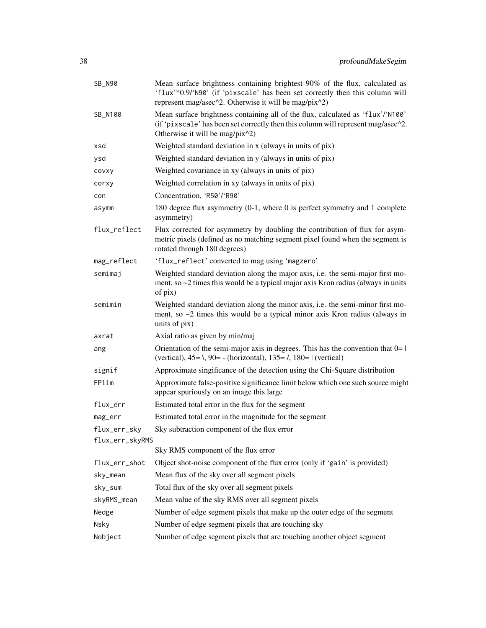| SB_N90          | Mean surface brightness containing brightest 90% of the flux, calculated as<br>'flux'*0.9/'N90' (if 'pixscale' has been set correctly then this column will<br>represent mag/asec^2. Otherwise it will be mag/pix^2) |  |
|-----------------|----------------------------------------------------------------------------------------------------------------------------------------------------------------------------------------------------------------------|--|
| SB_N100         | Mean surface brightness containing all of the flux, calculated as 'flux'/'N100'<br>(if 'pixscale' has been set correctly then this column will represent mag/asec^2.<br>Otherwise it will be mag/pix^2)              |  |
| xsd             | Weighted standard deviation in x (always in units of pix)                                                                                                                                                            |  |
| ysd             | Weighted standard deviation in y (always in units of pix)                                                                                                                                                            |  |
| covxy           | Weighted covariance in xy (always in units of pix)                                                                                                                                                                   |  |
| corxy           | Weighted correlation in xy (always in units of pix)                                                                                                                                                                  |  |
| con             | Concentration, 'R50'/'R90'                                                                                                                                                                                           |  |
| asymm           | 180 degree flux asymmetry $(0-1)$ , where 0 is perfect symmetry and 1 complete<br>asymmetry)                                                                                                                         |  |
| flux_reflect    | Flux corrected for asymmetry by doubling the contribution of flux for asym-<br>metric pixels (defined as no matching segment pixel found when the segment is<br>rotated through 180 degrees)                         |  |
| mag_reflect     | 'flux_reflect' converted to mag using 'magzero'                                                                                                                                                                      |  |
| semimaj         | Weighted standard deviation along the major axis, i.e. the semi-major first mo-<br>ment, so $\sim$ 2 times this would be a typical major axis Kron radius (always in units<br>of pix)                                |  |
| semimin         | Weighted standard deviation along the minor axis, i.e. the semi-minor first mo-<br>ment, so $\sim$ 2 times this would be a typical minor axis Kron radius (always in<br>units of pix)                                |  |
| axrat           | Axial ratio as given by min/maj                                                                                                                                                                                      |  |
| ang             | Orientation of the semi-major axis in degrees. This has the convention that $0=1$<br>(vertical), $45 = \lambda$ , $90 = -$ (horizontal), $135 = \lambda$ , $180 = 1$ (vertical)                                      |  |
| signif          | Approximate singificance of the detection using the Chi-Square distribution                                                                                                                                          |  |
| FPlim           | Approximate false-positive significance limit below which one such source might<br>appear spuriously on an image this large                                                                                          |  |
| flux_err        | Estimated total error in the flux for the segment                                                                                                                                                                    |  |
| mag_err         | Estimated total error in the magnitude for the segment                                                                                                                                                               |  |
| flux_err_sky    | Sky subtraction component of the flux error                                                                                                                                                                          |  |
| flux_err_skyRMS |                                                                                                                                                                                                                      |  |
|                 | Sky RMS component of the flux error                                                                                                                                                                                  |  |
| flux_err_shot   | Object shot-noise component of the flux error (only if 'gain' is provided)                                                                                                                                           |  |
| sky_mean        | Mean flux of the sky over all segment pixels                                                                                                                                                                         |  |
| sky_sum         | Total flux of the sky over all segment pixels                                                                                                                                                                        |  |
| skyRMS_mean     | Mean value of the sky RMS over all segment pixels                                                                                                                                                                    |  |
| Nedge           | Number of edge segment pixels that make up the outer edge of the segment                                                                                                                                             |  |
| Nsky            | Number of edge segment pixels that are touching sky                                                                                                                                                                  |  |
| Nobject         | Number of edge segment pixels that are touching another object segment                                                                                                                                               |  |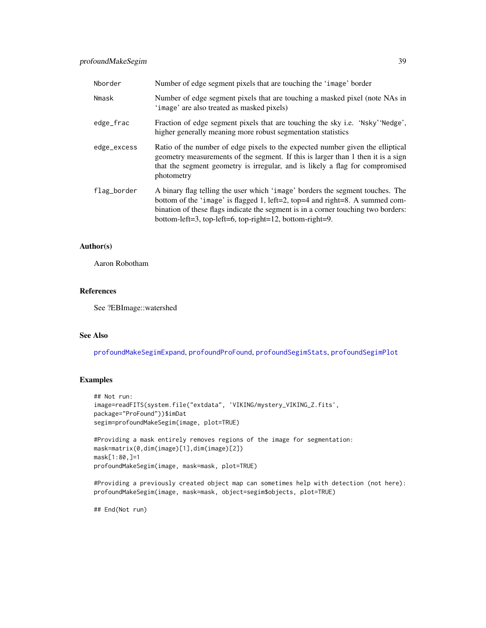# profoundMakeSegim 39

| Nborder     | Number of edge segment pixels that are touching the 'image' border                                                                                                                                                                                                                                             |
|-------------|----------------------------------------------------------------------------------------------------------------------------------------------------------------------------------------------------------------------------------------------------------------------------------------------------------------|
| Nmask       | Number of edge segment pixels that are touching a masked pixel (note NAs in<br>'image' are also treated as masked pixels)                                                                                                                                                                                      |
| edge_frac   | Fraction of edge segment pixels that are touching the sky i.e. 'Nsky''Nedge',<br>higher generally meaning more robust segmentation statistics                                                                                                                                                                  |
| edge_excess | Ratio of the number of edge pixels to the expected number given the elliptical<br>geometry measurements of the segment. If this is larger than 1 then it is a sign<br>that the segment geometry is irregular, and is likely a flag for compromised<br>photometry                                               |
| flag_border | A binary flag telling the user which 'image' borders the segment touches. The<br>bottom of the 'image' is flagged 1, left=2, top=4 and right=8. A summed com-<br>bination of these flags indicate the segment is in a corner touching two borders:<br>bottom-left=3, top-left=6, top-right=12, bottom-right=9. |

## Author(s)

Aaron Robotham

#### References

See ?EBImage::watershed

## See Also

[profoundMakeSegimExpand](#page-39-0), [profoundProFound](#page-6-0), [profoundSegimStats](#page-64-0), [profoundSegimPlot](#page-64-0)

# Examples

```
## Not run:
image=readFITS(system.file("extdata", 'VIKING/mystery_VIKING_Z.fits',
package="ProFound"))$imDat
segim=profoundMakeSegim(image, plot=TRUE)
```

```
#Providing a mask entirely removes regions of the image for segmentation:
mask=matrix(0,dim(image)[1],dim(image)[2])
mask[1:80,]=1
profoundMakeSegim(image, mask=mask, plot=TRUE)
```
#Providing a previously created object map can sometimes help with detection (not here): profoundMakeSegim(image, mask=mask, object=segim\$objects, plot=TRUE)

## End(Not run)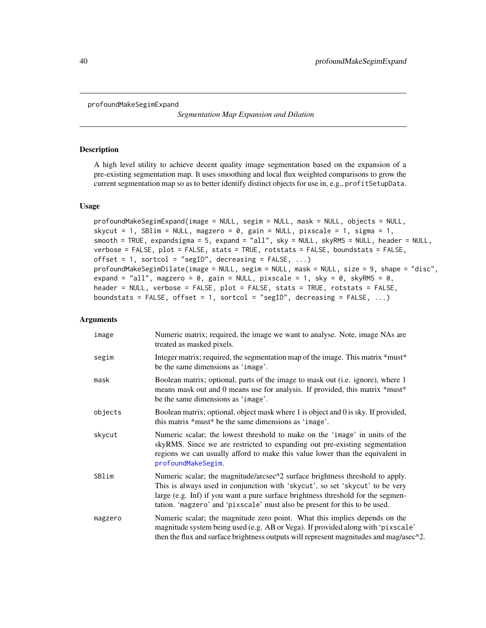<span id="page-39-0"></span>profoundMakeSegimExpand

*Segmentation Map Expansion and Dilation*

#### Description

A high level utility to achieve decent quality image segmentation based on the expansion of a pre-existing segmentation map. It uses smoothing and local flux weighted comparisons to grow the current segmentation map so as to better identify distinct objects for use in, e.g., profitSetupData.

## Usage

```
profoundMakeSegimExpand(image = NULL, segim = NULL, mask = NULL, objects = NULL,
skycut = 1, SBlim = NULL, magzero = 0, gain = NULL, pixscale = 1, sigma = 1,
smooth = TRUE, expandsigma = 5, expand = "all", sky = NULL, skyRMS = NULL, header = NULL,
verbose = FALSE, plot = FALSE, stats = TRUE, rotstats = FALSE, boundstats = FALSE,
offset = 1, sortcol = "segID", decreasing = FALSE, ...)
profoundMakeSegimDilate(image = NULL, segim = NULL, mask = NULL, size = 9, shape = "disc",
expand = "all", magzero = 0, gain = NULL, pixscale = 1, sky = 0, skyRMS = 0,
header = NULL, verbose = FALSE, plot = FALSE, stats = TRUE, rotstats = FALSE,
boundstats = FALSE, offset = 1, sortcol = "segID", decreasing = FALSE, \ldots)
```
## Arguments

| image   | Numeric matrix; required, the image we want to analyse. Note, image NAs are<br>treated as masked pixels.                                                                                                                                                                                                                        |
|---------|---------------------------------------------------------------------------------------------------------------------------------------------------------------------------------------------------------------------------------------------------------------------------------------------------------------------------------|
| segim   | Integer matrix; required, the segmentation map of the image. This matrix *must*<br>be the same dimensions as 'image'.                                                                                                                                                                                                           |
| mask    | Boolean matrix; optional, parts of the image to mask out (i.e. ignore), where 1<br>means mask out and 0 means use for analysis. If provided, this matrix *must*<br>be the same dimensions as 'image'.                                                                                                                           |
| objects | Boolean matrix; optional, object mask where 1 is object and 0 is sky. If provided,<br>this matrix *must* be the same dimensions as 'image'.                                                                                                                                                                                     |
| skycut  | Numeric scalar; the lowest threshold to make on the 'image' in units of the<br>skyRMS. Since we are restricted to expanding out pre-existing segmentation<br>regions we can usually afford to make this value lower than the equivalent in<br>profoundMakeSegim.                                                                |
| SBlim   | Numeric scalar; the magnitude/arcsec^2 surface brightness threshold to apply.<br>This is always used in conjunction with 'skycut', so set 'skycut' to be very<br>large (e.g. Inf) if you want a pure surface brightness threshold for the segmen-<br>tation. 'magzero' and 'pixscale' must also be present for this to be used. |
| magzero | Numeric scalar; the magnitude zero point. What this implies depends on the<br>magnitude system being used (e.g. AB or Vega). If provided along with 'pixscale'<br>then the flux and surface brightness outputs will represent magnitudes and mag/asec <sup>2</sup> .                                                            |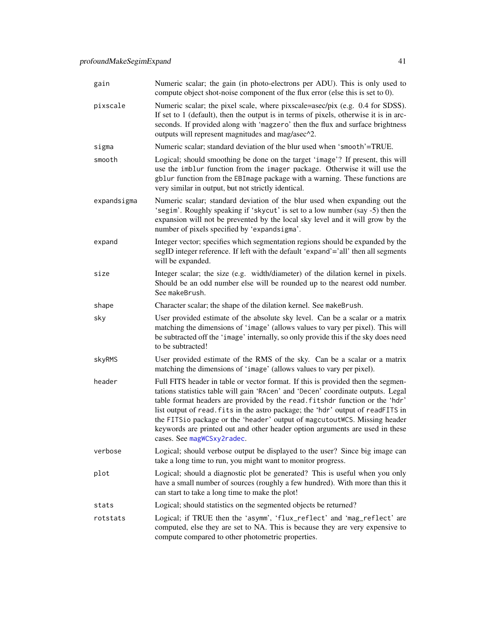| gain        | Numeric scalar; the gain (in photo-electrons per ADU). This is only used to<br>compute object shot-noise component of the flux error (else this is set to 0).                                                                                                                                                                                                                                                                                                                                                                      |  |
|-------------|------------------------------------------------------------------------------------------------------------------------------------------------------------------------------------------------------------------------------------------------------------------------------------------------------------------------------------------------------------------------------------------------------------------------------------------------------------------------------------------------------------------------------------|--|
| pixscale    | Numeric scalar; the pixel scale, where pixscale=asec/pix (e.g. 0.4 for SDSS).<br>If set to 1 (default), then the output is in terms of pixels, otherwise it is in arc-<br>seconds. If provided along with 'magzero' then the flux and surface brightness<br>outputs will represent magnitudes and mag/asec^2.                                                                                                                                                                                                                      |  |
| sigma       | Numeric scalar; standard deviation of the blur used when 'smooth'=TRUE.                                                                                                                                                                                                                                                                                                                                                                                                                                                            |  |
| smooth      | Logical; should smoothing be done on the target 'image'? If present, this will<br>use the imblur function from the imager package. Otherwise it will use the<br>gblur function from the EBImage package with a warning. These functions are<br>very similar in output, but not strictly identical.                                                                                                                                                                                                                                 |  |
| expandsigma | Numeric scalar; standard deviation of the blur used when expanding out the<br>'segim'. Roughly speaking if 'skycut' is set to a low number (say -5) then the<br>expansion will not be prevented by the local sky level and it will grow by the<br>number of pixels specified by 'expandsigma'.                                                                                                                                                                                                                                     |  |
| expand      | Integer vector; specifies which segmentation regions should be expanded by the<br>segID integer reference. If left with the default 'expand'='all' then all segments<br>will be expanded.                                                                                                                                                                                                                                                                                                                                          |  |
| size        | Integer scalar; the size (e.g. width/diameter) of the dilation kernel in pixels.<br>Should be an odd number else will be rounded up to the nearest odd number.<br>See makeBrush.                                                                                                                                                                                                                                                                                                                                                   |  |
| shape       | Character scalar; the shape of the dilation kernel. See makeBrush.                                                                                                                                                                                                                                                                                                                                                                                                                                                                 |  |
| sky         | User provided estimate of the absolute sky level. Can be a scalar or a matrix<br>matching the dimensions of 'image' (allows values to vary per pixel). This will<br>be subtracted off the 'image' internally, so only provide this if the sky does need<br>to be subtracted!                                                                                                                                                                                                                                                       |  |
| skyRMS      | User provided estimate of the RMS of the sky. Can be a scalar or a matrix<br>matching the dimensions of 'image' (allows values to vary per pixel).                                                                                                                                                                                                                                                                                                                                                                                 |  |
| header      | Full FITS header in table or vector format. If this is provided then the segmen-<br>tations statistics table will gain 'RAcen' and 'Decen' coordinate outputs. Legal<br>table format headers are provided by the read. fitshdr function or the 'hdr'<br>list output of read. fits in the astro package; the 'hdr' output of readFITS in<br>the FITSio package or the 'header' output of magcutoutWCS. Missing header<br>keywords are printed out and other header option arguments are used in these<br>cases. See magWCSxy2radec. |  |
| verbose     | Logical; should verbose output be displayed to the user? Since big image can<br>take a long time to run, you might want to monitor progress.                                                                                                                                                                                                                                                                                                                                                                                       |  |
| plot        | Logical; should a diagnostic plot be generated? This is useful when you only<br>have a small number of sources (roughly a few hundred). With more than this it<br>can start to take a long time to make the plot!                                                                                                                                                                                                                                                                                                                  |  |
| stats       | Logical; should statistics on the segmented objects be returned?                                                                                                                                                                                                                                                                                                                                                                                                                                                                   |  |
| rotstats    | Logical; if TRUE then the 'asymm', 'flux_reflect' and 'mag_reflect' are<br>computed, else they are set to NA. This is because they are very expensive to<br>compute compared to other photometric properties.                                                                                                                                                                                                                                                                                                                      |  |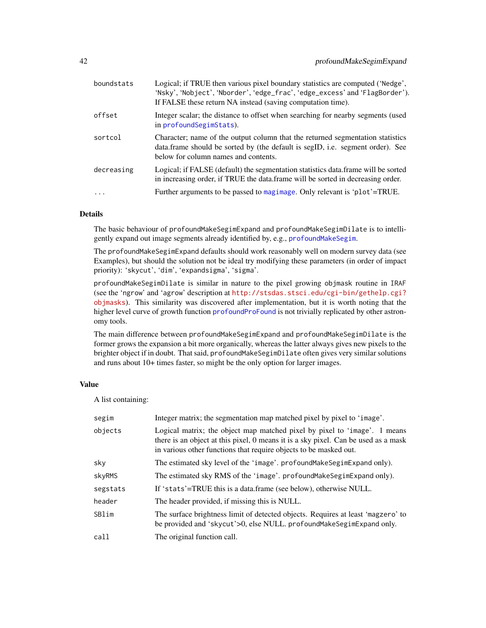| boundstats | Logical; if TRUE then various pixel boundary statistics are computed ('Nedge',<br>'Nsky', 'Nobject', 'Nborder', 'edge_frac', 'edge_excess' and 'FlagBorder').<br>If FALSE these return NA instead (saving computation time). |
|------------|------------------------------------------------------------------------------------------------------------------------------------------------------------------------------------------------------------------------------|
| offset     | Integer scalar; the distance to offset when searching for nearby segments (used<br>in profound Segim Stats).                                                                                                                 |
| sortcol    | Character; name of the output column that the returned segmentation statistics<br>data.frame should be sorted by (the default is segID, i.e. segment order). See<br>below for column names and contents.                     |
| decreasing | Logical; if FALSE (default) the segmentation statistics data.frame will be sorted<br>in increasing order, if TRUE the data.frame will be sorted in decreasing order.                                                         |
| $\ddotsc$  | Further arguments to be passed to magimage. Only relevant is 'plot'=TRUE.                                                                                                                                                    |
|            |                                                                                                                                                                                                                              |

# Details

The basic behaviour of profoundMakeSegimExpand and profoundMakeSegimDilate is to intelligently expand out image segments already identified by, e.g., [profoundMakeSegim](#page-33-0).

The profoundMakeSegimExpand defaults should work reasonably well on modern survey data (see Examples), but should the solution not be ideal try modifying these parameters (in order of impact priority): 'skycut', 'dim', 'expandsigma', 'sigma'.

profoundMakeSegimDilate is similar in nature to the pixel growing objmask routine in IRAF (see the 'ngrow' and 'agrow' description at [http://stsdas.stsci.edu/cgi-bin/gethelp.cgi?](http://stsdas.stsci.edu/cgi-bin/gethelp.cgi?objmasks) [objmasks](http://stsdas.stsci.edu/cgi-bin/gethelp.cgi?objmasks)). This similarity was discovered after implementation, but it is worth noting that the higher level curve of growth function [profoundProFound](#page-6-0) is not trivially replicated by other astronomy tools.

The main difference between profoundMakeSegimExpand and profoundMakeSegimDilate is the former grows the expansion a bit more organically, whereas the latter always gives new pixels to the brighter object if in doubt. That said, profoundMakeSegimDilate often gives very similar solutions and runs about 10+ times faster, so might be the only option for larger images.

# Value

A list containing:

| segim    | Integer matrix; the segmentation map matched pixel by pixel to 'image'.                                                                                                                                                              |
|----------|--------------------------------------------------------------------------------------------------------------------------------------------------------------------------------------------------------------------------------------|
| objects  | Logical matrix; the object map matched pixel by pixel to 'image'. 1 means<br>there is an object at this pixel, 0 means it is a sky pixel. Can be used as a mask<br>in various other functions that require objects to be masked out. |
| sky      | The estimated sky level of the 'image'. profound Make Segim Expand only).                                                                                                                                                            |
| skyRMS   | The estimated sky RMS of the 'image'. profound Make Segim Expand only).                                                                                                                                                              |
| segstats | If 'stats'=TRUE this is a data.frame (see below), otherwise NULL.                                                                                                                                                                    |
| header   | The header provided, if missing this is NULL.                                                                                                                                                                                        |
| SBlim    | The surface brightness limit of detected objects. Requires at least 'magzero' to<br>be provided and 'skycut'>0, else NULL. profoundMakeSegimExpand only.                                                                             |
| call     | The original function call.                                                                                                                                                                                                          |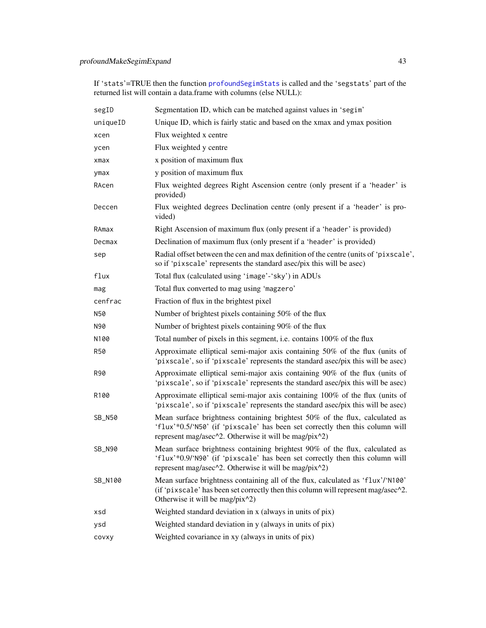If 'stats'=TRUE then the function [profoundSegimStats](#page-64-0) is called and the 'segstats' part of the returned list will contain a data.frame with columns (else NULL):

| segID         | Segmentation ID, which can be matched against values in 'segim'                                                                                                                                                      |  |
|---------------|----------------------------------------------------------------------------------------------------------------------------------------------------------------------------------------------------------------------|--|
| uniqueID      | Unique ID, which is fairly static and based on the xmax and ymax position                                                                                                                                            |  |
| xcen          | Flux weighted x centre                                                                                                                                                                                               |  |
| ycen          | Flux weighted y centre                                                                                                                                                                                               |  |
| xmax          | x position of maximum flux                                                                                                                                                                                           |  |
| ymax          | y position of maximum flux                                                                                                                                                                                           |  |
| RAcen         | Flux weighted degrees Right Ascension centre (only present if a 'header' is<br>provided)                                                                                                                             |  |
| Deccen        | Flux weighted degrees Declination centre (only present if a 'header' is pro-<br>vided)                                                                                                                               |  |
| RAmax         | Right Ascension of maximum flux (only present if a 'header' is provided)                                                                                                                                             |  |
| Decmax        | Declination of maximum flux (only present if a 'header' is provided)                                                                                                                                                 |  |
| sep           | Radial offset between the cen and max definition of the centre (units of 'pixscale',<br>so if 'pixscale' represents the standard asec/pix this will be asec)                                                         |  |
| flux          | Total flux (calculated using 'image'-'sky') in ADUs                                                                                                                                                                  |  |
| mag           | Total flux converted to mag using 'magzero'                                                                                                                                                                          |  |
| cenfrac       | Fraction of flux in the brightest pixel                                                                                                                                                                              |  |
| N50           | Number of brightest pixels containing 50% of the flux                                                                                                                                                                |  |
| N90           | Number of brightest pixels containing 90% of the flux                                                                                                                                                                |  |
| N100          | Total number of pixels in this segment, i.e. contains 100% of the flux                                                                                                                                               |  |
| <b>R50</b>    | Approximate elliptical semi-major axis containing 50% of the flux (units of<br>'pixscale', so if 'pixscale' represents the standard asec/pix this will be asec)                                                      |  |
| R90           | Approximate elliptical semi-major axis containing 90% of the flux (units of<br>'pixscale', so if 'pixscale' represents the standard asec/pix this will be asec)                                                      |  |
| R100          | Approximate elliptical semi-major axis containing 100% of the flux (units of<br>'pixscale', so if 'pixscale' represents the standard asec/pix this will be asec)                                                     |  |
| SB_N50        | Mean surface brightness containing brightest 50% of the flux, calculated as<br>'flux'*0.5/'N50' (if 'pixscale' has been set correctly then this column will<br>represent mag/asec^2. Otherwise it will be mag/pix^2) |  |
| <b>SB_N90</b> | Mean surface brightness containing brightest 90% of the flux, calculated as<br>'flux'*0.9/'N90' (if 'pixscale' has been set correctly then this column will<br>represent mag/asec^2. Otherwise it will be mag/pix^2) |  |
| SB_N100       | Mean surface brightness containing all of the flux, calculated as 'flux'/'N100'<br>(if 'pixscale' has been set correctly then this column will represent mag/asec^2.<br>Otherwise it will be mag/pix^2)              |  |
| xsd           | Weighted standard deviation in x (always in units of pix)                                                                                                                                                            |  |
| ysd           | Weighted standard deviation in y (always in units of pix)                                                                                                                                                            |  |
| COVXV         | Weighted covariance in xy (always in units of pix)                                                                                                                                                                   |  |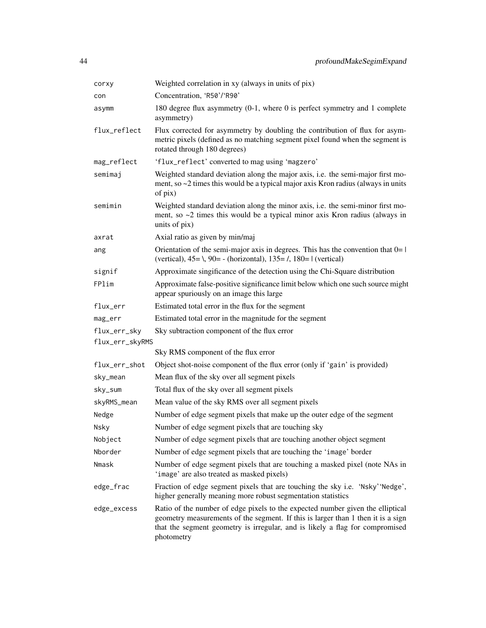| corxy                           | Weighted correlation in xy (always in units of pix)                                                                                                                                                                                                              |
|---------------------------------|------------------------------------------------------------------------------------------------------------------------------------------------------------------------------------------------------------------------------------------------------------------|
| con                             | Concentration, 'R50'/'R90'                                                                                                                                                                                                                                       |
| asymm                           | 180 degree flux asymmetry (0-1, where 0 is perfect symmetry and 1 complete<br>asymmetry)                                                                                                                                                                         |
| flux_reflect                    | Flux corrected for asymmetry by doubling the contribution of flux for asym-<br>metric pixels (defined as no matching segment pixel found when the segment is<br>rotated through 180 degrees)                                                                     |
| mag_reflect                     | 'flux_reflect' converted to mag using 'magzero'                                                                                                                                                                                                                  |
| semimaj                         | Weighted standard deviation along the major axis, i.e. the semi-major first mo-<br>ment, so $\sim$ 2 times this would be a typical major axis Kron radius (always in units<br>of pix)                                                                            |
| semimin                         | Weighted standard deviation along the minor axis, i.e. the semi-minor first mo-<br>ment, so $\sim$ 2 times this would be a typical minor axis Kron radius (always in<br>units of pix)                                                                            |
| axrat                           | Axial ratio as given by min/maj                                                                                                                                                                                                                                  |
| ang                             | Orientation of the semi-major axis in degrees. This has the convention that $0=1$<br>(vertical), $45 = \lambda$ , $90 = -$ (horizontal), $135 = \lambda$ , $180 = 1$ (vertical)                                                                                  |
| signif                          | Approximate singificance of the detection using the Chi-Square distribution                                                                                                                                                                                      |
| FPlim                           | Approximate false-positive significance limit below which one such source might<br>appear spuriously on an image this large                                                                                                                                      |
| flux_err                        | Estimated total error in the flux for the segment                                                                                                                                                                                                                |
| mag_err                         | Estimated total error in the magnitude for the segment                                                                                                                                                                                                           |
| flux_err_sky<br>flux_err_skyRMS | Sky subtraction component of the flux error                                                                                                                                                                                                                      |
|                                 | Sky RMS component of the flux error                                                                                                                                                                                                                              |
| flux_err_shot                   | Object shot-noise component of the flux error (only if 'gain' is provided)                                                                                                                                                                                       |
| sky_mean                        | Mean flux of the sky over all segment pixels                                                                                                                                                                                                                     |
| sky_sum                         | Total flux of the sky over all segment pixels                                                                                                                                                                                                                    |
| skyRMS_mean                     | Mean value of the sky RMS over all segment pixels                                                                                                                                                                                                                |
| Nedge                           | Number of edge segment pixels that make up the outer edge of the segment                                                                                                                                                                                         |
| Nsky                            | Number of edge segment pixels that are touching sky                                                                                                                                                                                                              |
| Nobject                         | Number of edge segment pixels that are touching another object segment                                                                                                                                                                                           |
| Nborder                         | Number of edge segment pixels that are touching the 'image' border                                                                                                                                                                                               |
| Nmask                           | Number of edge segment pixels that are touching a masked pixel (note NAs in<br>'image' are also treated as masked pixels)                                                                                                                                        |
| edge_frac                       | Fraction of edge segment pixels that are touching the sky i.e. 'Nsky' 'Nedge',<br>higher generally meaning more robust segmentation statistics                                                                                                                   |
| edge_excess                     | Ratio of the number of edge pixels to the expected number given the elliptical<br>geometry measurements of the segment. If this is larger than 1 then it is a sign<br>that the segment geometry is irregular, and is likely a flag for compromised<br>photometry |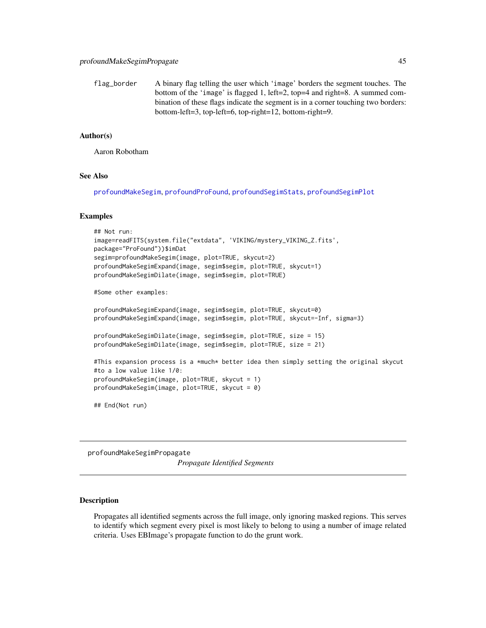flag\_border A binary flag telling the user which 'image' borders the segment touches. The bottom of the 'image' is flagged 1, left=2, top=4 and right=8. A summed combination of these flags indicate the segment is in a corner touching two borders: bottom-left=3, top-left=6, top-right=12, bottom-right=9.

#### Author(s)

Aaron Robotham

#### See Also

[profoundMakeSegim](#page-33-0), [profoundProFound](#page-6-0), [profoundSegimStats](#page-64-0), [profoundSegimPlot](#page-64-0)

#### Examples

```
## Not run:
image=readFITS(system.file("extdata", 'VIKING/mystery_VIKING_Z.fits',
package="ProFound"))$imDat
segim=profoundMakeSegim(image, plot=TRUE, skycut=2)
profoundMakeSegimExpand(image, segim$segim, plot=TRUE, skycut=1)
profoundMakeSegimDilate(image, segim$segim, plot=TRUE)
#Some other examples:
profoundMakeSegimExpand(image, segim$segim, plot=TRUE, skycut=0)
profoundMakeSegimExpand(image, segim$segim, plot=TRUE, skycut=-Inf, sigma=3)
profoundMakeSegimDilate(image, segim$segim, plot=TRUE, size = 15)
profoundMakeSegimDilate(image, segim$segim, plot=TRUE, size = 21)
#This expansion process is a *much* better idea then simply setting the original skycut
#to a low value like 1/0:
profoundMakeSegim(image, plot=TRUE, skycut = 1)
profoundMakeSegim(image, plot=TRUE, skycut = 0)
## End(Not run)
```
profoundMakeSegimPropagate

*Propagate Identified Segments*

#### Description

Propagates all identified segments across the full image, only ignoring masked regions. This serves to identify which segment every pixel is most likely to belong to using a number of image related criteria. Uses EBImage's propagate function to do the grunt work.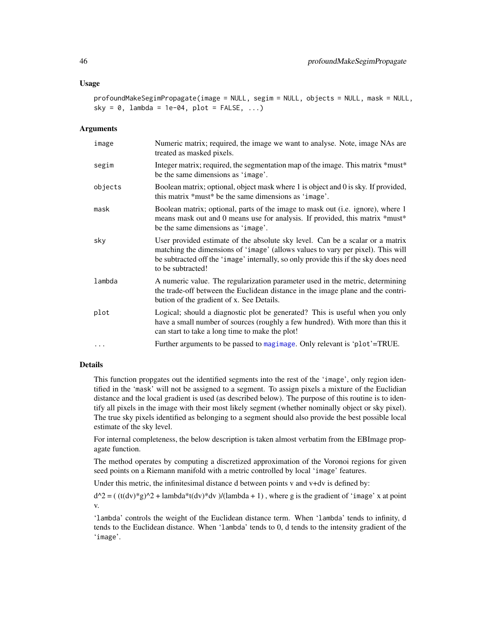#### Usage

profoundMakeSegimPropagate(image = NULL, segim = NULL, objects = NULL, mask = NULL, sky =  $0$ , lambda = 1e-04, plot = FALSE, ...)

#### **Arguments**

| image   | Numeric matrix; required, the image we want to analyse. Note, image NAs are<br>treated as masked pixels.                                                                                                                                                                     |
|---------|------------------------------------------------------------------------------------------------------------------------------------------------------------------------------------------------------------------------------------------------------------------------------|
| segim   | Integer matrix; required, the segmentation map of the image. This matrix *must*<br>be the same dimensions as 'image'.                                                                                                                                                        |
| objects | Boolean matrix; optional, object mask where 1 is object and 0 is sky. If provided,<br>this matrix *must* be the same dimensions as 'image'.                                                                                                                                  |
| mask    | Boolean matrix; optional, parts of the image to mask out (i.e. ignore), where 1<br>means mask out and 0 means use for analysis. If provided, this matrix *must*<br>be the same dimensions as 'image'.                                                                        |
| sky     | User provided estimate of the absolute sky level. Can be a scalar or a matrix<br>matching the dimensions of 'image' (allows values to vary per pixel). This will<br>be subtracted off the 'image' internally, so only provide this if the sky does need<br>to be subtracted! |
| lambda  | A numeric value. The regularization parameter used in the metric, determining<br>the trade-off between the Euclidean distance in the image plane and the contri-<br>bution of the gradient of x. See Details.                                                                |
| plot    | Logical; should a diagnostic plot be generated? This is useful when you only<br>have a small number of sources (roughly a few hundred). With more than this it<br>can start to take a long time to make the plot!                                                            |
|         | Further arguments to be passed to magimage. Only relevant is 'plot'=TRUE.                                                                                                                                                                                                    |

## Details

This function propgates out the identified segments into the rest of the 'image', only region identified in the 'mask' will not be assigned to a segment. To assign pixels a mixture of the Euclidian distance and the local gradient is used (as described below). The purpose of this routine is to identify all pixels in the image with their most likely segment (whether nominally object or sky pixel). The true sky pixels identified as belonging to a segment should also provide the best possible local estimate of the sky level.

For internal completeness, the below description is taken almost verbatim from the EBImage propagate function.

The method operates by computing a discretized approximation of the Voronoi regions for given seed points on a Riemann manifold with a metric controlled by local 'image' features.

Under this metric, the infinitesimal distance d between points v and v+dv is defined by:

 $d^2 = ((t(dv)*g)^2 + lambda*(dv)*dv) / (lambda + 1)$ , where g is the gradient of 'image' x at point v.

'lambda' controls the weight of the Euclidean distance term. When 'lambda' tends to infinity, d tends to the Euclidean distance. When 'lambda' tends to 0, d tends to the intensity gradient of the 'image'.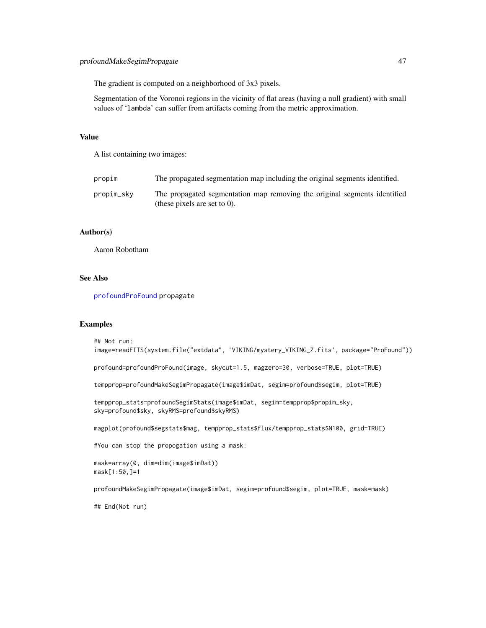The gradient is computed on a neighborhood of 3x3 pixels.

Segmentation of the Voronoi regions in the vicinity of flat areas (having a null gradient) with small values of 'lambda' can suffer from artifacts coming from the metric approximation.

## Value

A list containing two images:

| propim     | The propagated segmentation map including the original segments identified.                                  |
|------------|--------------------------------------------------------------------------------------------------------------|
| propim_sky | The propagated segmentation map removing the original segments identified<br>(these pixels are set to $0$ ). |

#### Author(s)

Aaron Robotham

#### See Also

[profoundProFound](#page-6-0) propagate

#### Examples

```
## Not run:
image=readFITS(system.file("extdata", 'VIKING/mystery_VIKING_Z.fits', package="ProFound"))
profound=profoundProFound(image, skycut=1.5, magzero=30, verbose=TRUE, plot=TRUE)
tempprop=profoundMakeSegimPropagate(image$imDat, segim=profound$segim, plot=TRUE)
tempprop_stats=profoundSegimStats(image$imDat, segim=tempprop$propim_sky,
sky=profound$sky, skyRMS=profound$skyRMS)
magplot(profound$segstats$mag, tempprop_stats$flux/tempprop_stats$N100, grid=TRUE)
#You can stop the propogation using a mask:
mask=array(0, dim=dim(image$imDat))
mask[1:50,]=1
profoundMakeSegimPropagate(image$imDat, segim=profound$segim, plot=TRUE, mask=mask)
## End(Not run)
```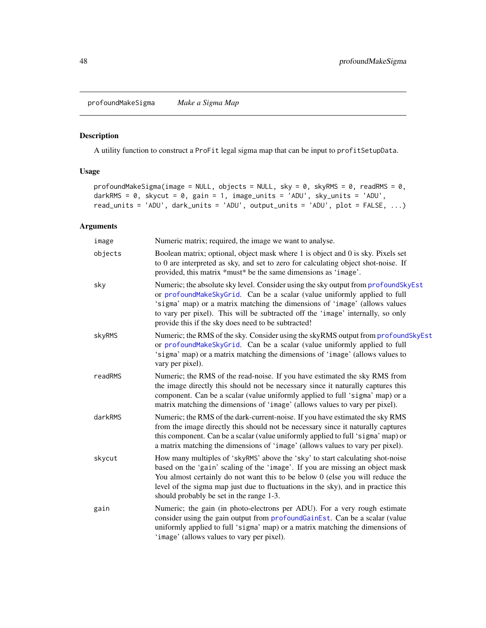profoundMakeSigma *Make a Sigma Map*

# Description

A utility function to construct a ProFit legal sigma map that can be input to profitSetupData.

# Usage

```
profoundMakeSigma(image = NULL, objects = NULL, sky = 0, skyRMS = 0, readRMS = 0,
darkRMS = 0, skycut = 0, gain = 1, image_units = 'ADU', sky_units = 'ADU',
read_units = 'ADU', dark_units = 'ADU', output_units = 'ADU', plot = FALSE, ...)
```
# Arguments

| image   | Numeric matrix; required, the image we want to analyse.                                                                                                                                                                                                                                                                                                                                |
|---------|----------------------------------------------------------------------------------------------------------------------------------------------------------------------------------------------------------------------------------------------------------------------------------------------------------------------------------------------------------------------------------------|
| objects | Boolean matrix; optional, object mask where 1 is object and 0 is sky. Pixels set<br>to 0 are interpreted as sky, and set to zero for calculating object shot-noise. If<br>provided, this matrix *must* be the same dimensions as 'image'.                                                                                                                                              |
| sky     | Numeric; the absolute sky level. Consider using the sky output from profoundSkyEst<br>or profoundMakeSkyGrid. Can be a scalar (value uniformly applied to full<br>'sigma' map) or a matrix matching the dimensions of 'image' (allows values<br>to vary per pixel). This will be subtracted off the 'image' internally, so only<br>provide this if the sky does need to be subtracted! |
| skyRMS  | Numeric; the RMS of the sky. Consider using the skyRMS output from profoundSkyEst<br>or profoundMakeSkyGrid. Can be a scalar (value uniformly applied to full<br>'sigma' map) or a matrix matching the dimensions of 'image' (allows values to<br>vary per pixel).                                                                                                                     |
| readRMS | Numeric; the RMS of the read-noise. If you have estimated the sky RMS from<br>the image directly this should not be necessary since it naturally captures this<br>component. Can be a scalar (value uniformly applied to full 'sigma' map) or a<br>matrix matching the dimensions of 'image' (allows values to vary per pixel).                                                        |
| darkRMS | Numeric; the RMS of the dark-current-noise. If you have estimated the sky RMS<br>from the image directly this should not be necessary since it naturally captures<br>this component. Can be a scalar (value uniformly applied to full 'sigma' map) or<br>a matrix matching the dimensions of 'image' (allows values to vary per pixel).                                                |
| skycut  | How many multiples of 'skyRMS' above the 'sky' to start calculating shot-noise<br>based on the 'gain' scaling of the 'image'. If you are missing an object mask<br>You almost certainly do not want this to be below 0 (else you will reduce the<br>level of the sigma map just due to fluctuations in the sky), and in practice this<br>should probably be set in the range 1-3.      |
| gain    | Numeric; the gain (in photo-electrons per ADU). For a very rough estimate<br>consider using the gain output from profound GainEst. Can be a scalar (value<br>uniformly applied to full 'sigma' map) or a matrix matching the dimensions of<br>'image' (allows values to vary per pixel).                                                                                               |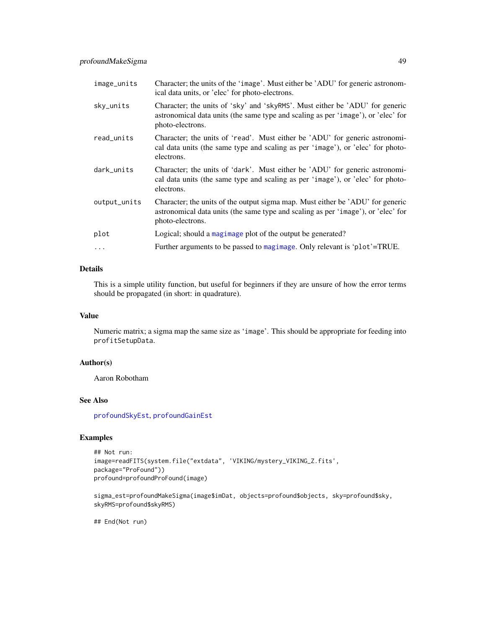| image_units  | Character; the units of the 'image'. Must either be 'ADU' for generic astronom-<br>ical data units, or 'elec' for photo-electrons.                                                      |
|--------------|-----------------------------------------------------------------------------------------------------------------------------------------------------------------------------------------|
| sky_units    | Character; the units of 'sky' and 'skyRMS'. Must either be 'ADU' for generic<br>astronomical data units (the same type and scaling as per 'image'), or 'elec' for<br>photo-electrons.   |
| read_units   | Character; the units of 'read'. Must either be 'ADU' for generic astronomi-<br>cal data units (the same type and scaling as per 'image'), or 'elec' for photo-<br>electrons.            |
| dark_units   | Character; the units of 'dark'. Must either be 'ADU' for generic astronomi-<br>cal data units (the same type and scaling as per 'image'), or 'elec' for photo-<br>electrons.            |
| output_units | Character; the units of the output sigma map. Must either be 'ADU' for generic<br>astronomical data units (the same type and scaling as per 'image'), or 'elec' for<br>photo-electrons. |
| plot         | Logical; should a magimage plot of the output be generated?                                                                                                                             |
| $\cdots$     | Further arguments to be passed to magimage. Only relevant is 'plot'=TRUE.                                                                                                               |

# Details

This is a simple utility function, but useful for beginners if they are unsure of how the error terms should be propagated (in short: in quadrature).

## Value

Numeric matrix; a sigma map the same size as 'image'. This should be appropriate for feeding into profitSetupData.

# Author(s)

Aaron Robotham

## See Also

[profoundSkyEst](#page-74-0), [profoundGainEst](#page-23-0)

## Examples

```
## Not run:
image=readFITS(system.file("extdata", 'VIKING/mystery_VIKING_Z.fits',
package="ProFound"))
profound=profoundProFound(image)
```
sigma\_est=profoundMakeSigma(image\$imDat, objects=profound\$objects, sky=profound\$sky, skyRMS=profound\$skyRMS)

## End(Not run)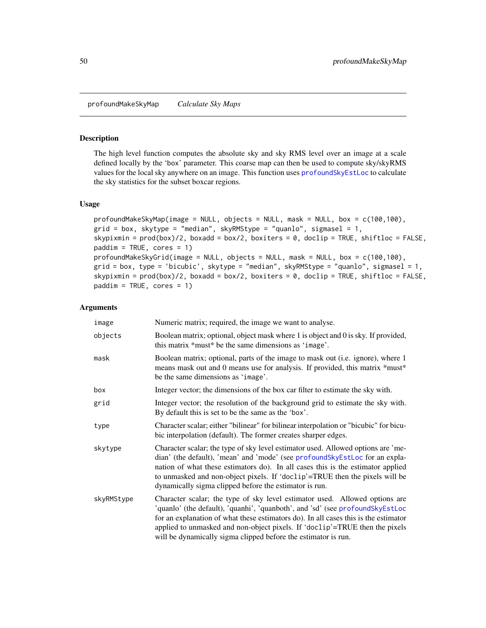profoundMakeSkyMap *Calculate Sky Maps*

## <span id="page-49-0"></span>Description

The high level function computes the absolute sky and sky RMS level over an image at a scale defined locally by the 'box' parameter. This coarse map can then be used to compute sky/skyRMS values for the local sky anywhere on an image. This function uses [profoundSkyEstLoc](#page-76-0) to calculate the sky statistics for the subset boxcar regions.

### Usage

```
profoundMakeSkyMap(image = NULL, objects = NULL, mask = NULL, box = c(100,100),
grid = box, skytype = "median", skyRMStyle = "quanto", sigmasel = 1,skypixmin = prod(box)/2, boxadd = box/2, boxiters = 0, doclip = TRUE, shiftloc = FALSE,
paddim = TRUE, cores = 1)
profoundMakeSkyGrid(image = NULL, objects = NULL, mask = NULL, box = c(100,100),
grid = box, type = 'bicubic', skytype = "median", skyRMStyle = "quando", sigmase1 = 1,skypixmin = prod(box)/2, boxadd = box/2, boxiters = 0, doclip = TRUE, shiftloc = FALSE,
paddim = TRUE, cores = 1)
```
#### Arguments

| image      | Numeric matrix; required, the image we want to analyse.                                                                                                                                                                                                                                                                                                                                              |
|------------|------------------------------------------------------------------------------------------------------------------------------------------------------------------------------------------------------------------------------------------------------------------------------------------------------------------------------------------------------------------------------------------------------|
| objects    | Boolean matrix; optional, object mask where 1 is object and 0 is sky. If provided,<br>this matrix *must* be the same dimensions as 'image'.                                                                                                                                                                                                                                                          |
| mask       | Boolean matrix; optional, parts of the image to mask out (i.e. ignore), where 1<br>means mask out and 0 means use for analysis. If provided, this matrix *must*<br>be the same dimensions as 'image'.                                                                                                                                                                                                |
| box        | Integer vector; the dimensions of the box car filter to estimate the sky with.                                                                                                                                                                                                                                                                                                                       |
| grid       | Integer vector; the resolution of the background grid to estimate the sky with.<br>By default this is set to be the same as the 'box'.                                                                                                                                                                                                                                                               |
| type       | Character scalar; either "bilinear" for bilinear interpolation or "bicubic" for bicu-<br>bic interpolation (default). The former creates sharper edges.                                                                                                                                                                                                                                              |
| skytype    | Character scalar; the type of sky level estimator used. Allowed options are 'me-<br>dian' (the default), 'mean' and 'mode' (see profound Sky Est Loc for an expla-<br>nation of what these estimators do). In all cases this is the estimator applied<br>to unmasked and non-object pixels. If 'doclip'=TRUE then the pixels will be<br>dynamically sigma clipped before the estimator is run.       |
| skyRMStype | Character scalar; the type of sky level estimator used. Allowed options are<br>'quanlo' (the default), 'quanhi', 'quanboth', and 'sd' (see profoundSkyEstLoc<br>for an explanation of what these estimators do). In all cases this is the estimator<br>applied to unmasked and non-object pixels. If 'doclip'=TRUE then the pixels<br>will be dynamically sigma clipped before the estimator is run. |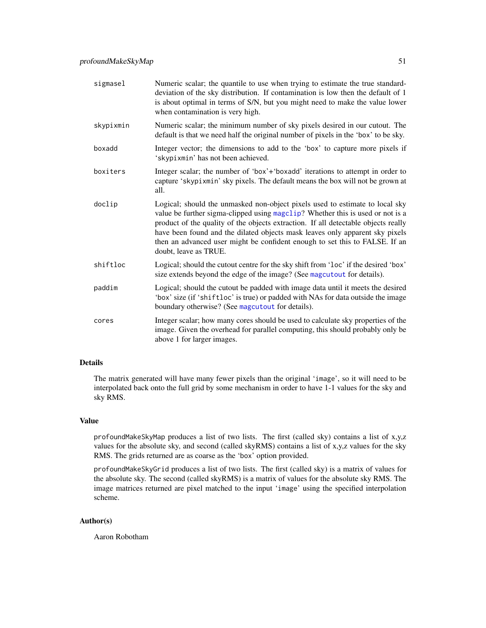| sigmasel  | Numeric scalar; the quantile to use when trying to estimate the true standard-<br>deviation of the sky distribution. If contamination is low then the default of 1<br>is about optimal in terms of S/N, but you might need to make the value lower<br>when contamination is very high.                                                                                                                                                       |
|-----------|----------------------------------------------------------------------------------------------------------------------------------------------------------------------------------------------------------------------------------------------------------------------------------------------------------------------------------------------------------------------------------------------------------------------------------------------|
| skypixmin | Numeric scalar; the minimum number of sky pixels desired in our cutout. The<br>default is that we need half the original number of pixels in the 'box' to be sky.                                                                                                                                                                                                                                                                            |
| boxadd    | Integer vector; the dimensions to add to the 'box' to capture more pixels if<br>'skypixmin' has not been achieved.                                                                                                                                                                                                                                                                                                                           |
| boxiters  | Integer scalar; the number of 'box'+'boxadd' iterations to attempt in order to<br>capture 'skypixmin' sky pixels. The default means the box will not be grown at<br>all.                                                                                                                                                                                                                                                                     |
| doclip    | Logical; should the unmasked non-object pixels used to estimate to local sky<br>value be further sigma-clipped using magclip? Whether this is used or not is a<br>product of the quality of the objects extraction. If all detectable objects really<br>have been found and the dilated objects mask leaves only apparent sky pixels<br>then an advanced user might be confident enough to set this to FALSE. If an<br>doubt, leave as TRUE. |
| shiftloc  | Logical; should the cutout centre for the sky shift from 'loc' if the desired 'box'<br>size extends beyond the edge of the image? (See magcutout for details).                                                                                                                                                                                                                                                                               |
| paddim    | Logical; should the cutout be padded with image data until it meets the desired<br>'box' size (if 'shiftloc' is true) or padded with NAs for data outside the image<br>boundary otherwise? (See magcutout for details).                                                                                                                                                                                                                      |
| cores     | Integer scalar; how many cores should be used to calculate sky properties of the<br>image. Given the overhead for parallel computing, this should probably only be<br>above 1 for larger images.                                                                                                                                                                                                                                             |

# Details

The matrix generated will have many fewer pixels than the original 'image', so it will need to be interpolated back onto the full grid by some mechanism in order to have 1-1 values for the sky and sky RMS.

#### Value

profoundMakeSkyMap produces a list of two lists. The first (called sky) contains a list of x,y,z values for the absolute sky, and second (called skyRMS) contains a list of x,y,z values for the sky RMS. The grids returned are as coarse as the 'box' option provided.

profoundMakeSkyGrid produces a list of two lists. The first (called sky) is a matrix of values for the absolute sky. The second (called skyRMS) is a matrix of values for the absolute sky RMS. The image matrices returned are pixel matched to the input 'image' using the specified interpolation scheme.

#### Author(s)

Aaron Robotham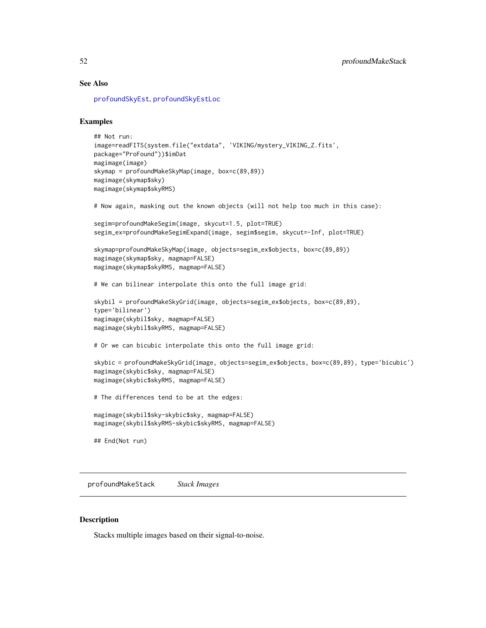# See Also

[profoundSkyEst](#page-74-0), [profoundSkyEstLoc](#page-76-0)

# Examples

```
## Not run:
image=readFITS(system.file("extdata", 'VIKING/mystery_VIKING_Z.fits',
package="ProFound"))$imDat
magimage(image)
skymap = profoundMakeSkyMap(image, box=c(89,89))
magimage(skymap$sky)
magimage(skymap$skyRMS)
# Now again, masking out the known objects (will not help too much in this case):
segim=profoundMakeSegim(image, skycut=1.5, plot=TRUE)
segim_ex=profoundMakeSegimExpand(image, segim$segim, skycut=-Inf, plot=TRUE)
skymap=profoundMakeSkyMap(image, objects=segim_ex$objects, box=c(89,89))
magimage(skymap$sky, magmap=FALSE)
magimage(skymap$skyRMS, magmap=FALSE)
# We can bilinear interpolate this onto the full image grid:
skybil = profoundMakeSkyGrid(image, objects=segim_ex$objects, box=c(89,89),
type='bilinear')
magimage(skybil$sky, magmap=FALSE)
magimage(skybil$skyRMS, magmap=FALSE)
# Or we can bicubic interpolate this onto the full image grid:
skybic = profoundMakeSkyGrid(image, objects=segim_ex$objects, box=c(89,89), type='bicubic')
magimage(skybic$sky, magmap=FALSE)
magimage(skybic$skyRMS, magmap=FALSE)
# The differences tend to be at the edges:
magimage(skybil$sky-skybic$sky, magmap=FALSE)
magimage(skybil$skyRMS-skybic$skyRMS, magmap=FALSE)
## End(Not run)
```
<span id="page-51-0"></span>profoundMakeStack *Stack Images*

# **Description**

Stacks multiple images based on their signal-to-noise.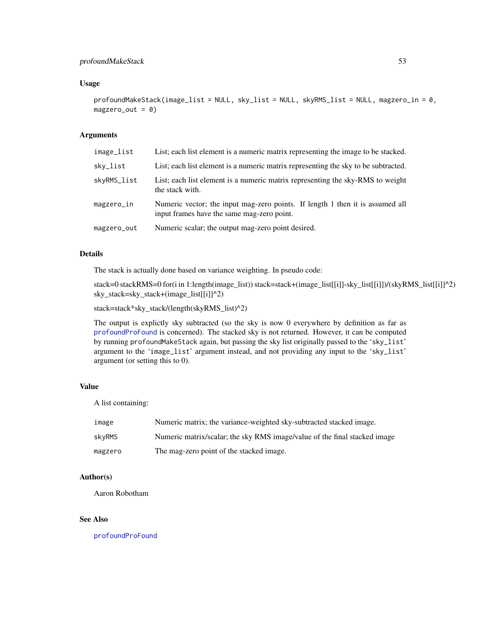# profoundMakeStack 53

# Usage

profoundMakeStack(image\_list = NULL, sky\_list = NULL, skyRMS\_list = NULL, magzero\_in = 0,  $magzero_out = 0)$ 

# Arguments

| image_list  | List; each list element is a numeric matrix representing the image to be stacked.                                           |
|-------------|-----------------------------------------------------------------------------------------------------------------------------|
| sky_list    | List; each list element is a numeric matrix representing the sky to be subtracted.                                          |
| skyRMS_list | List; each list element is a numeric matrix representing the sky-RMS to weight<br>the stack with.                           |
| magzero_in  | Numeric vector; the input mag-zero points. If length 1 then it is assumed all<br>input frames have the same mag-zero point. |
| magzero_out | Numeric scalar; the output mag-zero point desired.                                                                          |

# Details

The stack is actually done based on variance weighting. In pseudo code:

stack=0 stackRMS=0 for(i in 1:length(image\_list)) stack=stack+(image\_list[[i]]-sky\_list[[i]])/(skyRMS\_list[[i]]^2) sky\_stack=sky\_stack+(image\_list[[i]]^2)

stack=stack\*sky\_stack/(length(skyRMS\_list)^2)

The output is explictly sky subtracted (so the sky is now 0 everywhere by definition as far as [profoundProFound](#page-6-0) is concerned). The stacked sky is not returned. However, it can be computed by running profoundMakeStack again, but passing the sky list originally passed to the 'sky\_list' argument to the 'image\_list' argument instead, and not providing any input to the 'sky\_list' argument (or setting this to 0).

## Value

A list containing:

| image         | Numeric matrix; the variance-weighted sky-subtracted stacked image.       |
|---------------|---------------------------------------------------------------------------|
| <b>skvRMS</b> | Numeric matrix/scalar; the sky RMS image/value of the final stacked image |
| magzero       | The mag-zero point of the stacked image.                                  |

#### Author(s)

Aaron Robotham

# See Also

[profoundProFound](#page-6-0)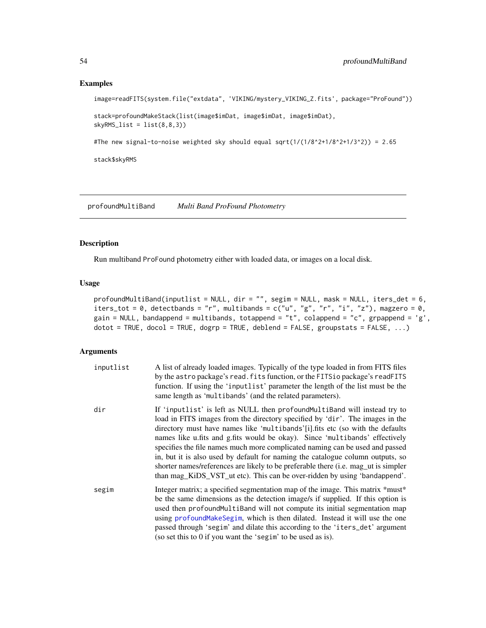## Examples

```
image=readFITS(system.file("extdata", 'VIKING/mystery_VIKING_Z.fits', package="ProFound"))
```

```
stack=profoundMakeStack(list(image$imDat, image$imDat, image$imDat),
skyRMS\_list = list(8,8,3)
```
#The new signal-to-noise weighted sky should equal sqrt(1/(1/8^2+1/8^2+1/3^2)) = 2.65

stack\$skyRMS

profoundMultiBand *Multi Band ProFound Photometry*

## Description

Run multiband ProFound photometry either with loaded data, or images on a local disk.

## Usage

```
profoundMultiBand(inputlist = NULL, dir = "", segim = NULL, mask = NULL, iters_det = 6,
iters_tot = 0, detectbands = "r", multibands = c("u", "g", "r", "i", "z"), magzero = 0,
gain = NULL, bandappend = multibands, totappend = "t", colappend = "c", grpappend = 'g',
dot = TRUE, docol = TRUE, dogrp = TRUE, deblend = FALSE, groupstats = FALSE, \dots)
```
## Arguments

| inputlist | A list of already loaded images. Typically of the type loaded in from FITS files<br>by the astro package's read. fits function, or the FITSio package's readFITS<br>function. If using the 'inputlist' parameter the length of the list must be the<br>same length as 'multibands' (and the related parameters).                                                                                                                                                                                                                                                                                                                                               |
|-----------|----------------------------------------------------------------------------------------------------------------------------------------------------------------------------------------------------------------------------------------------------------------------------------------------------------------------------------------------------------------------------------------------------------------------------------------------------------------------------------------------------------------------------------------------------------------------------------------------------------------------------------------------------------------|
| dir       | If 'inputlist' is left as NULL then profoundMultiBand will instead try to<br>load in FITS images from the directory specified by 'dir'. The images in the<br>directory must have names like 'multibands'[i].fits etc (so with the defaults<br>names like u.fits and g.fits would be okay). Since 'multibands' effectively<br>specifies the file names much more complicated naming can be used and passed<br>in, but it is also used by default for naming the catalogue column outputs, so<br>shorter names/references are likely to be preferable there (i.e. mag_ut is simpler<br>than mag_KiDS_VST_ut etc). This can be over-ridden by using 'bandappend'. |
| segim     | Integer matrix; a specified segmentation map of the image. This matrix *must*<br>be the same dimensions as the detection image/s if supplied. If this option is<br>used then profoundMultiBand will not compute its initial segmentation map<br>using profoundMakeSegim, which is then dilated. Instead it will use the one<br>passed through 'segim' and dilate this according to the 'iters_det' argument<br>(so set this to 0 if you want the 'segim' to be used as is).                                                                                                                                                                                    |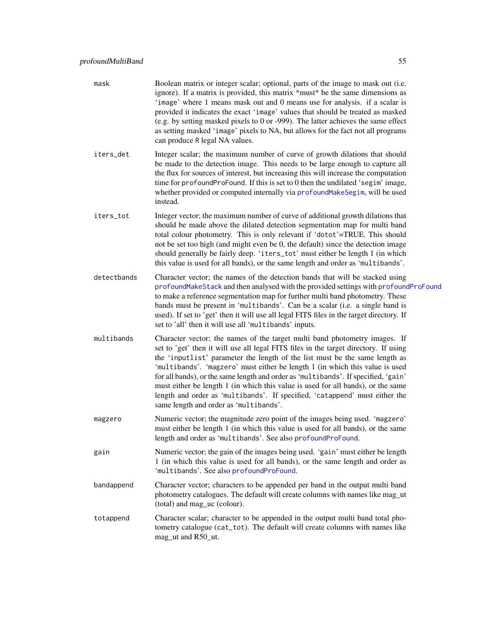- mask Boolean matrix or integer scalar; optional, parts of the image to mask out (i.e. ignore). If a matrix is provided, this matrix \*must\* be the same dimensions as 'image' where 1 means mask out and 0 means use for analysis. if a scalar is provided it indicates the exact 'image' values that should be treated as masked (e.g. by setting masked pixels to 0 or -999). The latter achieves the same effect as setting masked 'image' pixels to NA, but allows for the fact not all programs can produce R legal NA values. iters\_det Integer scalar; the maximum number of curve of growth dilations that should be made to the detection image. This needs to be large enough to capture all the flux for sources of interest, but increasing this will increase the computation time for profoundProFound. If this is set to 0 then the undilated 'segim' image, whether provided or computed internally via [profoundMakeSegim](#page-33-0), will be used instead. iters\_tot Integer vector; the maximum number of curve of additional growth dilations that should be made above the dilated detection segmentation map for multi band total colour photometry. This is only relevant if 'dotot'=TRUE. This should not be set too high (and might even be 0, the default) since the detection image should generally be fairly deep. 'iters\_tot' must either be length 1 (in which this value is used for all bands), or the same length and order as 'multibands'. detectbands Character vector; the names of the detection bands that will be stacked using [profoundMakeStack](#page-51-0) and then analysed with the provided settings with [profoundProFound](#page-6-0) to make a reference segmentation map for further multi band photometry. These bands must be present in 'multibands'. Can be a scalar (i.e. a single band is used). If set to 'get' then it will use all legal FITS files in the target directory. If set to 'all' then it will use all 'multibands' inputs. multibands Character vector; the names of the target multi band photometry images. If set to 'get' then it will use all legal FITS files in the target directory. If using the 'inputlist' parameter the length of the list must be the same length as 'multibands'. 'magzero' must either be length 1 (in which this value is used for all bands), or the same length and order as 'multibands'. If specified, 'gain' must either be length 1 (in which this value is used for all bands), or the same length and order as 'multibands'. If specified, 'catappend' must either the same length and order as 'multibands'. magzero Numeric vector; the magnitude zero point of the images being used. 'magzero' must either be length 1 (in which this value is used for all bands), or the same length and order as 'multibands'. See also [profoundProFound](#page-6-0). gain Numeric vector; the gain of the images being used. 'gain' must either be length 1 (in which this value is used for all bands), or the same length and order as 'multibands'. See also [profoundProFound](#page-6-0). bandappend Character vector; characters to be appended per band in the output multi band photometry catalogues. The default will create columns with names like mag\_ut (total) and mag\_uc (colour). totappend Character scalar; character to be appended in the output multi band total pho-
- tometry catalogue (cat\_tot). The default will create columns with names like mag\_ut and R50\_ut.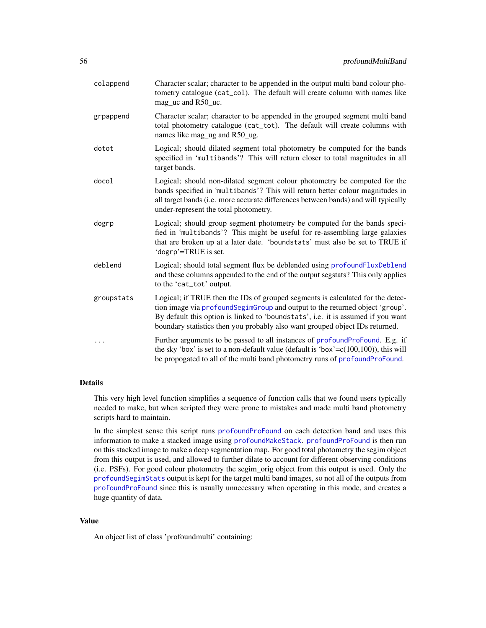| colappend  | Character scalar; character to be appended in the output multi band colour pho-<br>tometry catalogue (cat_col). The default will create column with names like<br>mag_uc and R50_uc.                                                                                                                                               |
|------------|------------------------------------------------------------------------------------------------------------------------------------------------------------------------------------------------------------------------------------------------------------------------------------------------------------------------------------|
| grpappend  | Character scalar; character to be appended in the grouped segment multi band<br>total photometry catalogue (cat_tot). The default will create columns with<br>names like mag_ug and R50_ug.                                                                                                                                        |
| dotot      | Logical; should dilated segment total photometry be computed for the bands<br>specified in 'multibands'? This will return closer to total magnitudes in all<br>target bands.                                                                                                                                                       |
| docol      | Logical; should non-dilated segment colour photometry be computed for the<br>bands specified in 'multibands'? This will return better colour magnitudes in<br>all target bands (i.e. more accurate differences between bands) and will typically<br>under-represent the total photometry.                                          |
| dogrp      | Logical; should group segment photometry be computed for the bands speci-<br>fied in 'multibands'? This might be useful for re-assembling large galaxies<br>that are broken up at a later date. 'boundstats' must also be set to TRUE if<br>'dogrp'=TRUE is set.                                                                   |
| deblend    | Logical; should total segment flux be deblended using profoundFluxDeblend<br>and these columns appended to the end of the output segstats? This only applies<br>to the 'cat_tot' output.                                                                                                                                           |
| groupstats | Logical; if TRUE then the IDs of grouped segments is calculated for the detec-<br>tion image via profoundSegimGroup and output to the returned object 'group'.<br>By default this option is linked to 'boundstats', i.e. it is assumed if you want<br>boundary statistics then you probably also want grouped object IDs returned. |
| .          | Further arguments to be passed to all instances of profoundProFound. E.g. if<br>the sky 'box' is set to a non-default value (default is 'box'= $c(100,100)$ ), this will<br>be propogated to all of the multi band photometry runs of profoundProFound.                                                                            |

#### Details

This very high level function simplifies a sequence of function calls that we found users typically needed to make, but when scripted they were prone to mistakes and made multi band photometry scripts hard to maintain.

In the simplest sense this script runs [profoundProFound](#page-6-0) on each detection band and uses this information to make a stacked image using [profoundMakeStack](#page-51-0). [profoundProFound](#page-6-0) is then run on this stacked image to make a deep segmentation map. For good total photometry the segim object from this output is used, and allowed to further dilate to account for different observing conditions (i.e. PSFs). For good colour photometry the segim\_orig object from this output is used. Only the [profoundSegimStats](#page-64-0) output is kept for the target multi band images, so not all of the outputs from [profoundProFound](#page-6-0) since this is usually unnecessary when operating in this mode, and creates a huge quantity of data.

#### Value

An object list of class 'profoundmulti' containing: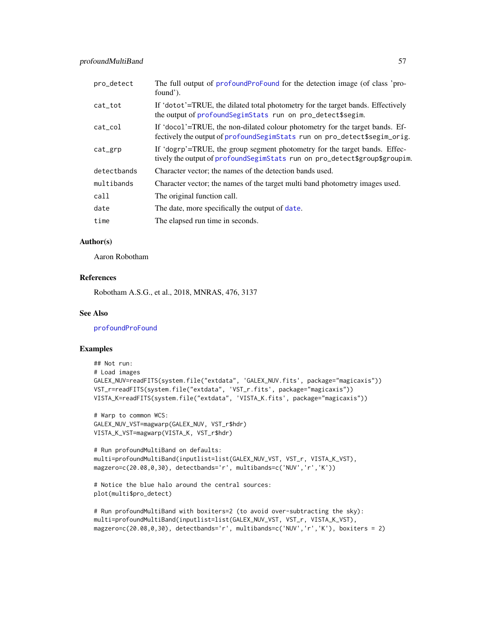| pro_detect  | The full output of profound Profound for the detection image (of class 'pro-<br>found').                                                                     |
|-------------|--------------------------------------------------------------------------------------------------------------------------------------------------------------|
| cat tot     | If 'dotot'=TRUE, the dilated total photometry for the target bands. Effectively<br>the output of profound Segim Stats run on pro_detect\$segim.              |
| $cat\_col$  | If 'docol'=TRUE, the non-dilated colour photometry for the target bands. Ef-<br>fectively the output of profound Segim Stats run on pro_detect \$segim_orig. |
| cat_grp     | If 'dogrp'=TRUE, the group segment photometry for the target bands. Effec-<br>tively the output of profound Segim Stats run on pro_detect \$group \$groupim. |
| detectbands | Character vector; the names of the detection bands used.                                                                                                     |
| multibands  | Character vector; the names of the target multi band photometry images used.                                                                                 |
| call        | The original function call.                                                                                                                                  |
| date        | The date, more specifically the output of date.                                                                                                              |
| time        | The elapsed run time in seconds.                                                                                                                             |

# Author(s)

Aaron Robotham

### References

Robotham A.S.G., et al., 2018, MNRAS, 476, 3137

## See Also

[profoundProFound](#page-6-0)

## Examples

```
## Not run:
# Load images
GALEX_NUV=readFITS(system.file("extdata", 'GALEX_NUV.fits', package="magicaxis"))
VST_r=readFITS(system.file("extdata", 'VST_r.fits', package="magicaxis"))
VISTA_K=readFITS(system.file("extdata", 'VISTA_K.fits', package="magicaxis"))
```

```
# Warp to common WCS:
GALEX_NUV_VST=magwarp(GALEX_NUV, VST_r$hdr)
VISTA_K_VST=magwarp(VISTA_K, VST_r$hdr)
```

```
# Run profoundMultiBand on defaults:
multi=profoundMultiBand(inputlist=list(GALEX_NUV_VST, VST_r, VISTA_K_VST),
magzero=c(20.08,0,30), detectbands='r', multibands=c('NUV','r','K'))
```

```
# Notice the blue halo around the central sources:
plot(multi$pro_detect)
```

```
# Run profoundMultiBand with boxiters=2 (to avoid over-subtracting the sky):
multi=profoundMultiBand(inputlist=list(GALEX_NUV_VST, VST_r, VISTA_K_VST),
magzero=c(20.08,0,30), detectbands='r', multibands=c('NUV','r','K'), boxiters = 2)
```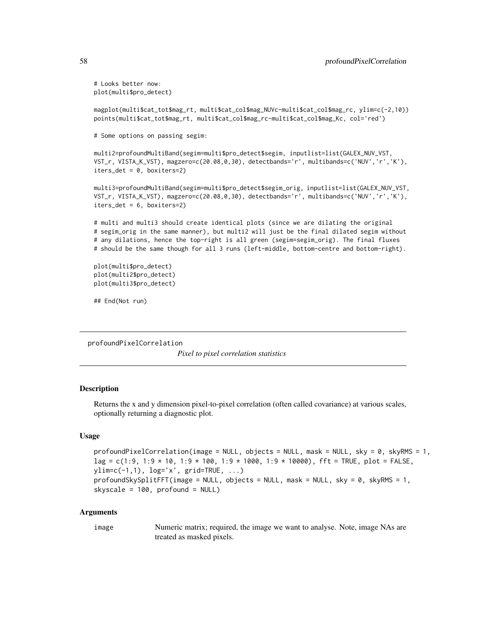# Looks better now: plot(multi\$pro\_detect)

magplot(multi\$cat\_tot\$mag\_rt, multi\$cat\_col\$mag\_NUVc-multi\$cat\_col\$mag\_rc, ylim=c(-2,10)) points(multi\$cat\_tot\$mag\_rt, multi\$cat\_col\$mag\_rc-multi\$cat\_col\$mag\_Kc, col='red')

# Some options on passing segim:

multi2=profoundMultiBand(segim=multi\$pro\_detect\$segim, inputlist=list(GALEX\_NUV\_VST, VST\_r, VISTA\_K\_VST), magzero=c(20.08,0,30), detectbands='r', multibands=c('NUV','r','K'), iters\_det = 0, boxiters=2)

multi3=profoundMultiBand(segim=multi\$pro\_detect\$segim\_orig, inputlist=list(GALEX\_NUV\_VST, VST\_r, VISTA\_K\_VST), magzero=c(20.08,0,30), detectbands='r', multibands=c('NUV','r','K'), iters\_det = 6, boxiters=2)

# multi and multi3 should create identical plots (since we are dilating the original # segim\_orig in the same manner), but multi2 will just be the final dilated segim without # any dilations, hence the top-right is all green (segim=segim\_orig). The final fluxes # should be the same though for all 3 runs (left-middle, bottom-centre and bottom-right).

plot(multi\$pro\_detect) plot(multi2\$pro\_detect) plot(multi3\$pro\_detect)

## End(Not run)

profoundPixelCorrelation

*Pixel to pixel correlation statistics*

## **Description**

Returns the x and y dimension pixel-to-pixel correlation (often called covariance) at various scales, optionally returning a diagnostic plot.

## Usage

```
profoundPixelCorrelation(image = NULL, objects = NULL, mask = NULL, sky = 0, skyRMS = 1,
lag = c(1:9, 1:9 * 10, 1:9 * 100, 1:9 * 1000, 1:9 * 10000), fft = TRUE, plot = FALSE,
ylim=c(-1,1), log='x', grid=TRUE, ...)
profoundSkySplitFFT(image = NULL, objects = NULL, mask = NULL, sky = 0, skyRMS = 1,
skyscale = 100, profound = NULL)
```
#### Arguments

image Numeric matrix; required, the image we want to analyse. Note, image NAs are treated as masked pixels.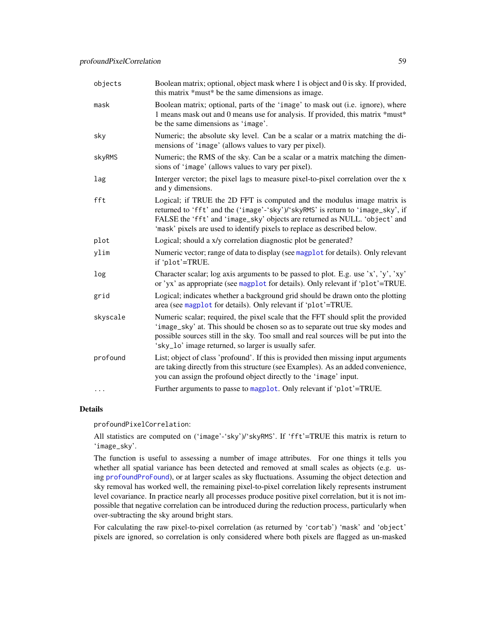| objects   | Boolean matrix; optional, object mask where 1 is object and 0 is sky. If provided,<br>this matrix *must* be the same dimensions as image.                                                                                                                                                                            |
|-----------|----------------------------------------------------------------------------------------------------------------------------------------------------------------------------------------------------------------------------------------------------------------------------------------------------------------------|
| mask      | Boolean matrix; optional, parts of the 'image' to mask out (i.e. ignore), where<br>1 means mask out and 0 means use for analysis. If provided, this matrix *must*<br>be the same dimensions as 'image'.                                                                                                              |
| sky       | Numeric; the absolute sky level. Can be a scalar or a matrix matching the di-<br>mensions of 'image' (allows values to vary per pixel).                                                                                                                                                                              |
| skyRMS    | Numeric; the RMS of the sky. Can be a scalar or a matrix matching the dimen-<br>sions of 'image' (allows values to vary per pixel).                                                                                                                                                                                  |
| lag       | Interger verctor; the pixel lags to measure pixel-to-pixel correlation over the x<br>and y dimensions.                                                                                                                                                                                                               |
| fft       | Logical; if TRUE the 2D FFT is computed and the modulus image matrix is<br>returned to 'fft' and the ('image'-'sky')/'skyRMS' is return to 'image_sky', if<br>FALSE the 'fft' and 'image_sky' objects are returned as NULL. 'object' and<br>'mask' pixels are used to identify pixels to replace as described below. |
| plot      | Logical; should a x/y correlation diagnostic plot be generated?                                                                                                                                                                                                                                                      |
| ylim      | Numeric vector; range of data to display (see magplot for details). Only relevant<br>if 'plot'=TRUE.                                                                                                                                                                                                                 |
| log       | Character scalar; log axis arguments to be passed to plot. E.g. use 'x', 'y', 'xy'<br>or 'yx' as appropriate (see magplot for details). Only relevant if 'plot'=TRUE.                                                                                                                                                |
| grid      | Logical; indicates whether a background grid should be drawn onto the plotting<br>area (see magplot for details). Only relevant if 'plot'=TRUE.                                                                                                                                                                      |
| skyscale  | Numeric scalar; required, the pixel scale that the FFT should split the provided<br>'image_sky' at. This should be chosen so as to separate out true sky modes and<br>possible sources still in the sky. Too small and real sources will be put into the<br>'sky_lo' image returned, so larger is usually safer.     |
| profound  | List; object of class 'profound'. If this is provided then missing input arguments<br>are taking directly from this structure (see Examples). As an added convenience,<br>you can assign the profound object directly to the 'image' input.                                                                          |
| $\ddotsc$ | Further arguments to passe to magplot. Only relevant if 'plot'=TRUE.                                                                                                                                                                                                                                                 |

## Details

profoundPixelCorrelation:

All statistics are computed on ('image'-'sky')/'skyRMS'. If 'fft'=TRUE this matrix is return to 'image\_sky'.

The function is useful to assessing a number of image attributes. For one things it tells you whether all spatial variance has been detected and removed at small scales as objects (e.g. using [profoundProFound](#page-6-0)), or at larger scales as sky fluctuations. Assuming the object detection and sky removal has worked well, the remaining pixel-to-pixel correlation likely represents instrument level covariance. In practice nearly all processes produce positive pixel correlation, but it is not impossible that negative correlation can be introduced during the reduction process, particularly when over-subtracting the sky around bright stars.

For calculating the raw pixel-to-pixel correlation (as returned by 'cortab') 'mask' and 'object' pixels are ignored, so correlation is only considered where both pixels are flagged as un-masked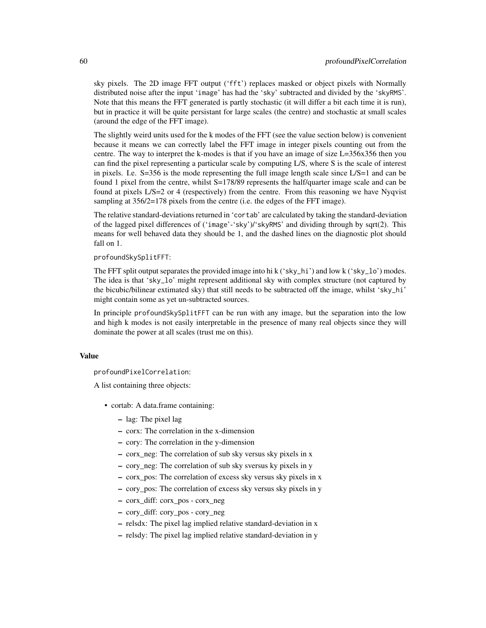sky pixels. The 2D image FFT output ('fft') replaces masked or object pixels with Normally distributed noise after the input 'image' has had the 'sky' subtracted and divided by the 'skyRMS'. Note that this means the FFT generated is partly stochastic (it will differ a bit each time it is run), but in practice it will be quite persistant for large scales (the centre) and stochastic at small scales (around the edge of the FFT image).

The slightly weird units used for the k modes of the FFT (see the value section below) is convenient because it means we can correctly label the FFT image in integer pixels counting out from the centre. The way to interpret the k-modes is that if you have an image of size L=356x356 then you can find the pixel representing a particular scale by computing L/S, where S is the scale of interest in pixels. I.e. S=356 is the mode representing the full image length scale since L/S=1 and can be found 1 pixel from the centre, whilst S=178/89 represents the half/quarter image scale and can be found at pixels L/S=2 or 4 (respectively) from the centre. From this reasoning we have Nyqvist sampling at  $356/2=178$  pixels from the centre (i.e. the edges of the FFT image).

The relative standard-deviations returned in 'cortab' are calculated by taking the standard-deviation of the lagged pixel differences of ('image'-'sky')/'skyRMS' and dividing through by sqrt(2). This means for well behaved data they should be 1, and the dashed lines on the diagnostic plot should fall on 1.

profoundSkySplitFFT:

The FFT split output separates the provided image into hi k ('sky\_hi') and low k ('sky\_lo') modes. The idea is that 'sky\_lo' might represent additional sky with complex structure (not captured by the bicubic/bilinear extimated sky) that still needs to be subtracted off the image, whilst 'sky\_hi' might contain some as yet un-subtracted sources.

In principle profoundSkySplitFFT can be run with any image, but the separation into the low and high k modes is not easily interpretable in the presence of many real objects since they will dominate the power at all scales (trust me on this).

### Value

profoundPixelCorrelation:

A list containing three objects:

- cortab: A data.frame containing:
	- lag: The pixel lag
	- corx: The correlation in the x-dimension
	- cory: The correlation in the y-dimension
	- corx\_neg: The correlation of sub sky versus sky pixels in x
	- cory\_neg: The correlation of sub sky sversus ky pixels in y
	- corx\_pos: The correlation of excess sky versus sky pixels in x
	- cory\_pos: The correlation of excess sky versus sky pixels in y
	- corx\_diff: corx\_pos corx\_neg
	- cory\_diff: cory\_pos cory\_neg
	- relsdx: The pixel lag implied relative standard-deviation in x
	- relsdy: The pixel lag implied relative standard-deviation in y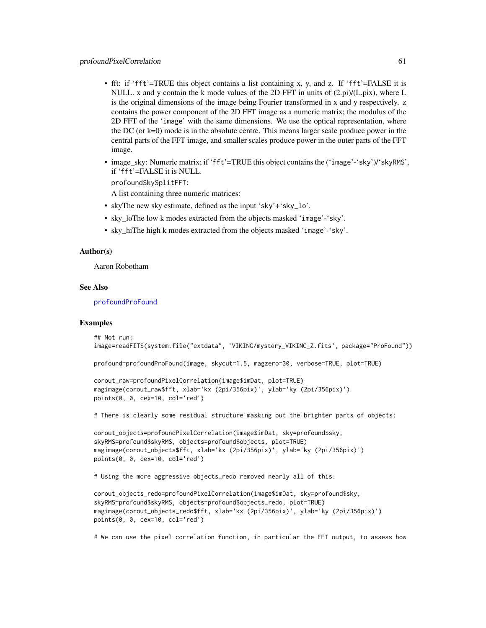- fft: if 'fft'=TRUE this object contains a list containing x, y, and z. If 'fft'=FALSE it is NULL. x and y contain the k mode values of the 2D FFT in units of  $(2 \pi i)/(L \pi x)$ , where L is the original dimensions of the image being Fourier transformed in x and y respectively. z contains the power component of the 2D FFT image as a numeric matrix; the modulus of the 2D FFT of the 'image' with the same dimensions. We use the optical representation, where the DC (or k=0) mode is in the absolute centre. This means larger scale produce power in the central parts of the FFT image, and smaller scales produce power in the outer parts of the FFT image.
- image sky: Numeric matrix; if 'fft'=TRUE this object contains the ('image'-'sky')/'skyRMS', if 'fft'=FALSE it is NULL.

profoundSkySplitFFT:

A list containing three numeric matrices:

- skyThe new sky estimate, defined as the input 'sky'+'sky\_lo'.
- sky\_loThe low k modes extracted from the objects masked 'image'-'sky'.
- sky\_hiThe high k modes extracted from the objects masked 'image'-'sky'.

#### Author(s)

Aaron Robotham

#### See Also

[profoundProFound](#page-6-0)

#### Examples

```
## Not run:
image=readFITS(system.file("extdata", 'VIKING/mystery_VIKING_Z.fits', package="ProFound"))
profound=profoundProFound(image, skycut=1.5, magzero=30, verbose=TRUE, plot=TRUE)
corout_raw=profoundPixelCorrelation(image$imDat, plot=TRUE)
magimage(corout_raw$fft, xlab='kx (2pi/356pix)', ylab='ky (2pi/356pix)')
points(0, 0, cex=10, col='red')
# There is clearly some residual structure masking out the brighter parts of objects:
corout_objects=profoundPixelCorrelation(image$imDat, sky=profound$sky,
skyRMS=profound$skyRMS, objects=profound$objects, plot=TRUE)
magimage(corout_objects$fft, xlab='kx (2pi/356pix)', ylab='ky (2pi/356pix)')
points(0, 0, cex=10, col='red')
# Using the more aggressive objects_redo removed nearly all of this:
corout_objects_redo=profoundPixelCorrelation(image$imDat, sky=profound$sky,
skyRMS=profound$skyRMS, objects=profound$objects_redo, plot=TRUE)
magimage(corout_objects_redo$fft, xlab='kx (2pi/356pix)', ylab='ky (2pi/356pix)')
```
points(0, 0, cex=10, col='red')

# We can use the pixel correlation function, in particular the FFT output, to assess how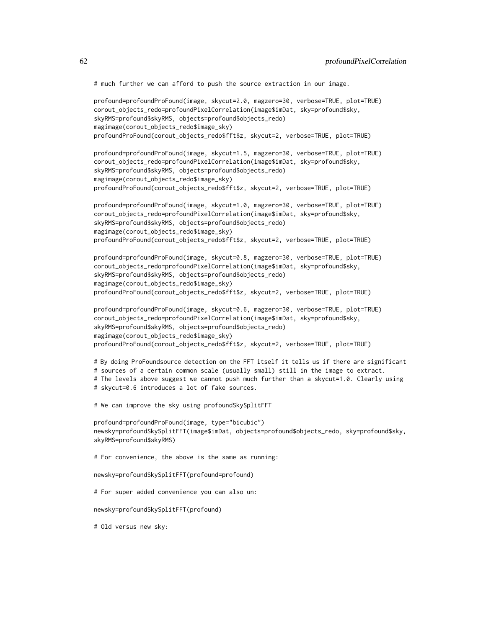# much further we can afford to push the source extraction in our image.

```
profound=profoundProFound(image, skycut=2.0, magzero=30, verbose=TRUE, plot=TRUE)
corout_objects_redo=profoundPixelCorrelation(image$imDat, sky=profound$sky,
skyRMS=profound$skyRMS, objects=profound$objects_redo)
magimage(corout_objects_redo$image_sky)
profoundProFound(corout_objects_redo$fft$z, skycut=2, verbose=TRUE, plot=TRUE)
profound=profoundProFound(image, skycut=1.5, magzero=30, verbose=TRUE, plot=TRUE)
corout_objects_redo=profoundPixelCorrelation(image$imDat, sky=profound$sky,
skyRMS=profound$skyRMS, objects=profound$objects_redo)
magimage(corout_objects_redo$image_sky)
profoundProFound(corout_objects_redo$fft$z, skycut=2, verbose=TRUE, plot=TRUE)
profound=profoundProFound(image, skycut=1.0, magzero=30, verbose=TRUE, plot=TRUE)
corout_objects_redo=profoundPixelCorrelation(image$imDat, sky=profound$sky,
skyRMS=profound$skyRMS, objects=profound$objects_redo)
magimage(corout_objects_redo$image_sky)
profoundProFound(corout_objects_redo$fft$z, skycut=2, verbose=TRUE, plot=TRUE)
profound=profoundProFound(image, skycut=0.8, magzero=30, verbose=TRUE, plot=TRUE)
corout_objects_redo=profoundPixelCorrelation(image$imDat, sky=profound$sky,
skyRMS=profound$skyRMS, objects=profound$objects_redo)
magimage(corout_objects_redo$image_sky)
profoundProFound(corout_objects_redo$fft$z, skycut=2, verbose=TRUE, plot=TRUE)
profound=profoundProFound(image, skycut=0.6, magzero=30, verbose=TRUE, plot=TRUE)
corout_objects_redo=profoundPixelCorrelation(image$imDat, sky=profound$sky,
skyRMS=profound$skyRMS, objects=profound$objects_redo)
magimage(corout_objects_redo$image_sky)
profoundProFound(corout_objects_redo$fft$z, skycut=2, verbose=TRUE, plot=TRUE)
# By doing ProFoundsource detection on the FFT itself it tells us if there are significant
# sources of a certain common scale (usually small) still in the image to extract.
# The levels above suggest we cannot push much further than a skycut=1.0. Clearly using
# skycut=0.6 introduces a lot of fake sources.
# We can improve the sky using profoundSkySplitFFT
profound=profoundProFound(image, type="bicubic")
newsky=profoundSkySplitFFT(image$imDat, objects=profound$objects_redo, sky=profound$sky,
skyRMS=profound$skyRMS)
# For convenience, the above is the same as running:
newsky=profoundSkySplitFFT(profound=profound)
# For super added convenience you can also un:
newsky=profoundSkySplitFFT(profound)
# Old versus new sky:
```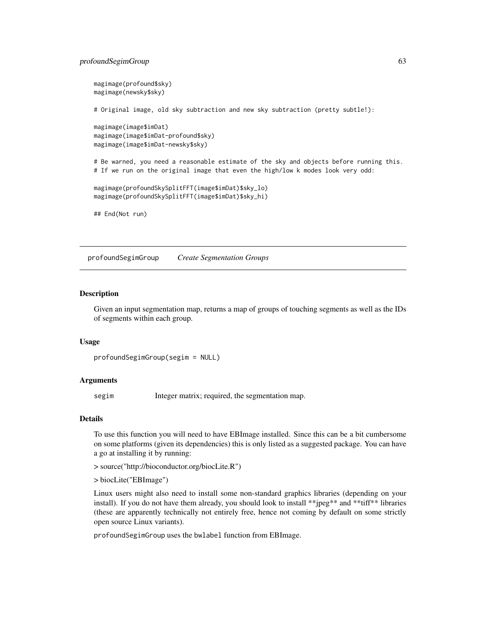# profoundSegimGroup 63

```
magimage(profound$sky)
magimage(newsky$sky)
# Original image, old sky subtraction and new sky subtraction (pretty subtle!):
magimage(image$imDat)
magimage(image$imDat-profound$sky)
magimage(image$imDat-newsky$sky)
# Be warned, you need a reasonable estimate of the sky and objects before running this.
# If we run on the original image that even the high/low k modes look very odd:
magimage(profoundSkySplitFFT(image$imDat)$sky_lo)
magimage(profoundSkySplitFFT(image$imDat)$sky_hi)
## End(Not run)
```
<span id="page-62-0"></span>profoundSegimGroup *Create Segmentation Groups*

## **Description**

Given an input segmentation map, returns a map of groups of touching segments as well as the IDs of segments within each group.

#### Usage

```
profoundSegimGroup(segim = NULL)
```
#### Arguments

segim Integer matrix; required, the segmentation map.

#### Details

To use this function you will need to have EBImage installed. Since this can be a bit cumbersome on some platforms (given its dependencies) this is only listed as a suggested package. You can have a go at installing it by running:

> source("http://bioconductor.org/biocLite.R")

> biocLite("EBImage")

Linux users might also need to install some non-standard graphics libraries (depending on your install). If you do not have them already, you should look to install \*\*jpeg\*\* and \*\*tiff\*\* libraries (these are apparently technically not entirely free, hence not coming by default on some strictly open source Linux variants).

profoundSegimGroup uses the bwlabel function from EBImage.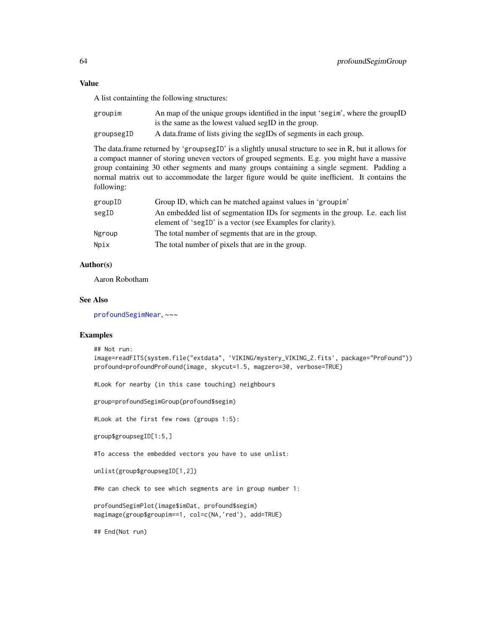#### Value

A list containting the following structures:

| groupim    | An map of the unique groups identified in the input 'segim', where the groupID |
|------------|--------------------------------------------------------------------------------|
|            | is the same as the lowest valued segID in the group.                           |
| groupsegID | A data frame of lists giving the segIDs of segments in each group.             |

The data.frame returned by 'groupsegID' is a slightly unusal structure to see in R, but it allows for a compact manner of storing uneven vectors of grouped segments. E.g. you might have a massive group containing 30 other segments and many groups containing a single segment. Padding a normal matrix out to accommodate the larger figure would be quite inefficient. It contains the following:

| groupID | Group ID, which can be matched against values in 'group im'                                                                                  |
|---------|----------------------------------------------------------------------------------------------------------------------------------------------|
| segID   | An embedded list of segmentation IDs for segments in the group. I.e. each list<br>element of 'segID' is a vector (see Examples for clarity). |
| Ngroup  | The total number of segments that are in the group.                                                                                          |
| Npix    | The total number of pixels that are in the group.                                                                                            |

## Author(s)

Aaron Robotham

# See Also

[profoundSegimNear](#page-71-0), ~~~

# Examples

```
## Not run:
image=readFITS(system.file("extdata", 'VIKING/mystery_VIKING_Z.fits', package="ProFound"))
profound=profoundProFound(image, skycut=1.5, magzero=30, verbose=TRUE)
#Look for nearby (in this case touching) neighbours
group=profoundSegimGroup(profound$segim)
#Look at the first few rows (groups 1:5):
group$groupsegID[1:5,]
#To access the embedded vectors you have to use unlist:
unlist(group$groupsegID[1,2])
#We can check to see which segments are in group number 1:
profoundSegimPlot(image$imDat, profound$segim)
magimage(group$groupim==1, col=c(NA,'red'), add=TRUE)
## End(Not run)
```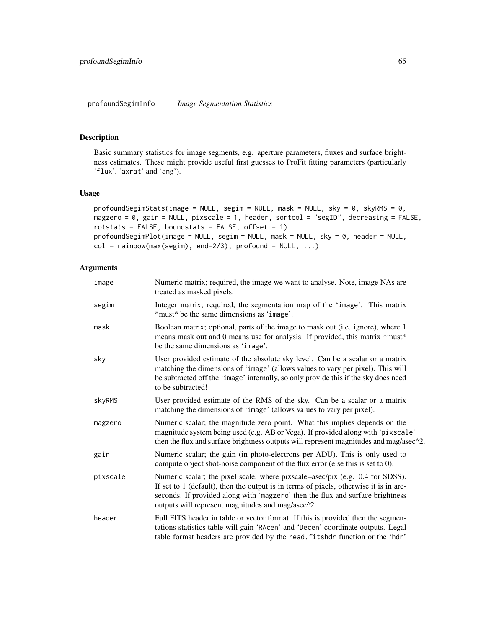#### <span id="page-64-0"></span>Description

Basic summary statistics for image segments, e.g. aperture parameters, fluxes and surface brightness estimates. These might provide useful first guesses to ProFit fitting parameters (particularly 'flux', 'axrat' and 'ang').

## Usage

```
profoundSegimStats(image = NULL, segim = NULL, mask = NULL, sky = 0, skyRMS = 0,
magzero = 0, gain = NULL, pixscale = 1, header, sortcol = "segID", decreasing = FALSE,
rotstats = FALSE, boundstats = FALSE, offset = 1)
profoundSegimPlot(image = NULL, segim = NULL, mask = NULL, sky = 0, header = NULL,
col = rainbow(max(segin), end=2/3), profound = NULL, ...)
```
### Arguments

| image    | Numeric matrix; required, the image we want to analyse. Note, image NAs are<br>treated as masked pixels.                                                                                                                                                                                                      |
|----------|---------------------------------------------------------------------------------------------------------------------------------------------------------------------------------------------------------------------------------------------------------------------------------------------------------------|
| segim    | Integer matrix; required, the segmentation map of the 'image'. This matrix<br>*must* be the same dimensions as 'image'.                                                                                                                                                                                       |
| mask     | Boolean matrix; optional, parts of the image to mask out (i.e. ignore), where 1<br>means mask out and 0 means use for analysis. If provided, this matrix *must*<br>be the same dimensions as 'image'.                                                                                                         |
| sky      | User provided estimate of the absolute sky level. Can be a scalar or a matrix<br>matching the dimensions of 'image' (allows values to vary per pixel). This will<br>be subtracted off the 'image' internally, so only provide this if the sky does need<br>to be subtracted!                                  |
| skyRMS   | User provided estimate of the RMS of the sky. Can be a scalar or a matrix<br>matching the dimensions of 'image' (allows values to vary per pixel).                                                                                                                                                            |
| magzero  | Numeric scalar; the magnitude zero point. What this implies depends on the<br>magnitude system being used (e.g. AB or Vega). If provided along with 'pixscale'<br>then the flux and surface brightness outputs will represent magnitudes and mag/asec <sup>22</sup> .                                         |
| gain     | Numeric scalar; the gain (in photo-electrons per ADU). This is only used to<br>compute object shot-noise component of the flux error (else this is set to 0).                                                                                                                                                 |
| pixscale | Numeric scalar; the pixel scale, where pixscale=asec/pix (e.g. 0.4 for SDSS).<br>If set to 1 (default), then the output is in terms of pixels, otherwise it is in arc-<br>seconds. If provided along with 'magzero' then the flux and surface brightness<br>outputs will represent magnitudes and mag/asec^2. |
| header   | Full FITS header in table or vector format. If this is provided then the segmen-<br>tations statistics table will gain 'RAcen' and 'Decen' coordinate outputs. Legal<br>table format headers are provided by the read. fitshdr function or the 'hdr'                                                          |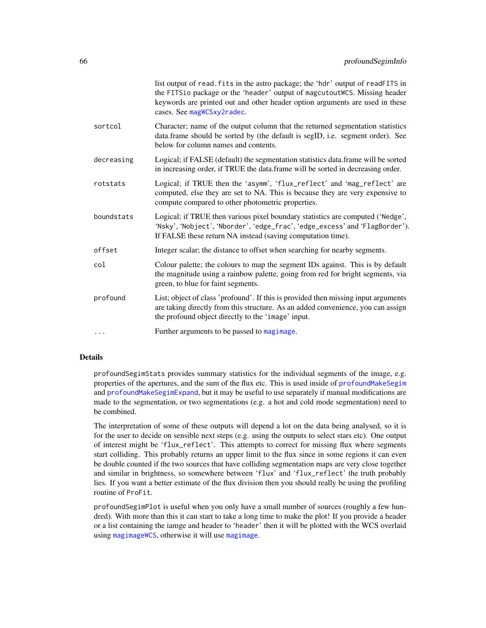|            | list output of read. fits in the astro package; the 'hdr' output of readFITS in<br>the FITSio package or the 'header' output of magcutoutWCS. Missing header<br>keywords are printed out and other header option arguments are used in these<br>cases. See magWCSxy2radec. |
|------------|----------------------------------------------------------------------------------------------------------------------------------------------------------------------------------------------------------------------------------------------------------------------------|
| sortcol    | Character; name of the output column that the returned segmentation statistics<br>data.frame should be sorted by (the default is segID, i.e. segment order). See<br>below for column names and contents.                                                                   |
| decreasing | Logical; if FALSE (default) the segmentation statistics data.frame will be sorted<br>in increasing order, if TRUE the data.frame will be sorted in decreasing order.                                                                                                       |
| rotstats   | Logical; if TRUE then the 'asymm', 'flux_reflect' and 'mag_reflect' are<br>computed, else they are set to NA. This is because they are very expensive to<br>compute compared to other photometric properties.                                                              |
| boundstats | Logical; if TRUE then various pixel boundary statistics are computed ('Nedge',<br>'Nsky', 'Nobject', 'Nborder', 'edge_frac', 'edge_excess' and 'FlagBorder').<br>If FALSE these return NA instead (saving computation time).                                               |
| offset     | Integer scalar; the distance to offset when searching for nearby segments.                                                                                                                                                                                                 |
| col        | Colour palette; the colours to map the segment IDs against. This is by default<br>the magnitude using a rainbow palette, going from red for bright segments, via<br>green, to blue for faint segments.                                                                     |
| profound   | List; object of class 'profound'. If this is provided then missing input arguments<br>are taking directly from this structure. As an added convenience, you can assign<br>the profound object directly to the 'image' input.                                               |
|            | Further arguments to be passed to magimage.                                                                                                                                                                                                                                |
|            |                                                                                                                                                                                                                                                                            |

# Details

profoundSegimStats provides summary statistics for the individual segments of the image, e.g. properties of the apertures, and the sum of the flux etc. This is used inside of [profoundMakeSegim](#page-33-0) and [profoundMakeSegimExpand](#page-39-0), but it may be useful to use separately if manual modifications are made to the segmentation, or two segmentations (e.g. a hot and cold mode segmentation) need to be combined.

The interpretation of some of these outputs will depend a lot on the data being analysed, so it is for the user to decide on sensible next steps (e.g. using the outputs to select stars etc). One output of interest might be 'flux\_reflect'. This attempts to correct for missing flux where segments start colliding. This probably returns an upper limit to the flux since in some regions it can even be double counted if the two sources that have colliding segmentation maps are very close together and similar in brightness, so somewhere between 'flux' and 'flux\_reflect' the truth probably lies. If you want a better estimate of the flux division then you should really be using the profiling routine of ProFit.

profoundSegimPlot is useful when you only have a small number of sources (roughly a few hundred). With more than this it can start to take a long time to make the plot! If you provide a header or a list containing the iamge and header to 'header' then it will be plotted with the WCS overlaid using [magimageWCS](#page-0-0), otherwise it will use [magimage](#page-0-0).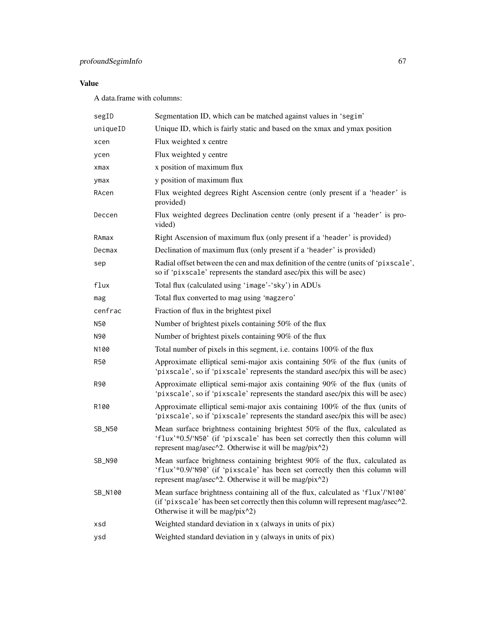# profoundSegimInfo 67

# Value

A data.frame with columns:

| segID      | Segmentation ID, which can be matched against values in 'segim'                                                                                                                                                      |
|------------|----------------------------------------------------------------------------------------------------------------------------------------------------------------------------------------------------------------------|
| uniqueID   | Unique ID, which is fairly static and based on the xmax and ymax position                                                                                                                                            |
| xcen       | Flux weighted x centre                                                                                                                                                                                               |
| ycen       | Flux weighted y centre                                                                                                                                                                                               |
| xmax       | x position of maximum flux                                                                                                                                                                                           |
| ymax       | y position of maximum flux                                                                                                                                                                                           |
| RAcen      | Flux weighted degrees Right Ascension centre (only present if a 'header' is<br>provided)                                                                                                                             |
| Deccen     | Flux weighted degrees Declination centre (only present if a 'header' is pro-<br>vided)                                                                                                                               |
| RAmax      | Right Ascension of maximum flux (only present if a 'header' is provided)                                                                                                                                             |
| Decmax     | Declination of maximum flux (only present if a 'header' is provided)                                                                                                                                                 |
| sep        | Radial offset between the cen and max definition of the centre (units of 'pixscale',<br>so if 'pixscale' represents the standard asec/pix this will be asec)                                                         |
| flux       | Total flux (calculated using 'image'-'sky') in ADUs                                                                                                                                                                  |
| mag        | Total flux converted to mag using 'magzero'                                                                                                                                                                          |
| cenfrac    | Fraction of flux in the brightest pixel                                                                                                                                                                              |
| N50        | Number of brightest pixels containing 50% of the flux                                                                                                                                                                |
| N90        | Number of brightest pixels containing 90% of the flux                                                                                                                                                                |
| N100       | Total number of pixels in this segment, i.e. contains 100% of the flux                                                                                                                                               |
| <b>R50</b> | Approximate elliptical semi-major axis containing 50% of the flux (units of<br>'pixscale', so if 'pixscale' represents the standard asec/pix this will be asec)                                                      |
| R90        | Approximate elliptical semi-major axis containing 90% of the flux (units of<br>'pixscale', so if 'pixscale' represents the standard asec/pix this will be asec)                                                      |
| R100       | Approximate elliptical semi-major axis containing 100% of the flux (units of<br>'pixscale', so if 'pixscale' represents the standard asec/pix this will be asec)                                                     |
| SB_N50     | Mean surface brightness containing brightest 50% of the flux, calculated as<br>'flux'*0.5/'N50' (if 'pixscale' has been set correctly then this column will<br>represent mag/asec^2. Otherwise it will be mag/pix^2) |
| SB_N90     | Mean surface brightness containing brightest 90% of the flux, calculated as<br>'flux'*0.9/'N90' (if 'pixscale' has been set correctly then this column will<br>represent mag/asec^2. Otherwise it will be mag/pix^2) |
| SB_N100    | Mean surface brightness containing all of the flux, calculated as 'flux'/'N100'<br>(if 'pixscale' has been set correctly then this column will represent mag/asec^2.<br>Otherwise it will be mag/pix^2)              |
| xsd        | Weighted standard deviation in x (always in units of pix)                                                                                                                                                            |
| ysd        | Weighted standard deviation in y (always in units of pix)                                                                                                                                                            |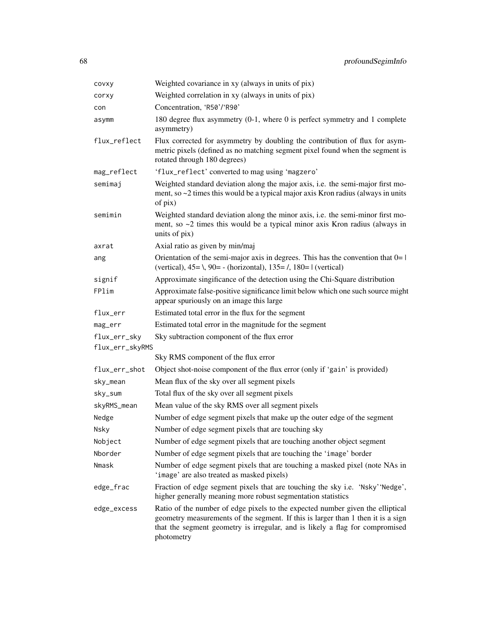| covxy           | Weighted covariance in xy (always in units of pix)                                                                                                                                                                                                               |
|-----------------|------------------------------------------------------------------------------------------------------------------------------------------------------------------------------------------------------------------------------------------------------------------|
| corxy           | Weighted correlation in xy (always in units of pix)                                                                                                                                                                                                              |
| con             | Concentration, 'R50'/'R90'                                                                                                                                                                                                                                       |
| asymm           | 180 degree flux asymmetry (0-1, where 0 is perfect symmetry and 1 complete<br>asymmetry)                                                                                                                                                                         |
| flux_reflect    | Flux corrected for asymmetry by doubling the contribution of flux for asym-<br>metric pixels (defined as no matching segment pixel found when the segment is<br>rotated through 180 degrees)                                                                     |
| mag_reflect     | 'flux_reflect' converted to mag using 'magzero'                                                                                                                                                                                                                  |
| semimaj         | Weighted standard deviation along the major axis, i.e. the semi-major first mo-<br>ment, so $\sim$ 2 times this would be a typical major axis Kron radius (always in units<br>of pix)                                                                            |
| semimin         | Weighted standard deviation along the minor axis, i.e. the semi-minor first mo-<br>ment, so $\sim$ 2 times this would be a typical minor axis Kron radius (always in<br>units of pix)                                                                            |
| axrat           | Axial ratio as given by min/maj                                                                                                                                                                                                                                  |
| ang             | Orientation of the semi-major axis in degrees. This has the convention that $0=1$<br>(vertical), $45 = \lambda$ , $90 = -$ (horizontal), $135 = \lambda$ , $180 = 1$ (vertical)                                                                                  |
| signif          | Approximate singificance of the detection using the Chi-Square distribution                                                                                                                                                                                      |
| FPlim           | Approximate false-positive significance limit below which one such source might<br>appear spuriously on an image this large                                                                                                                                      |
| flux_err        | Estimated total error in the flux for the segment                                                                                                                                                                                                                |
| mag_err         | Estimated total error in the magnitude for the segment                                                                                                                                                                                                           |
| flux_err_sky    | Sky subtraction component of the flux error                                                                                                                                                                                                                      |
| flux_err_skyRMS |                                                                                                                                                                                                                                                                  |
|                 | Sky RMS component of the flux error                                                                                                                                                                                                                              |
| flux_err_shot   | Object shot-noise component of the flux error (only if 'gain' is provided)                                                                                                                                                                                       |
| sky_mean        | Mean flux of the sky over all segment pixels                                                                                                                                                                                                                     |
| sky_sum         | Total flux of the sky over all segment pixels                                                                                                                                                                                                                    |
| skyRMS_mean     | Mean value of the sky RMS over all segment pixels                                                                                                                                                                                                                |
| Nedge           | Number of edge segment pixels that make up the outer edge of the segment                                                                                                                                                                                         |
| Nsky            | Number of edge segment pixels that are touching sky                                                                                                                                                                                                              |
| Nobject         | Number of edge segment pixels that are touching another object segment                                                                                                                                                                                           |
| Nborder         | Number of edge segment pixels that are touching the 'image' border                                                                                                                                                                                               |
| Nmask           | Number of edge segment pixels that are touching a masked pixel (note NAs in<br>'image' are also treated as masked pixels)                                                                                                                                        |
| edge_frac       | Fraction of edge segment pixels that are touching the sky i.e. 'Nsky' 'Nedge',<br>higher generally meaning more robust segmentation statistics                                                                                                                   |
| edge_excess     | Ratio of the number of edge pixels to the expected number given the elliptical<br>geometry measurements of the segment. If this is larger than 1 then it is a sign<br>that the segment geometry is irregular, and is likely a flag for compromised<br>photometry |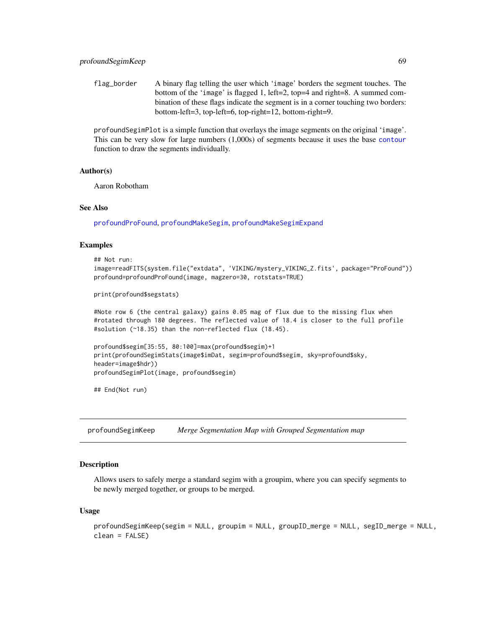flag\_border A binary flag telling the user which 'image' borders the segment touches. The bottom of the 'image' is flagged 1, left=2, top=4 and right=8. A summed combination of these flags indicate the segment is in a corner touching two borders: bottom-left=3, top-left=6, top-right=12, bottom-right=9.

profoundSegimPlot is a simple function that overlays the image segments on the original 'image'. This can be very slow for large numbers (1,000s) of segments because it uses the base [contour](#page-0-0) function to draw the segments individually.

#### Author(s)

Aaron Robotham

## See Also

[profoundProFound](#page-6-0), [profoundMakeSegim](#page-33-0), [profoundMakeSegimExpand](#page-39-0)

#### Examples

```
## Not run:
image=readFITS(system.file("extdata", 'VIKING/mystery_VIKING_Z.fits', package="ProFound"))
profound=profoundProFound(image, magzero=30, rotstats=TRUE)
```

```
print(profound$segstats)
```
#Note row 6 (the central galaxy) gains 0.05 mag of flux due to the missing flux when #rotated through 180 degrees. The reflected value of 18.4 is closer to the full profile #solution (~18.35) than the non-reflected flux (18.45).

```
profound$segim[35:55, 80:100]=max(profound$segim)+1
print(profoundSegimStats(image$imDat, segim=profound$segim, sky=profound$sky,
header=image$hdr))
profoundSegimPlot(image, profound$segim)
```
## End(Not run)

profoundSegimKeep *Merge Segmentation Map with Grouped Segmentation map*

## **Description**

Allows users to safely merge a standard segim with a groupim, where you can specify segments to be newly merged together, or groups to be merged.

#### Usage

```
profoundSegimKeep(segim = NULL, groupim = NULL, groupID_merge = NULL, segID_merge = NULL,
clean = FALSE)
```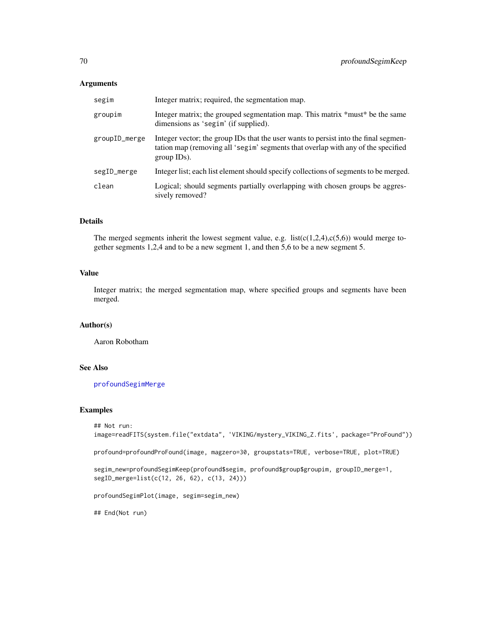### Arguments

| segim         | Integer matrix; required, the segmentation map.                                                                                                                                           |
|---------------|-------------------------------------------------------------------------------------------------------------------------------------------------------------------------------------------|
| groupim       | Integer matrix; the grouped segmentation map. This matrix *must* be the same<br>dimensions as 'segim' (if supplied).                                                                      |
| groupID_merge | Integer vector; the group IDs that the user wants to persist into the final segmen-<br>tation map (removing all 'segim' segments that overlap with any of the specified<br>$group IDs)$ . |
| segID_merge   | Integer list; each list element should specify collections of segments to be merged.                                                                                                      |
| clean         | Logical; should segments partially overlapping with chosen groups be aggres-<br>sively removed?                                                                                           |

## Details

The merged segments inherit the lowest segment value, e.g. list( $c(1,2,4)$ , $c(5,6)$ ) would merge together segments 1,2,4 and to be a new segment 1, and then 5,6 to be a new segment 5.

## Value

Integer matrix; the merged segmentation map, where specified groups and segments have been merged.

# Author(s)

Aaron Robotham

# See Also

[profoundSegimMerge](#page-70-0)

## Examples

```
## Not run:
image=readFITS(system.file("extdata", 'VIKING/mystery_VIKING_Z.fits', package="ProFound"))
profound=profoundProFound(image, magzero=30, groupstats=TRUE, verbose=TRUE, plot=TRUE)
segim_new=profoundSegimKeep(profound$segim, profound$group$groupim, groupID_merge=1,
segID_merge=list(c(12, 26, 62), c(13, 24)))
profoundSegimPlot(image, segim=segim_new)
## End(Not run)
```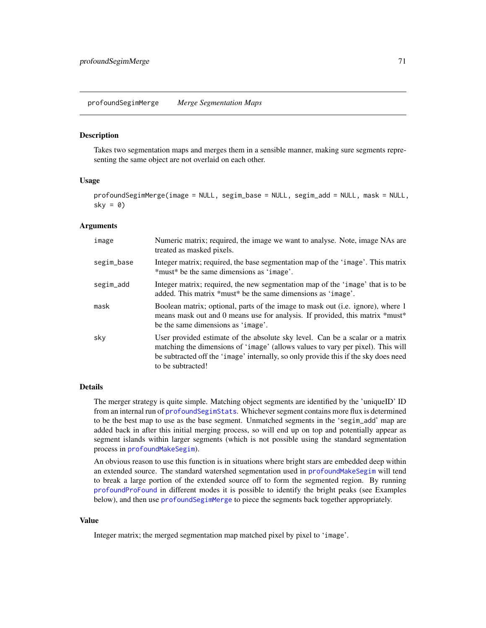#### <span id="page-70-0"></span>Description

Takes two segmentation maps and merges them in a sensible manner, making sure segments representing the same object are not overlaid on each other.

## Usage

profoundSegimMerge(image = NULL, segim\_base = NULL, segim\_add = NULL, mask = NULL,  $sky = 0$ 

#### Arguments

| image      | Numeric matrix; required, the image we want to analyse. Note, image NAs are<br>treated as masked pixels.                                                                                                                                                                     |
|------------|------------------------------------------------------------------------------------------------------------------------------------------------------------------------------------------------------------------------------------------------------------------------------|
| segim_base | Integer matrix; required, the base segmentation map of the 'image'. This matrix<br>*must* be the same dimensions as 'image'.                                                                                                                                                 |
| segim_add  | Integer matrix; required, the new segmentation map of the 'image' that is to be<br>added. This matrix *must* be the same dimensions as 'image'.                                                                                                                              |
| mask       | Boolean matrix; optional, parts of the image to mask out (i.e. ignore), where 1<br>means mask out and 0 means use for analysis. If provided, this matrix *must*<br>be the same dimensions as 'image'.                                                                        |
| sky        | User provided estimate of the absolute sky level. Can be a scalar or a matrix<br>matching the dimensions of 'image' (allows values to vary per pixel). This will<br>be subtracted off the 'image' internally, so only provide this if the sky does need<br>to be subtracted! |

#### Details

The merger strategy is quite simple. Matching object segments are identified by the 'uniqueID' ID from an internal run of [profoundSegimStats](#page-64-0). Whichever segment contains more flux is determined to be the best map to use as the base segment. Unmatched segments in the 'segim\_add' map are added back in after this initial merging process, so will end up on top and potentially appear as segment islands within larger segments (which is not possible using the standard segmentation process in [profoundMakeSegim](#page-33-0)).

An obvious reason to use this function is in situations where bright stars are embedded deep within an extended source. The standard watershed segmentation used in [profoundMakeSegim](#page-33-0) will tend to break a large portion of the extended source off to form the segmented region. By running [profoundProFound](#page-6-0) in different modes it is possible to identify the bright peaks (see Examples below), and then use [profoundSegimMerge](#page-70-0) to piece the segments back together appropriately.

## Value

Integer matrix; the merged segmentation map matched pixel by pixel to 'image'.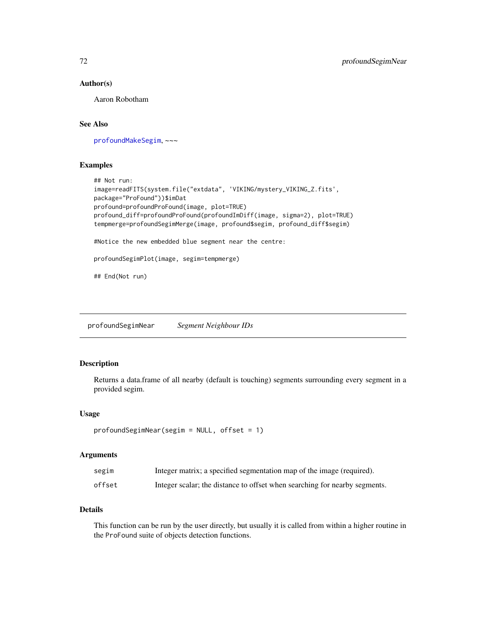### Author(s)

Aaron Robotham

# See Also

[profoundMakeSegim](#page-33-0), ~~~

## Examples

```
## Not run:
image=readFITS(system.file("extdata", 'VIKING/mystery_VIKING_Z.fits',
package="ProFound"))$imDat
profound=profoundProFound(image, plot=TRUE)
profound_diff=profoundProFound(profoundImDiff(image, sigma=2), plot=TRUE)
tempmerge=profoundSegimMerge(image, profound$segim, profound_diff$segim)
#Notice the new embedded blue segment near the centre:
profoundSegimPlot(image, segim=tempmerge)
## End(Not run)
```
<span id="page-71-0"></span>profoundSegimNear *Segment Neighbour IDs*

#### Description

Returns a data.frame of all nearby (default is touching) segments surrounding every segment in a provided segim.

#### Usage

```
profoundSegimNear(segim = NULL, offset = 1)
```
## Arguments

| segim  | Integer matrix; a specified segmentation map of the image (required).      |
|--------|----------------------------------------------------------------------------|
| offset | Integer scalar; the distance to offset when searching for nearby segments. |

# Details

This function can be run by the user directly, but usually it is called from within a higher routine in the ProFound suite of objects detection functions.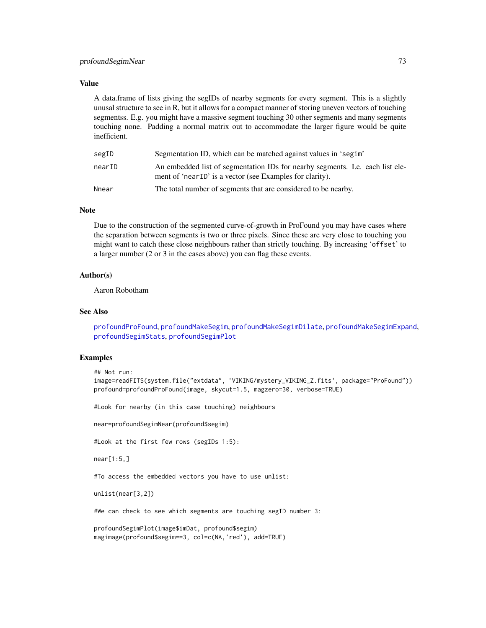#### <span id="page-72-0"></span>profoundSegimNear 73

#### Value

A data.frame of lists giving the segIDs of nearby segments for every segment. This is a slightly unusal structure to see in R, but it allows for a compact manner of storing uneven vectors of touching segmentss. E.g. you might have a massive segment touching 30 other segments and many segments touching none. Padding a normal matrix out to accommodate the larger figure would be quite inefficient.

| segID  | Segmentation ID, which can be matched against values in 'segim'                                                                            |
|--------|--------------------------------------------------------------------------------------------------------------------------------------------|
| nearID | An embedded list of segmentation IDs for nearby segments. I.e. each list ele-<br>ment of 'near ID' is a vector (see Examples for clarity). |
| Nnear  | The total number of segments that are considered to be nearby.                                                                             |

#### Note

Due to the construction of the segmented curve-of-growth in ProFound you may have cases where the separation between segments is two or three pixels. Since these are very close to touching you might want to catch these close neighbours rather than strictly touching. By increasing 'offset' to a larger number (2 or 3 in the cases above) you can flag these events.

# Author(s)

Aaron Robotham

#### See Also

[profoundProFound](#page-6-0), [profoundMakeSegim](#page-33-0), [profoundMakeSegimDilate](#page-39-0), [profoundMakeSegimExpand](#page-39-1), [profoundSegimStats](#page-64-0), [profoundSegimPlot](#page-64-0)

#### Examples

```
## Not run:
```
image=readFITS(system.file("extdata", 'VIKING/mystery\_VIKING\_Z.fits', package="ProFound")) profound=profoundProFound(image, skycut=1.5, magzero=30, verbose=TRUE)

#Look for nearby (in this case touching) neighbours

near=profoundSegimNear(profound\$segim)

#Look at the first few rows (segIDs 1:5):

near[1:5,]

#To access the embedded vectors you have to use unlist:

unlist(near[3,2])

#We can check to see which segments are touching segID number 3:

profoundSegimPlot(image\$imDat, profound\$segim) magimage(profound\$segim==3, col=c(NA,'red'), add=TRUE)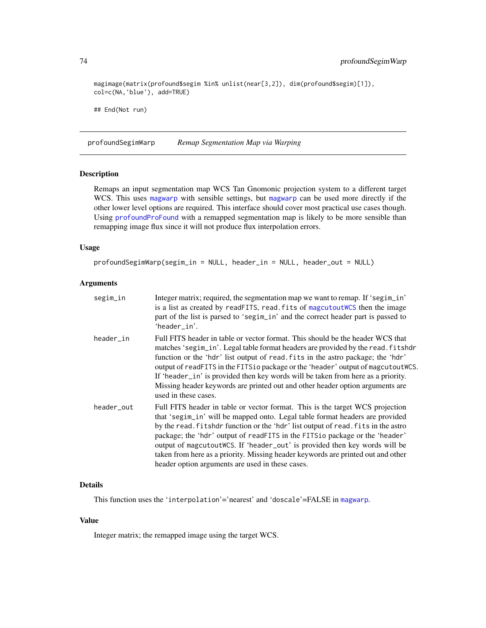magimage(matrix(profound\$segim %in% unlist(near[3,2]), dim(profound\$segim)[1]), col=c(NA,'blue'), add=TRUE)

## End(Not run)

profoundSegimWarp *Remap Segmentation Map via Warping*

## Description

Remaps an input segmentation map WCS Tan Gnomonic projection system to a different target WCS. This uses [magwarp](#page-0-0) with sensible settings, but [magwarp](#page-0-0) can be used more directly if the other lower level options are required. This interface should cover most practical use cases though. Using [profoundProFound](#page-6-0) with a remapped segmentation map is likely to be more sensible than remapping image flux since it will not produce flux interpolation errors.

#### Usage

```
profoundSegimWarp(segim_in = NULL, header_in = NULL, header_out = NULL)
```
## Arguments

| segim_in   | Integer matrix; required, the segmentation map we want to remap. If 'segim_in'<br>is a list as created by readFITS, read. fits of magcutout WCS then the image<br>part of the list is parsed to 'segim_in' and the correct header part is passed to<br>'header_in'.                                                                                                                                                                                                                                                                                      |
|------------|----------------------------------------------------------------------------------------------------------------------------------------------------------------------------------------------------------------------------------------------------------------------------------------------------------------------------------------------------------------------------------------------------------------------------------------------------------------------------------------------------------------------------------------------------------|
| header_in  | Full FITS header in table or vector format. This should be the header WCS that<br>matches 'segim_in'. Legal table format headers are provided by the read. fitshdr<br>function or the 'hdr' list output of read. fits in the astro package; the 'hdr'<br>output of readFITS in the FITS io package or the 'header' output of magcutout WCS.<br>If 'header_in' is provided then key words will be taken from here as a priority.<br>Missing header keywords are printed out and other header option arguments are<br>used in these cases.                 |
| header out | Full FITS header in table or vector format. This is the target WCS projection<br>that 'segim_in' will be mapped onto. Legal table format headers are provided<br>by the read. fitshdr function or the 'hdr' list output of read. fits in the astro<br>package; the 'hdr' output of readFITS in the FITS10 package or the 'header'<br>output of magcutout WCS. If 'header_out' is provided then key words will be<br>taken from here as a priority. Missing header keywords are printed out and other<br>header option arguments are used in these cases. |

# Details

This function uses the 'interpolation'='nearest' and 'doscale'=FALSE in [magwarp](#page-0-0).

# Value

Integer matrix; the remapped image using the target WCS.

<span id="page-73-0"></span>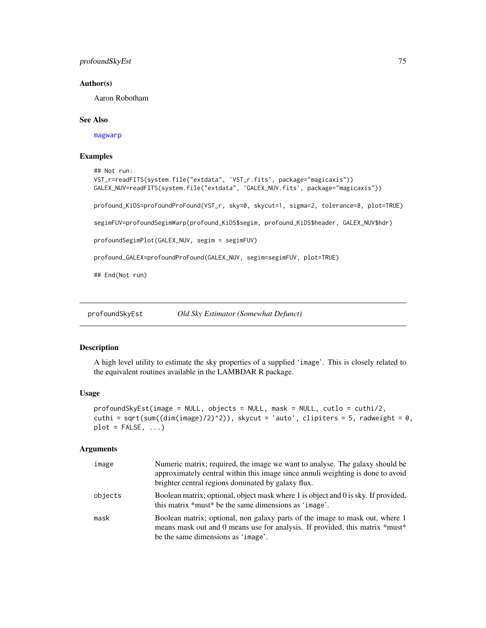# <span id="page-74-1"></span>profoundSkyEst 75

#### Author(s)

Aaron Robotham

#### See Also

[magwarp](#page-0-0)

# Examples

```
## Not run:
VST_r=readFITS(system.file("extdata", 'VST_r.fits', package="magicaxis"))
GALEX_NUV=readFITS(system.file("extdata", 'GALEX_NUV.fits', package="magicaxis"))
profound_KiDS=profoundProFound(VST_r, sky=0, skycut=1, sigma=2, tolerance=8, plot=TRUE)
segimFUV=profoundSegimWarp(profound_KiDS$segim, profound_KiDS$header, GALEX_NUV$hdr)
profoundSegimPlot(GALEX_NUV, segim = segimFUV)
profound_GALEX=profoundProFound(GALEX_NUV, segim=segimFUV, plot=TRUE)
## End(Not run)
```
<span id="page-74-0"></span>profoundSkyEst *Old Sky Estimator (Somewhat Defunct)*

#### Description

A high level utility to estimate the sky properties of a supplied 'image'. This is closely related to the equivalent routines available in the LAMBDAR R package.

#### Usage

```
profoundSkyEst(image = NULL, objects = NULL, mask = NULL, cutlo = cuthi/2,
cuthi = sqrt(sum((dim(image)/2)^2)), skycut = 'auto', clipiters = 5, radweight = 0,
plot = FALSE, ...)
```
## Arguments

| image   | Numeric matrix; required, the image we want to analyse. The galaxy should be<br>approximately central within this image since annuli weighting is done to avoid<br>brighter central regions dominated by galaxy flux. |
|---------|-----------------------------------------------------------------------------------------------------------------------------------------------------------------------------------------------------------------------|
| objects | Boolean matrix; optional, object mask where 1 is object and 0 is sky. If provided,<br>this matrix *must* be the same dimensions as 'image'.                                                                           |
| mask    | Boolean matrix; optional, non galaxy parts of the image to mask out, where 1<br>means mask out and 0 means use for analysis. If provided, this matrix *must*<br>be the same dimensions as 'image'.                    |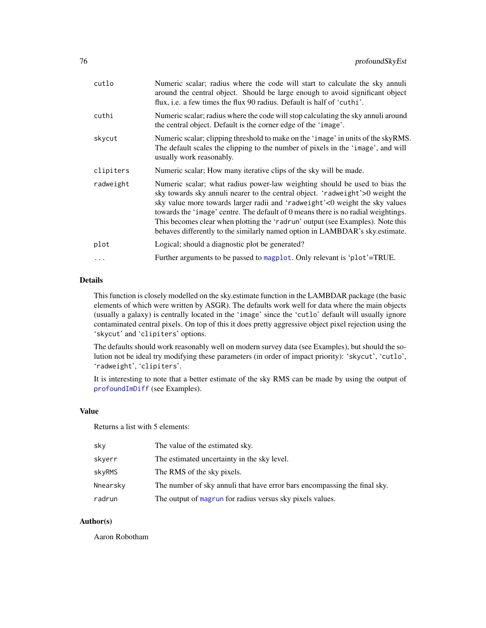<span id="page-75-0"></span>

| cutlo     | Numeric scalar; radius where the code will start to calculate the sky annuli<br>around the central object. Should be large enough to avoid significant object<br>flux, i.e. a few times the flux 90 radius. Default is half of 'cuthi'.                                                                                                                                                                                                                                                           |
|-----------|---------------------------------------------------------------------------------------------------------------------------------------------------------------------------------------------------------------------------------------------------------------------------------------------------------------------------------------------------------------------------------------------------------------------------------------------------------------------------------------------------|
| cuthi     | Numeric scalar; radius where the code will stop calculating the sky annuli around<br>the central object. Default is the corner edge of the 'image'.                                                                                                                                                                                                                                                                                                                                               |
| skycut    | Numeric scalar; clipping threshold to make on the 'image' in units of the skyRMS.<br>The default scales the clipping to the number of pixels in the 'image', and will<br>usually work reasonably.                                                                                                                                                                                                                                                                                                 |
| clipiters | Numeric scalar; How many iterative clips of the sky will be made.                                                                                                                                                                                                                                                                                                                                                                                                                                 |
| radweight | Numeric scalar; what radius power-law weighting should be used to bias the<br>sky towards sky annuli nearer to the central object. 'radweight'>0 weight the<br>sky value more towards larger radii and 'radweight'<0 weight the sky values<br>towards the 'image' centre. The default of 0 means there is no radial weightings.<br>This becomes clear when plotting the 'radrun' output (see Examples). Note this<br>behaves differently to the similarly named option in LAMBDAR's sky.estimate. |
| plot      | Logical; should a diagnostic plot be generated?                                                                                                                                                                                                                                                                                                                                                                                                                                                   |
| $\ddots$  | Further arguments to be passed to magplot. Only relevant is 'plot'=TRUE.                                                                                                                                                                                                                                                                                                                                                                                                                          |
|           |                                                                                                                                                                                                                                                                                                                                                                                                                                                                                                   |

## Details

This function is closely modelled on the sky.estimate function in the LAMBDAR package (the basic elements of which were written by ASGR). The defaults work well for data where the main objects (usually a galaxy) is centrally located in the 'image' since the 'cutlo' default will usually ignore contaminated central pixels. On top of this it does pretty aggressive object pixel rejection using the 'skycut' and 'clipiters' options.

The defaults should work reasonably well on modern survey data (see Examples), but should the solution not be ideal try modifying these parameters (in order of impact priority): 'skycut', 'cutlo', 'radweight', 'clipiters'.

It is interesting to note that a better estimate of the sky RMS can be made by using the output of [profoundImDiff](#page-31-0) (see Examples).

#### Value

Returns a list with 5 elements:

| sky      | The value of the estimated sky.                                           |
|----------|---------------------------------------------------------------------------|
| skyerr   | The estimated uncertainty in the sky level.                               |
| skyRMS   | The RMS of the sky pixels.                                                |
| Nnearsky | The number of sky annuli that have error bars encompassing the final sky. |
| radrun   | The output of magrun for radius versus sky pixels values.                 |

#### Author(s)

Aaron Robotham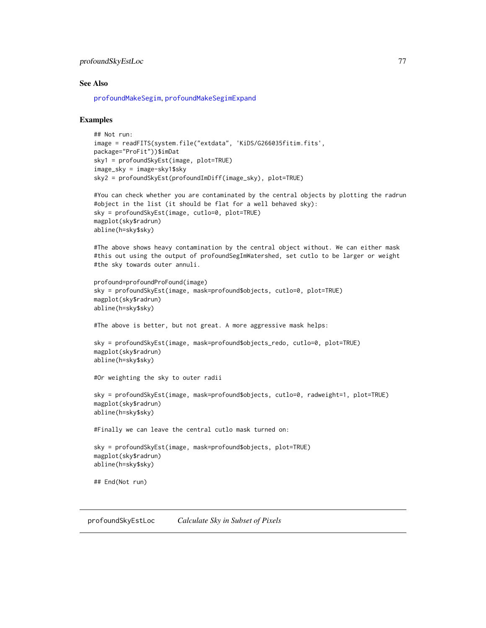## <span id="page-76-0"></span>profoundSkyEstLoc 77

#### See Also

[profoundMakeSegim](#page-33-0), [profoundMakeSegimExpand](#page-39-1)

#### Examples

```
## Not run:
image = readFITS(system.file("extdata", 'KiDS/G266035fitim.fits',
package="ProFit"))$imDat
sky1 = profoundSkyEst(image, plot=TRUE)
image_sky = image-sky1$sky
sky2 = profoundSkyEst(profoundImDiff(image_sky), plot=TRUE)
```

```
#You can check whether you are contaminated by the central objects by plotting the radrun
#object in the list (it should be flat for a well behaved sky):
sky = profoundSkyEst(image, cutlo=0, plot=TRUE)
magplot(sky$radrun)
abline(h=sky$sky)
```
#The above shows heavy contamination by the central object without. We can either mask #this out using the output of profoundSegImWatershed, set cutlo to be larger or weight #the sky towards outer annuli.

```
profound=profoundProFound(image)
sky = profoundSkyEst(image, mask=profound$objects, cutlo=0, plot=TRUE)
magplot(sky$radrun)
abline(h=sky$sky)
```
#The above is better, but not great. A more aggressive mask helps:

```
sky = profoundSkyEst(image, mask=profound$objects_redo, cutlo=0, plot=TRUE)
magplot(sky$radrun)
abline(h=sky$sky)
```

```
#Or weighting the sky to outer radii
```

```
sky = profoundSkyEst(image, mask=profound$objects, cutlo=0, radweight=1, plot=TRUE)
magplot(sky$radrun)
abline(h=sky$sky)
```
#Finally we can leave the central cutlo mask turned on:

```
sky = profoundSkyEst(image, mask=profound$objects, plot=TRUE)
magplot(sky$radrun)
abline(h=sky$sky)
```

```
## End(Not run)
```
profoundSkyEstLoc *Calculate Sky in Subset of Pixels*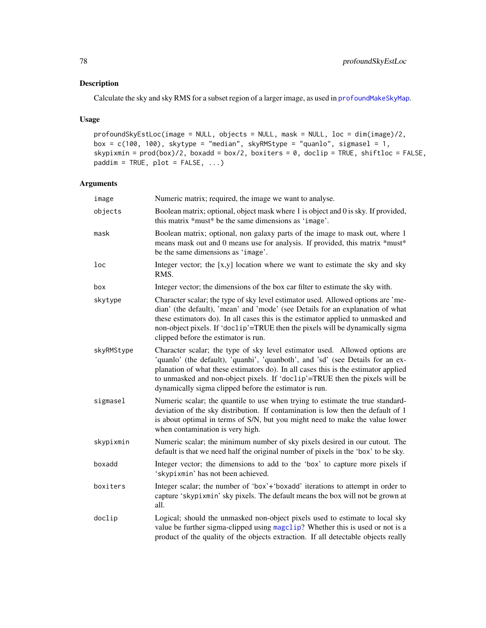# <span id="page-77-0"></span>Description

Calculate the sky and sky RMS for a subset region of a larger image, as used in [profoundMakeSkyMap](#page-49-0).

# Usage

```
profoundSkyEstLoc(image = NULL, objects = NULL, mask = NULL, loc = dim(image)/2,
box = c(100, 100), skytype = "median", skyRMStype = "quanlo", sigmasel = 1,
skypixmin = prod(box)/2, boxadd = box/2, boxiters = 0, doclip = TRUE, shiftloc = FALSE,
paddim = TRUE, plot = FALSE, ...)
```
# Arguments

| image      | Numeric matrix; required, the image we want to analyse.                                                                                                                                                                                                                                                                                                                                      |
|------------|----------------------------------------------------------------------------------------------------------------------------------------------------------------------------------------------------------------------------------------------------------------------------------------------------------------------------------------------------------------------------------------------|
| objects    | Boolean matrix; optional, object mask where 1 is object and 0 is sky. If provided,<br>this matrix *must* be the same dimensions as 'image'.                                                                                                                                                                                                                                                  |
| mask       | Boolean matrix; optional, non galaxy parts of the image to mask out, where 1<br>means mask out and 0 means use for analysis. If provided, this matrix *must*<br>be the same dimensions as 'image'.                                                                                                                                                                                           |
| loc        | Integer vector; the $[x,y]$ location where we want to estimate the sky and sky<br>RMS.                                                                                                                                                                                                                                                                                                       |
| box        | Integer vector; the dimensions of the box car filter to estimate the sky with.                                                                                                                                                                                                                                                                                                               |
| skytype    | Character scalar; the type of sky level estimator used. Allowed options are 'me-<br>dian' (the default), 'mean' and 'mode' (see Details for an explanation of what<br>these estimators do). In all cases this is the estimator applied to unmasked and<br>non-object pixels. If 'doclip'=TRUE then the pixels will be dynamically sigma<br>clipped before the estimator is run.              |
| skyRMStype | Character scalar; the type of sky level estimator used. Allowed options are<br>'quanlo' (the default), 'quanhi', 'quanboth', and 'sd' (see Details for an ex-<br>planation of what these estimators do). In all cases this is the estimator applied<br>to unmasked and non-object pixels. If 'doclip'=TRUE then the pixels will be<br>dynamically sigma clipped before the estimator is run. |
| sigmasel   | Numeric scalar; the quantile to use when trying to estimate the true standard-<br>deviation of the sky distribution. If contamination is low then the default of 1<br>is about optimal in terms of S/N, but you might need to make the value lower<br>when contamination is very high.                                                                                                       |
| skypixmin  | Numeric scalar; the minimum number of sky pixels desired in our cutout. The<br>default is that we need half the original number of pixels in the 'box' to be sky.                                                                                                                                                                                                                            |
| boxadd     | Integer vector; the dimensions to add to the 'box' to capture more pixels if<br>'skypixmin' has not been achieved.                                                                                                                                                                                                                                                                           |
| boxiters   | Integer scalar; the number of 'box'+'boxadd' iterations to attempt in order to<br>capture 'skypixmin' sky pixels. The default means the box will not be grown at<br>all.                                                                                                                                                                                                                     |
| doclip     | Logical; should the unmasked non-object pixels used to estimate to local sky<br>value be further sigma-clipped using magclip? Whether this is used or not is a<br>product of the quality of the objects extraction. If all detectable objects really                                                                                                                                         |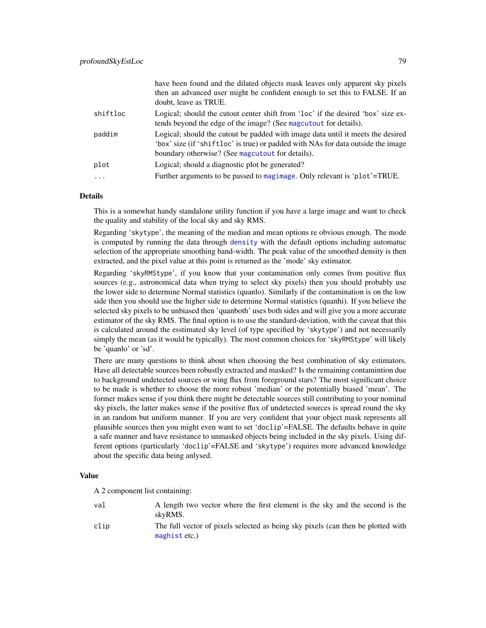<span id="page-78-0"></span>

|          | have been found and the dilated objects mask leaves only apparent sky pixels<br>then an advanced user might be confident enough to set this to FALSE. If an<br>doubt, leave as TRUE.                                    |
|----------|-------------------------------------------------------------------------------------------------------------------------------------------------------------------------------------------------------------------------|
| shiftloc | Logical; should the cutout center shift from 'loc' if the desired 'box' size ex-<br>tends beyond the edge of the image? (See magcutout for details).                                                                    |
| paddim   | Logical; should the cutout be padded with image data until it meets the desired<br>'box' size (if 'shiftloc' is true) or padded with NAs for data outside the image<br>boundary otherwise? (See magcutout for details). |
| plot     | Logical; should a diagnostic plot be generated?                                                                                                                                                                         |
| $\ddots$ | Further arguments to be passed to magimage. Only relevant is 'plot'=TRUE.                                                                                                                                               |

#### Details

This is a somewhat handy standalone utility function if you have a large image and want to check the quality and stability of the local sky and sky RMS.

Regarding 'skytype', the meaning of the median and mean options re obvious enough. The mode is computed by running the data through [density](#page-0-0) with the default options including automatuc selection of the appropriate smoothing band-width. The peak value of the smoothed density is then extracted, and the pixel value at this point is returned as the 'mode' sky estimator.

Regarding 'skyRMStype', if you know that your contamination only comes from positive flux sources (e.g., astronomical data when trying to select sky pixels) then you should probably use the lower side to determine Normal statistics (quanlo). Similarly if the contamination is on the low side then you should use the higher side to determine Normal statistics (quanhi). If you believe the selected sky pixels to be unbiased then 'quanboth' uses both sides and will give you a more accurate estimator of the sky RMS. The final option is to use the standard-deviation, with the caveat that this is calculated around the esstimated sky level (of type specified by 'skytype') and not necessarily simply the mean (as it would be typically). The most common choices for 'skyRMStype' will likely be 'quanlo' or 'sd'.

There are many questions to think about when choosing the best combination of sky estimators. Have all detectable sources been robustly extracted and masked? Is the remaining contamintion due to background undetected sources or wing flux from foreground stars? The most significant choice to be made is whether to choose the more robust 'median' or the potentially biased 'mean'. The former makes sense if you think there might be detectable sources still contributing to your nominal sky pixels, the latter makes sense if the positive flux of undetected sources is spread round the sky in an random but uniform manner. If you are very confident that your object mask represents all plausible sources then you might even want to set 'doclip'=FALSE. The defaults behave in quite a safe manner and have resistance to unmasked objects being included in the sky pixels. Using different options (particularly 'doclip'=FALSE and 'skytype') requires more advanced knowledge about the specific data being anlysed.

## Value

A 2 component list containing:

| val  | A length two vector where the first element is the sky and the second is the<br>skyRMS.           |
|------|---------------------------------------------------------------------------------------------------|
| clip | The full vector of pixels selected as being sky pixels (can then be plotted with<br>maghist etc.) |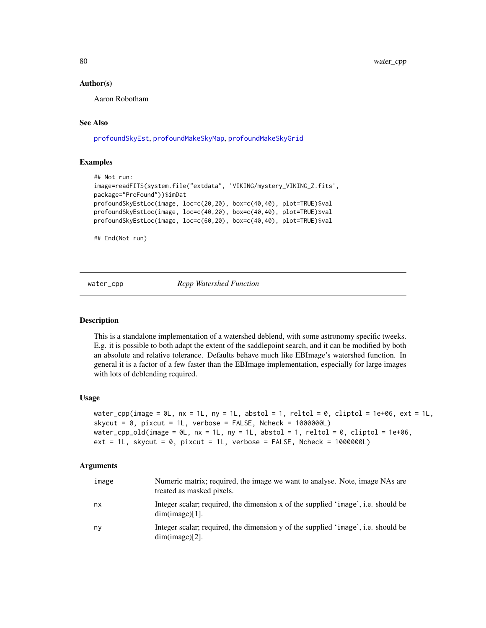#### Author(s)

Aaron Robotham

# See Also

[profoundSkyEst](#page-74-0), [profoundMakeSkyMap](#page-49-0), [profoundMakeSkyGrid](#page-49-1)

#### Examples

```
## Not run:
image=readFITS(system.file("extdata", 'VIKING/mystery_VIKING_Z.fits',
package="ProFound"))$imDat
profoundSkyEstLoc(image, loc=c(20,20), box=c(40,40), plot=TRUE)$val
profoundSkyEstLoc(image, loc=c(40,20), box=c(40,40), plot=TRUE)$val
profoundSkyEstLoc(image, loc=c(60,20), box=c(40,40), plot=TRUE)$val
```
## End(Not run)

water\_cpp *Rcpp Watershed Function*

#### **Description**

This is a standalone implementation of a watershed deblend, with some astronomy specific tweeks. E.g. it is possible to both adapt the extent of the saddlepoint search, and it can be modified by both an absolute and relative tolerance. Defaults behave much like EBImage's watershed function. In general it is a factor of a few faster than the EBImage implementation, especially for large images with lots of deblending required.

#### Usage

```
water_cpp(image = \emptyset L, nx = 1L, ny = 1L, abstol = 1, reltol = 0, cliptol = 1e+06, ext = 1L,
skycut = 0, pixcut = 1L, verbose = FALSE, Ncheck = 1000000Lwater_cpp_old(image = \thetaL, nx = 1L, ny = 1L, abstol = 1, reltol = \theta, cliptol = 1e+06,
ext = 1L, skycut = 0, pixcut = 1L, verbose = FALSE, Ncheck = 1000000L)
```
#### Arguments

| image | Numeric matrix; required, the image we want to analyse. Note, image NAs are<br>treated as masked pixels. |
|-------|----------------------------------------------------------------------------------------------------------|
| nx    | Integer scalar; required, the dimension x of the supplied 'image', i.e. should be<br>dim(image)[1].      |
| ny    | Integer scalar; required, the dimension y of the supplied 'image', i.e. should be<br>$dim(image)[2]$ .   |

<span id="page-79-0"></span>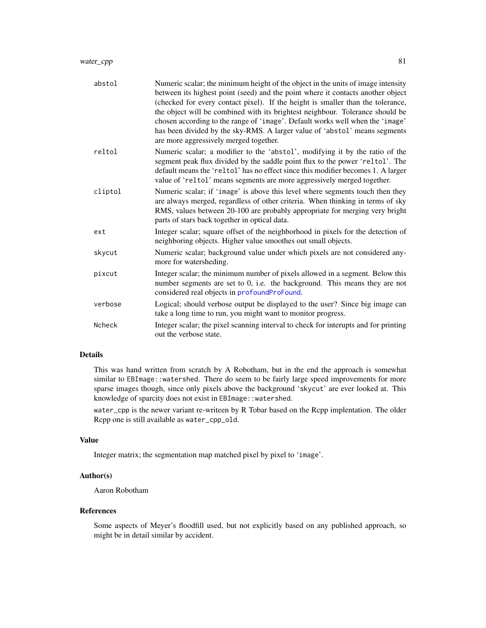<span id="page-80-0"></span>

| abstol        | Numeric scalar; the minimum height of the object in the units of image intensity<br>between its highest point (seed) and the point where it contacts another object<br>(checked for every contact pixel). If the height is smaller than the tolerance,<br>the object will be combined with its brightest neighbour. Tolerance should be<br>chosen according to the range of 'image'. Default works well when the 'image'<br>has been divided by the sky-RMS. A larger value of 'abstol' means segments<br>are more aggressively merged together. |
|---------------|--------------------------------------------------------------------------------------------------------------------------------------------------------------------------------------------------------------------------------------------------------------------------------------------------------------------------------------------------------------------------------------------------------------------------------------------------------------------------------------------------------------------------------------------------|
| reltol        | Numeric scalar; a modifier to the 'abstol', modifying it by the ratio of the<br>segment peak flux divided by the saddle point flux to the power 'reltol'. The<br>default means the 'reltol' has no effect since this modifier becomes 1. A larger<br>value of 'reltol' means segments are more aggressively merged together.                                                                                                                                                                                                                     |
| cliptol       | Numeric scalar; if 'image' is above this level where segments touch then they<br>are always merged, regardless of other criteria. When thinking in terms of sky<br>RMS, values between 20-100 are probably appropriate for merging very bright<br>parts of stars back together in optical data.                                                                                                                                                                                                                                                  |
| ext           | Integer scalar; square offset of the neighborhood in pixels for the detection of<br>neighboring objects. Higher value smoothes out small objects.                                                                                                                                                                                                                                                                                                                                                                                                |
| skycut        | Numeric scalar; background value under which pixels are not considered any-<br>more for watersheding.                                                                                                                                                                                                                                                                                                                                                                                                                                            |
| pixcut        | Integer scalar; the minimum number of pixels allowed in a segment. Below this<br>number segments are set to 0, i.e. the background. This means they are not<br>considered real objects in profoundProFound.                                                                                                                                                                                                                                                                                                                                      |
| verbose       | Logical; should verbose output be displayed to the user? Since big image can<br>take a long time to run, you might want to monitor progress.                                                                                                                                                                                                                                                                                                                                                                                                     |
| <b>Ncheck</b> | Integer scalar; the pixel scanning interval to check for interupts and for printing<br>out the verbose state.                                                                                                                                                                                                                                                                                                                                                                                                                                    |

# Details

This was hand written from scratch by A Robotham, but in the end the approach is somewhat similar to EBImage::watershed. There do seem to be fairly large speed improvements for more sparse images though, since only pixels above the background 'skycut' are ever looked at. This knowledge of sparcity does not exist in EBImage: : watershed.

water\_cpp is the newer variant re-writeen by R Tobar based on the Rcpp implentation. The older Rcpp one is still available as water\_cpp\_old.

# Value

Integer matrix; the segmentation map matched pixel by pixel to 'image'.

# Author(s)

Aaron Robotham

# References

Some aspects of Meyer's floodfill used, but not explicitly based on any published approach, so might be in detail similar by accident.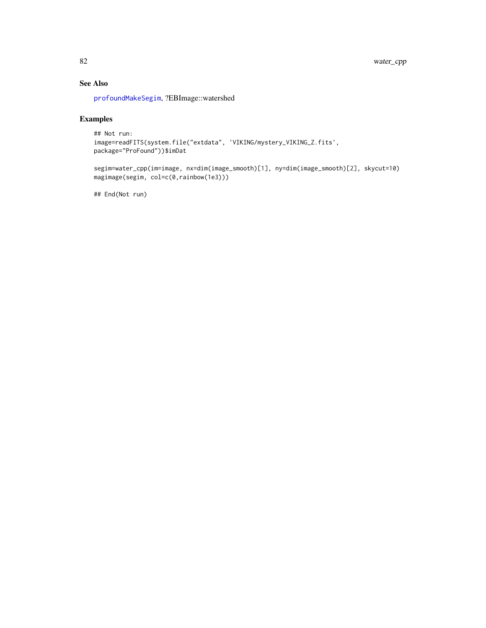# See Also

[profoundMakeSegim](#page-33-0), ?EBImage::watershed

# Examples

```
## Not run:
image=readFITS(system.file("extdata", 'VIKING/mystery_VIKING_Z.fits',
package="ProFound"))$imDat
```
segim=water\_cpp(im=image, nx=dim(image\_smooth)[1], ny=dim(image\_smooth)[2], skycut=10) magimage(segim, col=c(0,rainbow(1e3)))

## End(Not run)

<span id="page-81-0"></span>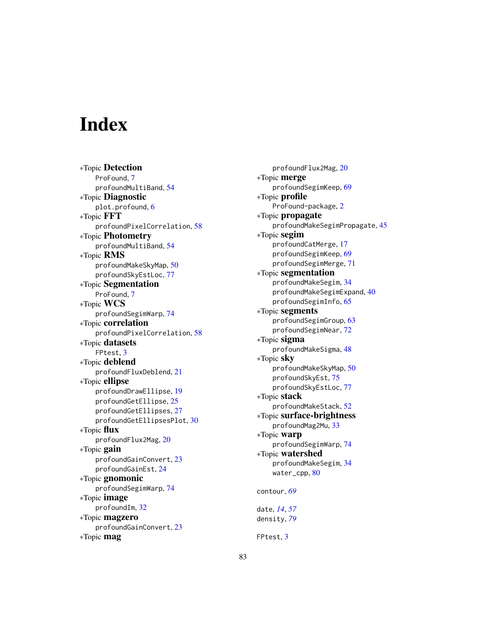# **Index**

∗Topic Detection ProFound, [7](#page-6-1) profoundMultiBand, [54](#page-53-0) ∗Topic Diagnostic plot.profound, [6](#page-5-0) ∗Topic FFT profoundPixelCorrelation, [58](#page-57-0) ∗Topic Photometry profoundMultiBand, [54](#page-53-0) ∗Topic RMS profoundMakeSkyMap, [50](#page-49-2) profoundSkyEstLoc, [77](#page-76-0) ∗Topic Segmentation ProFound, [7](#page-6-1) ∗Topic WCS profoundSegimWarp, [74](#page-73-0) ∗Topic correlation profoundPixelCorrelation, [58](#page-57-0) ∗Topic datasets FPtest, [3](#page-2-0) ∗Topic deblend profoundFluxDeblend, [21](#page-20-0) ∗Topic ellipse profoundDrawEllipse, [19](#page-18-0) profoundGetEllipse, [25](#page-24-0) profoundGetEllipses, [27](#page-26-0) profoundGetEllipsesPlot, [30](#page-29-0) ∗Topic flux profoundFlux2Mag, [20](#page-19-0) ∗Topic gain profoundGainConvert, [23](#page-22-0) profoundGainEst, [24](#page-23-0) ∗Topic gnomonic profoundSegimWarp, [74](#page-73-0) ∗Topic image profoundIm, [32](#page-31-1) ∗Topic magzero profoundGainConvert, [23](#page-22-0) ∗Topic mag

profoundFlux2Mag, [20](#page-19-0) ∗Topic merge profoundSegimKeep, [69](#page-68-0) ∗Topic profile ProFound-package, [2](#page-1-0) ∗Topic propagate profoundMakeSegimPropagate, [45](#page-44-0) ∗Topic segim profoundCatMerge, [17](#page-16-0) profoundSegimKeep, [69](#page-68-0) profoundSegimMerge, [71](#page-70-0) ∗Topic segmentation profoundMakeSegim, [34](#page-33-1) profoundMakeSegimExpand, [40](#page-39-2) profoundSegimInfo, [65](#page-64-1) ∗Topic segments profoundSegimGroup, [63](#page-62-0) profoundSegimNear, [72](#page-71-0) ∗Topic sigma profoundMakeSigma, [48](#page-47-0) ∗Topic sky profoundMakeSkyMap, [50](#page-49-2) profoundSkyEst, [75](#page-74-1) profoundSkyEstLoc, [77](#page-76-0) ∗Topic stack profoundMakeStack, [52](#page-51-0) ∗Topic surface-brightness profoundMag2Mu, [33](#page-32-0) ∗Topic warp profoundSegimWarp, [74](#page-73-0) ∗Topic watershed profoundMakeSegim, [34](#page-33-1) water\_cpp, [80](#page-79-0) contour, *[69](#page-68-0)* date, *[14](#page-13-0)*, *[57](#page-56-0)* density, *[79](#page-78-0)*

FPtest, [3](#page-2-0)